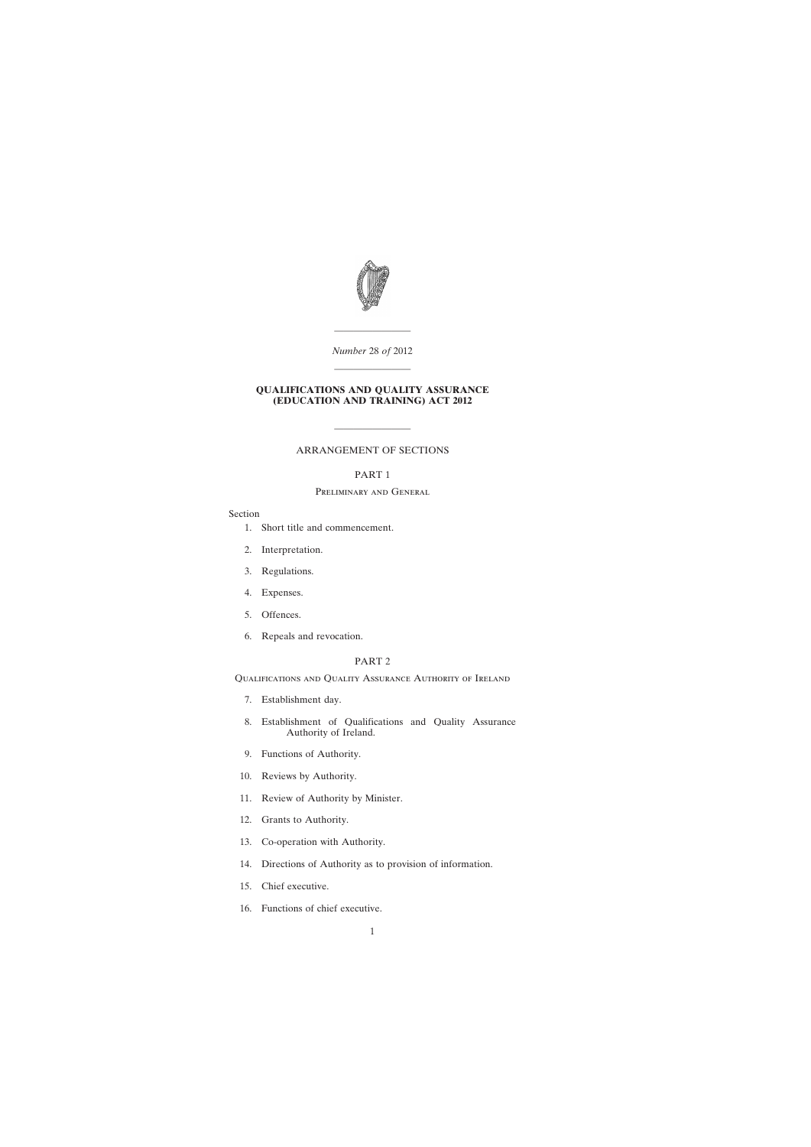

*Number* 28 *of* 2012 ————————

————————

## **QUALIFICATIONS AND QUALITY ASSURANCE (EDUCATION AND TRAINING) ACT 2012**

# ARRANGEMENT OF SECTIONS

————————

## PART 1

# Preliminary and General

## Section

- [1. Short title and commencement.](#page-6-0)
- [2. Interpretation.](#page-7-0)
- [3. Regulations.](#page-10-0)
- [4. Expenses.](#page-10-0)
- [5. Offences.](#page-10-0)
- [6. Repeals and revocation.](#page-11-0)

# PART 2

Qualifications and Quality Assurance Authority of Ireland

- [7. Establishment day.](#page-11-0)
- [8. Establishment of Qualifications and Quality Assurance](#page-11-0) Authority of Ireland.
- [9. Functions of Authority.](#page-11-0)
- [10. Reviews by Authority.](#page-13-0)
- [11. Review of Authority by Minister.](#page-13-0)
- [12. Grants to Authority.](#page-13-0)
- [13. Co-operation with Authority.](#page-14-0)
- [14. Directions of Authority as to provision of information.](#page-14-0)
- [15. Chief executive.](#page-14-0)
- [16. Functions of chief executive.](#page-15-0)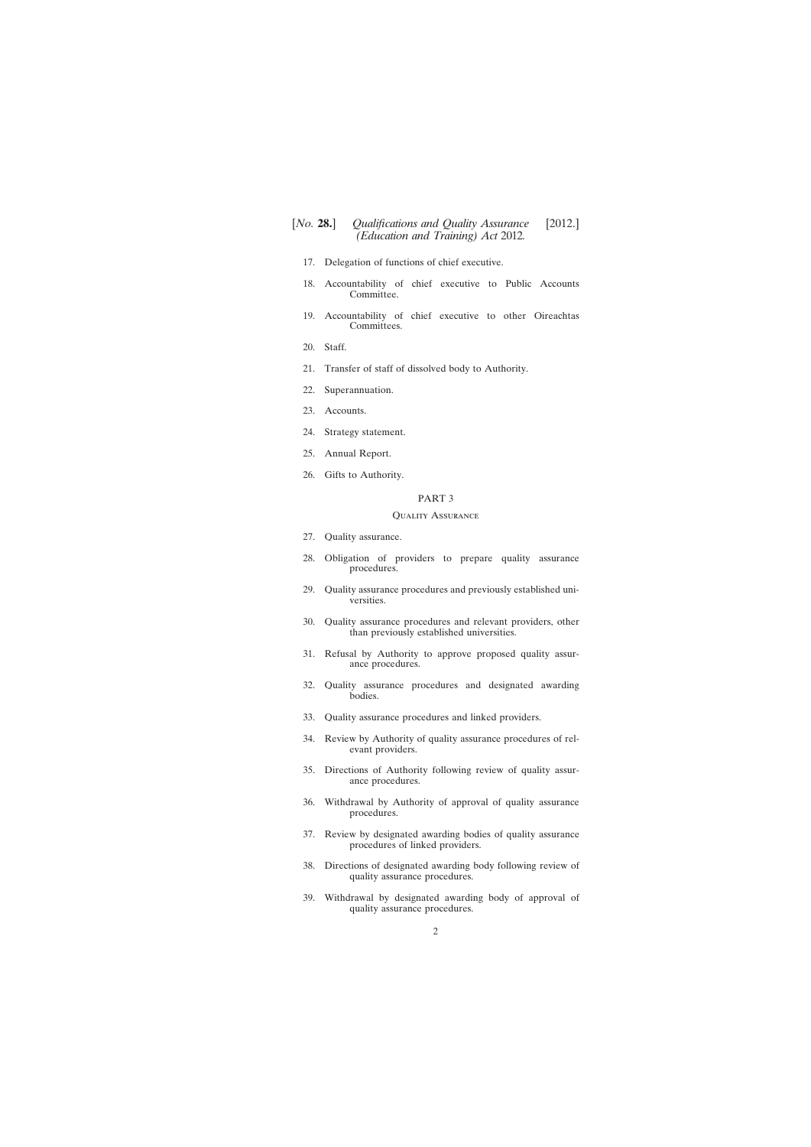- [17. Delegation of functions of chief executive.](#page-15-0)
- [18. Accountability of chief executive to Public Accounts](#page-16-0) Committee.
- [19. Accountability of chief executive to other Oireachtas](#page-16-0) Committees.
- [20. Staff.](#page-17-0)
- [21. Transfer of staff of dissolved body to Authority.](#page-17-0)
- [22. Superannuation.](#page-18-0)
- [23. Accounts.](#page-19-0)
- [24. Strategy statement.](#page-19-0)
- [25. Annual Report.](#page-20-0)
- [26. Gifts to Authority.](#page-20-0)

#### PART 3

#### Quality Assurance

- [27. Quality assurance.](#page-21-0)
- [28. Obligation of providers to prepare quality assurance](#page-22-0) procedures.
- [29. Quality assurance procedures and previously established uni](#page-23-0)versities.
- [30. Quality assurance procedures and relevant providers, other](#page-24-0) than previously established universities.
- [31. Refusal by Authority to approve proposed quality assur](#page-24-0)ance procedures.
- [32. Quality assurance procedures and designated awarding](#page-25-0) bodies.
- [33. Quality assurance procedures and linked providers.](#page-26-0)
- [34. Review by Authority of quality assurance procedures of rel](#page-26-0)evant providers.
- [35. Directions of Authority following review of quality assur](#page-27-0)ance procedures.
- [36. Withdrawal by Authority of approval of quality assurance](#page-27-0) procedures.
- [37. Review by designated awarding bodies of quality assurance](#page-28-0) procedures of linked providers.
- [38. Directions of designated awarding body following review of](#page-29-0) quality assurance procedures.
- [39. Withdrawal by designated awarding body of approval of](#page-29-0) quality assurance procedures.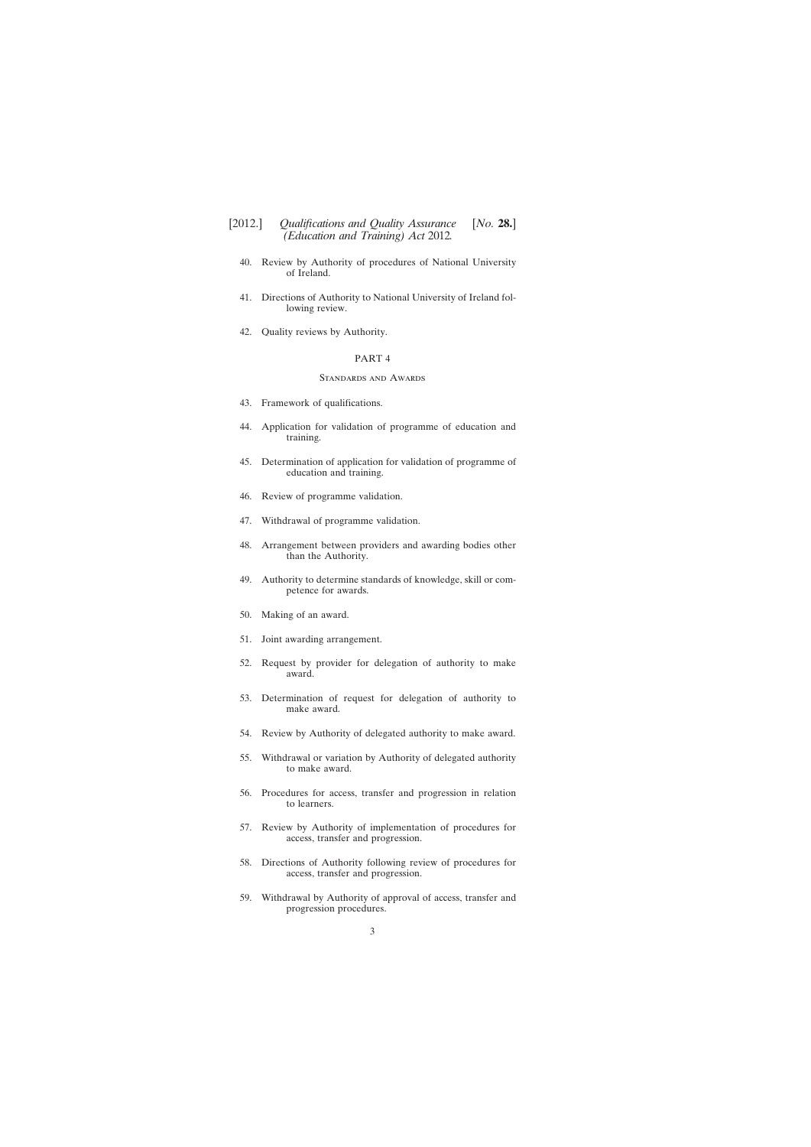# [2012.] [ *Qualifications and Quality Assurance No.* **28.**] *(Education and Training) Act* 2012*.*

- [40. Review by Authority of procedures of National University](#page-30-0) of Ireland.
- [41. Directions of Authority to National University of Ireland fol](#page-31-0)lowing review.
- [42. Quality reviews by Authority.](#page-31-0)

#### PART 4

#### Standards and Awards

- [43. Framework of qualifications.](#page-32-0)
- [44. Application for validation of programme of education and](#page-33-0) training.
- [45. Determination of application for validation of programme of](#page-34-0) education and training.
- [46. Review of programme validation.](#page-35-0)
- [47. Withdrawal of programme validation.](#page-35-0)
- [48. Arrangement between providers and awarding bodies other](#page-36-0) than the Authority.
- [49. Authority to determine standards of knowledge, skill or com](#page-36-0)petence for awards.
- [50. Making of an award.](#page-37-0)
- [51. Joint awarding arrangement.](#page-37-0)
- [52. Request by provider for delegation of authority to make](#page-38-0) award.
- [53. Determination of request for delegation of authority to](#page-40-0) make award.
- [54. Review by Authority of delegated authority to make award.](#page-42-0)
- [55. Withdrawal or variation by Authority of delegated authority](#page-42-0) to make award.
- [56. Procedures for access, transfer and progression in relation](#page-43-0) to learners.
- [57. Review by Authority of implementation of procedures for](#page-44-0) access, transfer and progression.
- [58. Directions of Authority following review of procedures for](#page-45-0) access, transfer and progression.
- [59. Withdrawal by Authority of approval of access, transfer and](#page-45-0) progression procedures.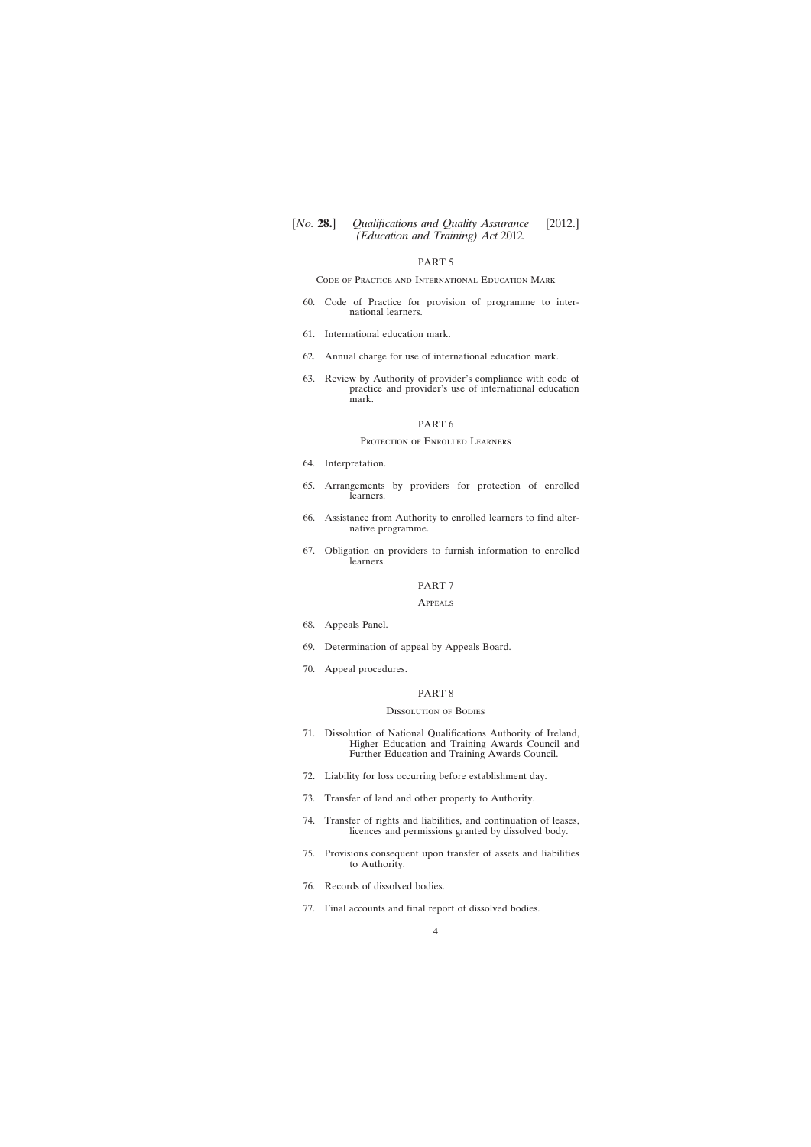#### PART 5

#### Code of Practice and International Education Mark

- [60. Code of Practice for provision of programme to inter](#page-47-0)national learners.
- [61. International education mark.](#page-47-0)
- [62. Annual charge for use of international education mark.](#page-49-0)
- [63. Review by Authority of provider's compliance with code of](#page-50-0) practice and provider's use of international education mark.

#### PART 6

#### Protection of Enrolled Learners

- [64. Interpretation.](#page-51-0)
- [65. Arrangements by providers for protection of enrolled](#page-51-0) learners.
- [66. Assistance from Authority to enrolled learners to find alter](#page-53-0)native programme.
- [67. Obligation on providers to furnish information to enrolled](#page-53-0) learners.

#### PART 7

#### Appeals

- [68. Appeals Panel.](#page-54-0)
- [69. Determination of appeal by Appeals Board.](#page-55-0)
- [70. Appeal procedures.](#page-56-0)

## PART 8

#### Dissolution of Bodies

- [71. Dissolution of National Qualifications Authority of Ireland,](#page-57-0) Higher Education and Training Awards Council and Further Education and Training Awards Council.
- [72. Liability for loss occurring before establishment day.](#page-57-0)
- [73. Transfer of land and other property to Authority.](#page-57-0)
- [74. Transfer of rights and liabilities, and continuation of leases,](#page-58-0) licences and permissions granted by dissolved body.
- [75. Provisions consequent upon transfer of assets and liabilities](#page-58-0) to Authority.
- [76. Records of dissolved bodies.](#page-58-0)
- [77. Final accounts and final report of dissolved bodies.](#page-59-0)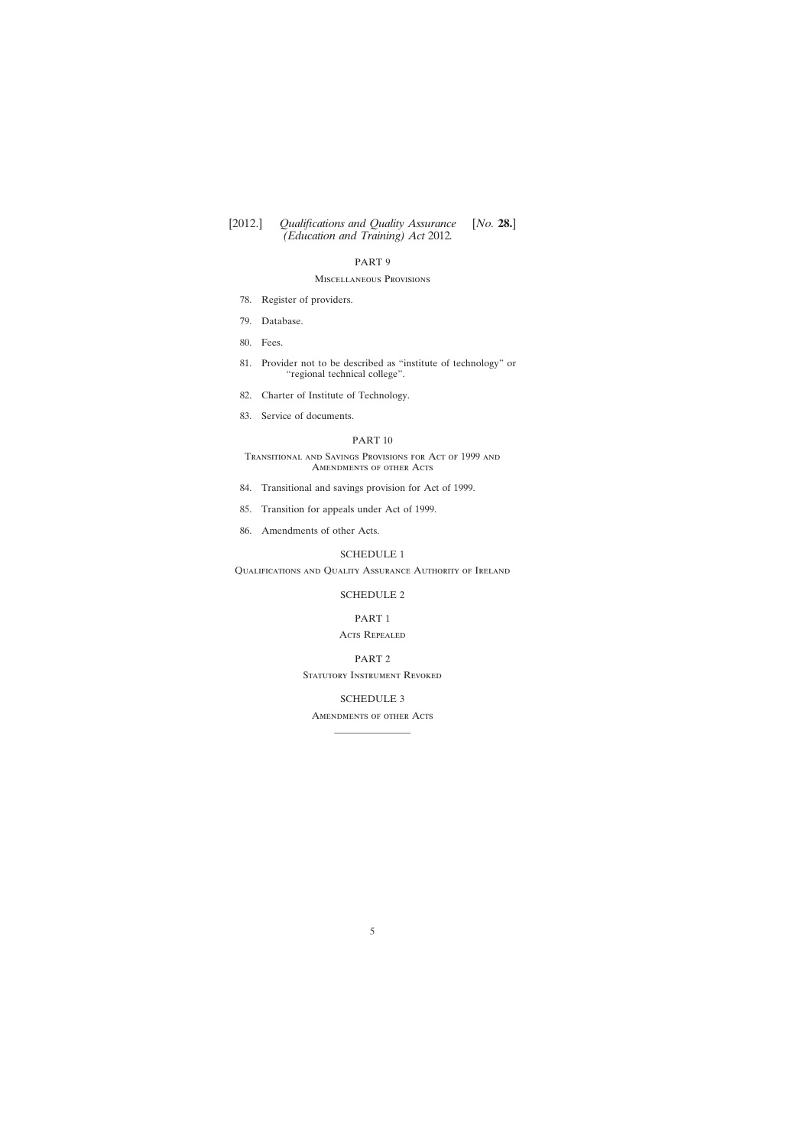## PART 9

## Miscellaneous Provisions

- [78. Register of providers.](#page-59-0)
- [79. Database.](#page-60-0)
- [80. Fees.](#page-61-0)
- [81. Provider not to be described as](#page-63-0) "institute of technology" or "regional technical college".
- [82. Charter of Institute of Technology.](#page-63-0)
- [83. Service of documents.](#page-64-0)

## PART 10

## Transitional and Savings Provisions for Act of 1999 and Amendments of other Acts

- [84. Transitional and savings provision for Act of 1999.](#page-65-0)
- [85. Transition for appeals under Act of 1999.](#page-68-0)
- [86. Amendments of other Acts.](#page-68-0)

## [SCHEDULE 1](#page-69-0)

Qualifications and Quality Assurance Authority of Ireland

#### [SCHEDULE 2](#page-76-0)

## PART 1

## Acts Repealed

#### PART 2

STATUTORY INSTRUMENT REVOKED

## [SCHEDULE 3](#page-77-0)

# Amendments of other Acts ————————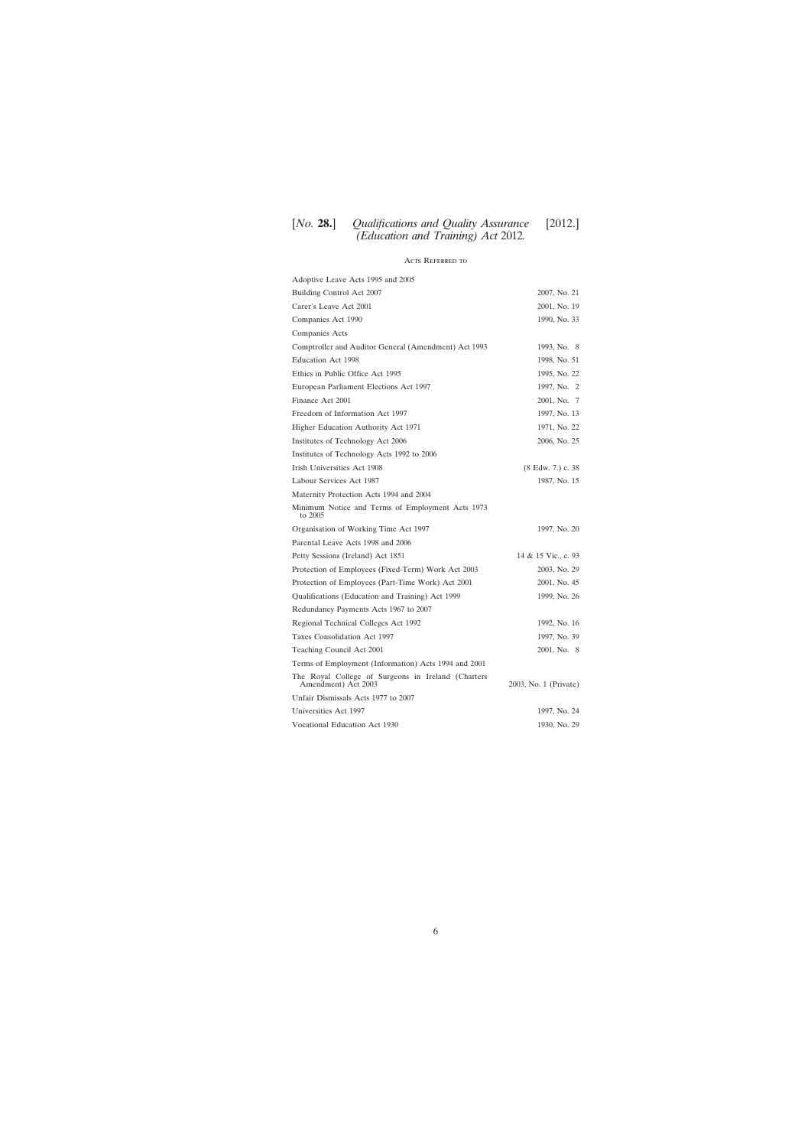# Acts Referred to

| Adoptive Leave Acts 1995 and 2005                                         |                       |
|---------------------------------------------------------------------------|-----------------------|
| Building Control Act 2007                                                 | 2007, No. 21          |
| Carer's Leave Act 2001                                                    | 2001, No. 19          |
| Companies Act 1990                                                        | 1990, No. 33          |
| Companies Acts                                                            |                       |
| Comptroller and Auditor General (Amendment) Act 1993                      | 1993, No. 8           |
| <b>Education Act 1998</b>                                                 | 1998, No. 51          |
| Ethics in Public Office Act 1995                                          | 1995, No. 22          |
| European Parliament Elections Act 1997                                    | 1997, No. 2           |
| Finance Act 2001                                                          | 2001, No. 7           |
| Freedom of Information Act 1997                                           | 1997, No. 13          |
| Higher Education Authority Act 1971                                       | 1971, No. 22          |
| Institutes of Technology Act 2006                                         | 2006, No. 25          |
| Institutes of Technology Acts 1992 to 2006                                |                       |
| Irish Universities Act 1908                                               | (8 Edw. 7.) c. 38     |
| Labour Services Act 1987                                                  | 1987, No. 15          |
| Maternity Protection Acts 1994 and 2004                                   |                       |
| Minimum Notice and Terms of Employment Acts 1973<br>to 2005               |                       |
| Organisation of Working Time Act 1997                                     | 1997, No. 20          |
| Parental Leave Acts 1998 and 2006                                         |                       |
| Petty Sessions (Ireland) Act 1851                                         | 14 & 15 Vic., c. 93   |
| Protection of Employees (Fixed-Term) Work Act 2003                        | 2003, No. 29          |
| Protection of Employees (Part-Time Work) Act 2001                         | 2001, No. 45          |
| Qualifications (Education and Training) Act 1999                          | 1999, No. 26          |
| Redundancy Payments Acts 1967 to 2007                                     |                       |
| Regional Technical Colleges Act 1992                                      | 1992, No. 16          |
| Taxes Consolidation Act 1997                                              | 1997, No. 39          |
| Teaching Council Act 2001                                                 | 2001, No. 8           |
| Terms of Employment (Information) Acts 1994 and 2001                      |                       |
| The Royal College of Surgeons in Ireland (Charters<br>Amendment) Act 2003 | 2003, No. 1 (Private) |
| Unfair Dismissals Acts 1977 to 2007                                       |                       |
| Universities Act 1997                                                     | 1997, No. 24          |
| Vocational Education Act 1930                                             | 1930, No. 29          |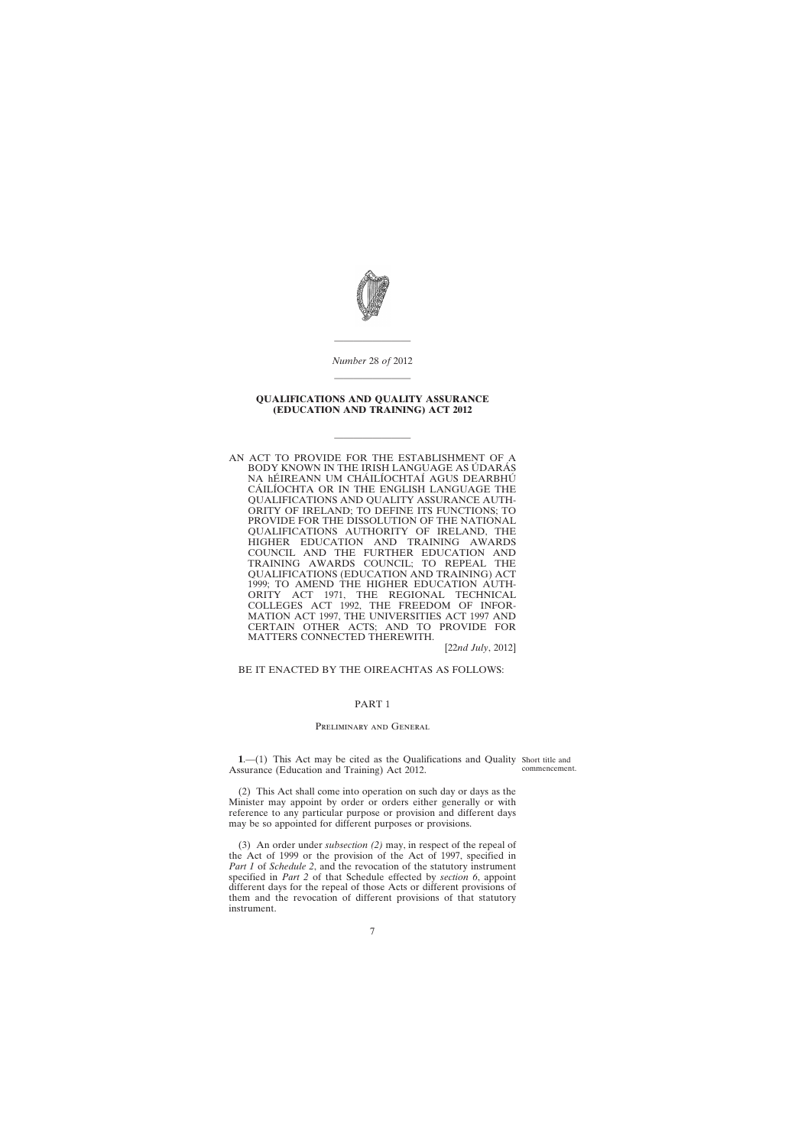<span id="page-6-0"></span>

*Number* 28 *of* 2012 ————————

————————

## **QUALIFICATIONS AND QUALITY ASSURANCE (EDUCATION AND TRAINING) ACT 2012**

————————

AN ACT TO PROVIDE FOR THE ESTABLISHMENT OF A BODY KNOWN IN THE IRISH LANGUAGE AS ÚDARÁS NA hÉIREANN UM CHÁILÍOCHTAÍ AGUS DEARBHÚ CÁILÍOCHTA OR IN THE ENGLISH LANGUAGE THE QUALIFICATIONS AND QUALITY ASSURANCE AUTH-ORITY OF IRELAND; TO DEFINE ITS FUNCTIONS; TO PROVIDE FOR THE DISSOLUTION OF THE NATIONAL QUALIFICATIONS AUTHORITY OF IRELAND, THE HIGHER EDUCATION AND TRAINING AWARDS COUNCIL AND THE FURTHER EDUCATION AND TRAINING AWARDS COUNCIL; TO REPEAL THE QUALIFICATIONS (EDUCATION AND TRAINING) ACT 1999; TO AMEND THE HIGHER EDUCATION AUTH-ORITY ACT 1971, THE REGIONAL TECHNICAL COLLEGES ACT 1992, THE FREEDOM OF INFOR-MATION ACT 1997, THE UNIVERSITIES ACT 1997 AND CERTAIN OTHER ACTS; AND TO PROVIDE FOR MATTERS CONNECTED THEREWITH.

[22*nd July*, 2012]

#### BE IT ENACTED BY THE OIREACHTAS AS FOLLOWS:

#### PART 1

### PRELIMINARY AND GENERAL

**1.**—(1) This Act may be cited as the Qualifications and Quality Short title and Assurance (Education and Training) Act 2012.

commencement.

(2) This Act shall come into operation on such day or days as the Minister may appoint by order or orders either generally or with reference to any particular purpose or provision and different days may be so appointed for different purposes or provisions.

(3) An order under *subsection (2)* may, in respect of the repeal of the Act of 1999 or the provision of the Act of 1997, specified in *Part 1* of *Schedule 2*, and the revocation of the statutory instrument specified in *Part 2* of that Schedule effected by *section 6*, appoint different days for the repeal of those Acts or different provisions of them and the revocation of different provisions of that statutory instrument.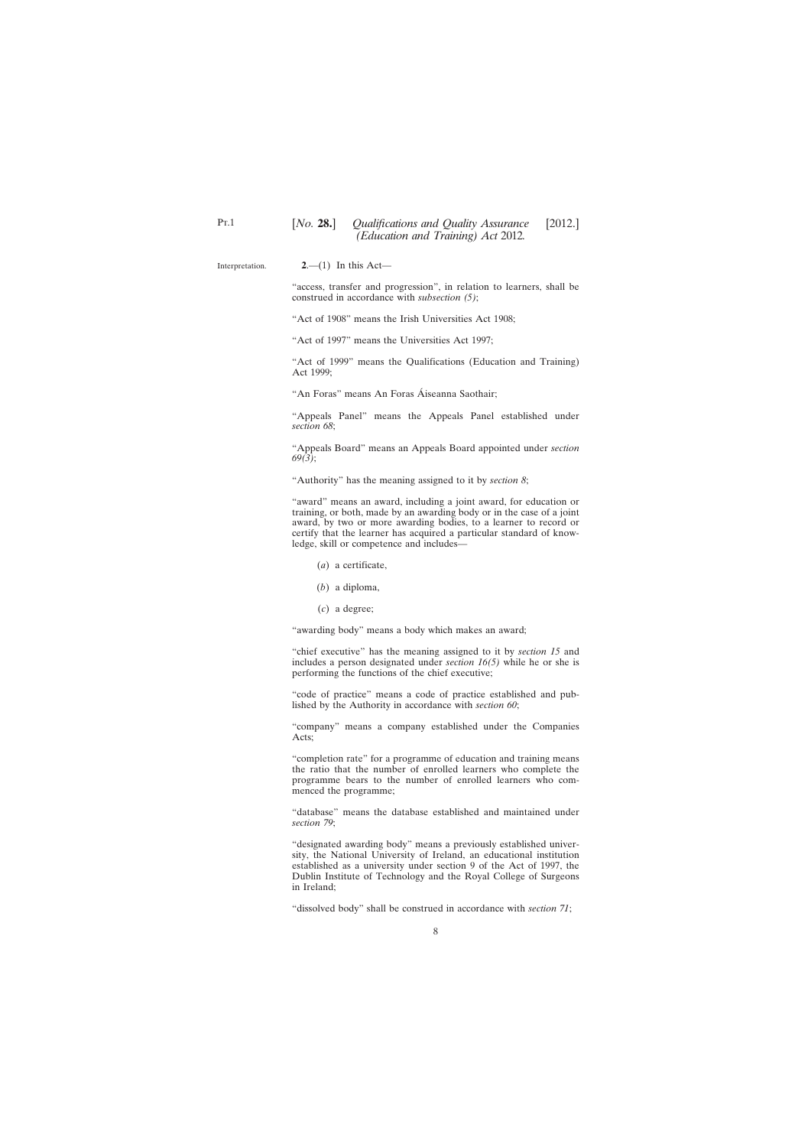Interpretation.

<span id="page-7-0"></span>Pt.1

"access, transfer and progression", in relation to learners, shall be construed in accordance with *subsection (5)*;

"Act of 1908" means the Irish Universities Act 1908;

"Act of 1997" means the Universities Act 1997;

"Act of 1999" means the Qualifications (Education and Training) Act 1999;

"An Foras" means An Foras Áiseanna Saothair;

"Appeals Panel" means the Appeals Panel established under *section 68*;

"Appeals Board" means an Appeals Board appointed under *section 69(3)*;

"Authority" has the meaning assigned to it by *section 8*;

"award" means an award, including a joint award, for education or training, or both, made by an awarding body or in the case of a joint award, by two or more awarding bodies, to a learner to record or certify that the learner has acquired a particular standard of knowledge, skill or competence and includes—

- (*a*) a certificate,
- (*b*) a diploma,
- (*c*) a degree;

"awarding body" means a body which makes an award;

"chief executive" has the meaning assigned to it by *section 15* and includes a person designated under *section 16(5)* while he or she is performing the functions of the chief executive;

"code of practice" means a code of practice established and published by the Authority in accordance with *section 60*;

"company" means a company established under the Companies Acts;

"completion rate" for a programme of education and training means the ratio that the number of enrolled learners who complete the programme bears to the number of enrolled learners who commenced the programme;

"database" means the database established and maintained under *section 79*;

"designated awarding body" means a previously established university, the National University of Ireland, an educational institution established as a university under section 9 of the Act of 1997, the Dublin Institute of Technology and the Royal College of Surgeons in Ireland;

"dissolved body" shall be construed in accordance with *section 71*;

**<sup>2</sup>**.—(1) In this Act—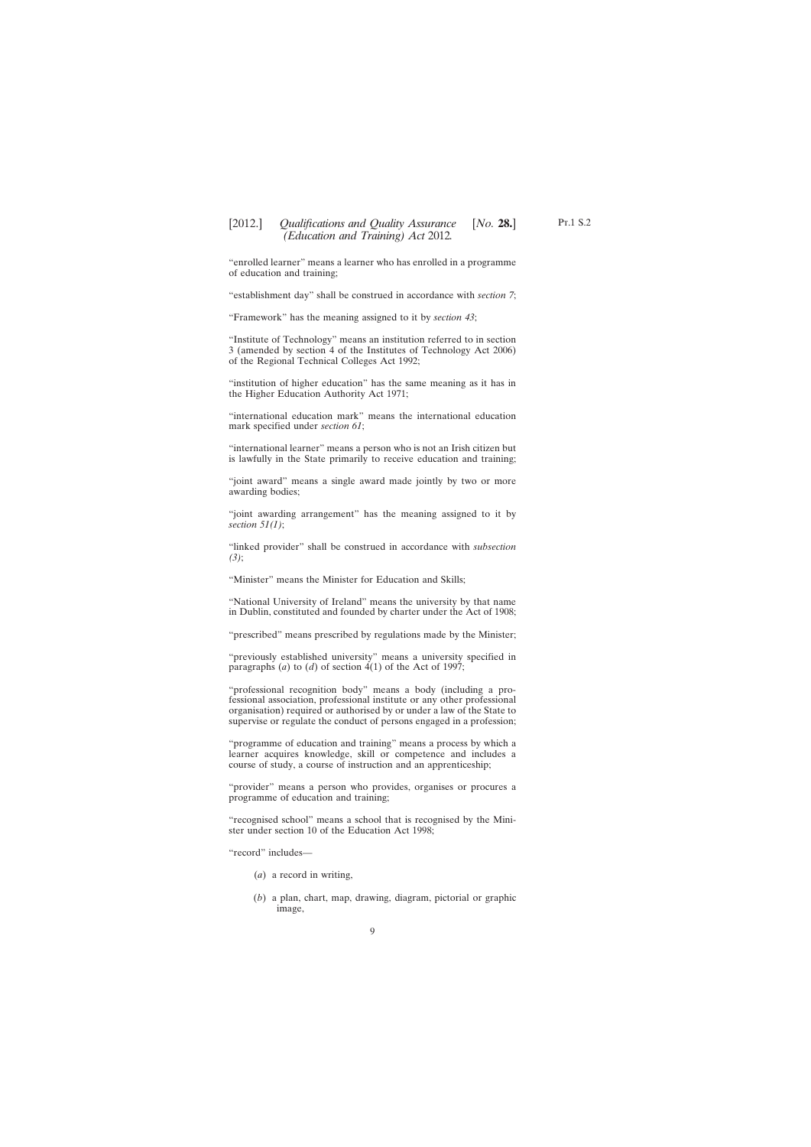"enrolled learner" means a learner who has enrolled in a programme of education and training;

"establishment day" shall be construed in accordance with *section 7*;

"Framework" has the meaning assigned to it by *section 43*;

"Institute of Technology" means an institution referred to in section 3 (amended by section 4 of the Institutes of Technology Act 2006) of the Regional Technical Colleges Act 1992;

"institution of higher education" has the same meaning as it has in the Higher Education Authority Act 1971;

"international education mark" means the international education mark specified under *section 61*;

"international learner" means a person who is not an Irish citizen but is lawfully in the State primarily to receive education and training;

"joint award" means a single award made jointly by two or more awarding bodies;

"joint awarding arrangement" has the meaning assigned to it by *section 51(1)*;

"linked provider" shall be construed in accordance with *subsection (3)*;

"Minister" means the Minister for Education and Skills;

"National University of Ireland" means the university by that name in Dublin, constituted and founded by charter under the Act of 1908;

"prescribed" means prescribed by regulations made by the Minister;

"previously established university" means a university specified in paragraphs (*a*) to (*d*) of section  $4(1)$  of the Act of 1997;

"professional recognition body" means a body (including a professional association, professional institute or any other professional organisation) required or authorised by or under a law of the State to supervise or regulate the conduct of persons engaged in a profession;

"programme of education and training" means a process by which a learner acquires knowledge, skill or competence and includes a course of study, a course of instruction and an apprenticeship;

"provider" means a person who provides, organises or procures a programme of education and training;

"recognised school" means a school that is recognised by the Minister under section 10 of the Education Act 1998;

"record" includes—

- (*a*) a record in writing,
- (*b*) a plan, chart, map, drawing, diagram, pictorial or graphic image,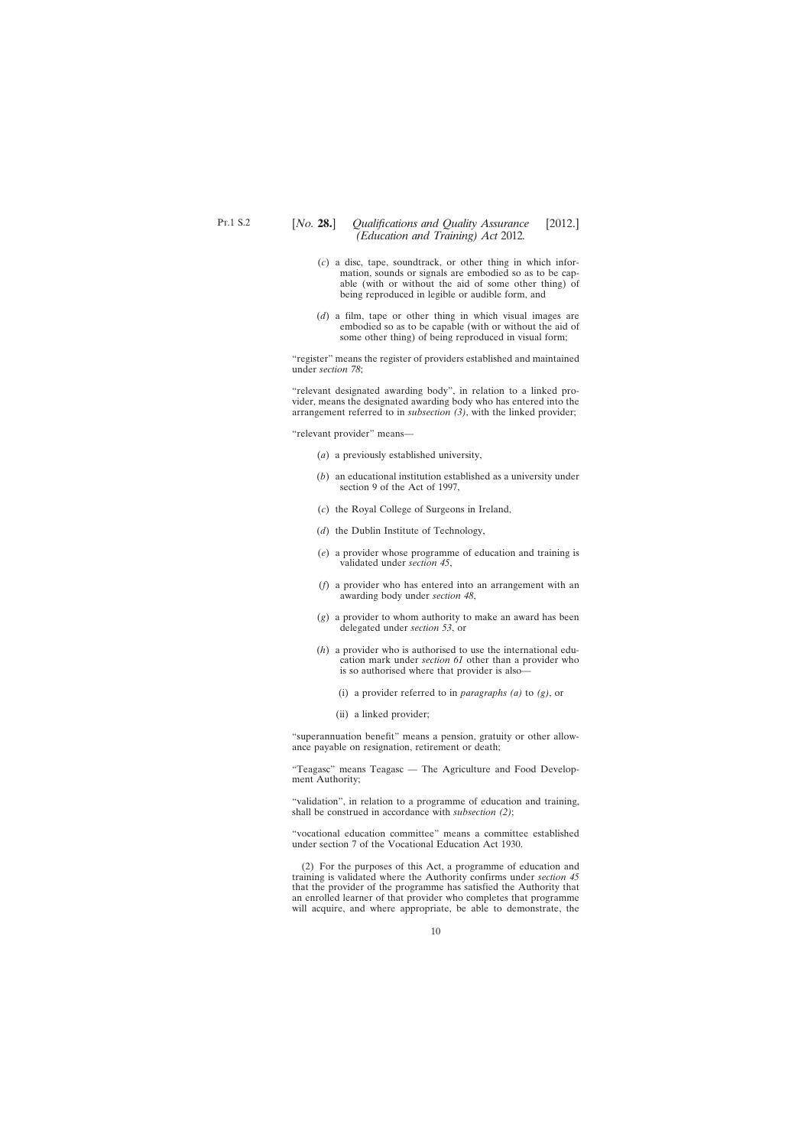- (*c*) a disc, tape, soundtrack, or other thing in which information, sounds or signals are embodied so as to be capable (with or without the aid of some other thing) of being reproduced in legible or audible form, and
- (*d*) a film, tape or other thing in which visual images are embodied so as to be capable (with or without the aid of some other thing) of being reproduced in visual form;

"register" means the register of providers established and maintained under *section 78*;

"relevant designated awarding body", in relation to a linked provider, means the designated awarding body who has entered into the arrangement referred to in *subsection (3)*, with the linked provider;

"relevant provider" means—

- (*a*) a previously established university,
- (*b*) an educational institution established as a university under section 9 of the Act of 1997,
- (*c*) the Royal College of Surgeons in Ireland,
- (*d*) the Dublin Institute of Technology,
- (*e*) a provider whose programme of education and training is validated under *section 45*,
- (*f*) a provider who has entered into an arrangement with an awarding body under *section 48*,
- (*g*) a provider to whom authority to make an award has been delegated under *section 53*, or
- (*h*) a provider who is authorised to use the international education mark under *section 61* other than a provider who is so authorised where that provider is also—
	- (i) a provider referred to in *paragraphs (a)* to *(g)*, or
	- (ii) a linked provider;

"superannuation benefit" means a pension, gratuity or other allowance payable on resignation, retirement or death;

"Teagasc" means Teagasc — The Agriculture and Food Development Authority;

"validation", in relation to a programme of education and training, shall be construed in accordance with *subsection (2)*;

"vocational education committee" means a committee established under section 7 of the Vocational Education Act 1930.

(2) For the purposes of this Act, a programme of education and training is validated where the Authority confirms under *section 45* that the provider of the programme has satisfied the Authority that an enrolled learner of that provider who completes that programme will acquire, and where appropriate, be able to demonstrate, the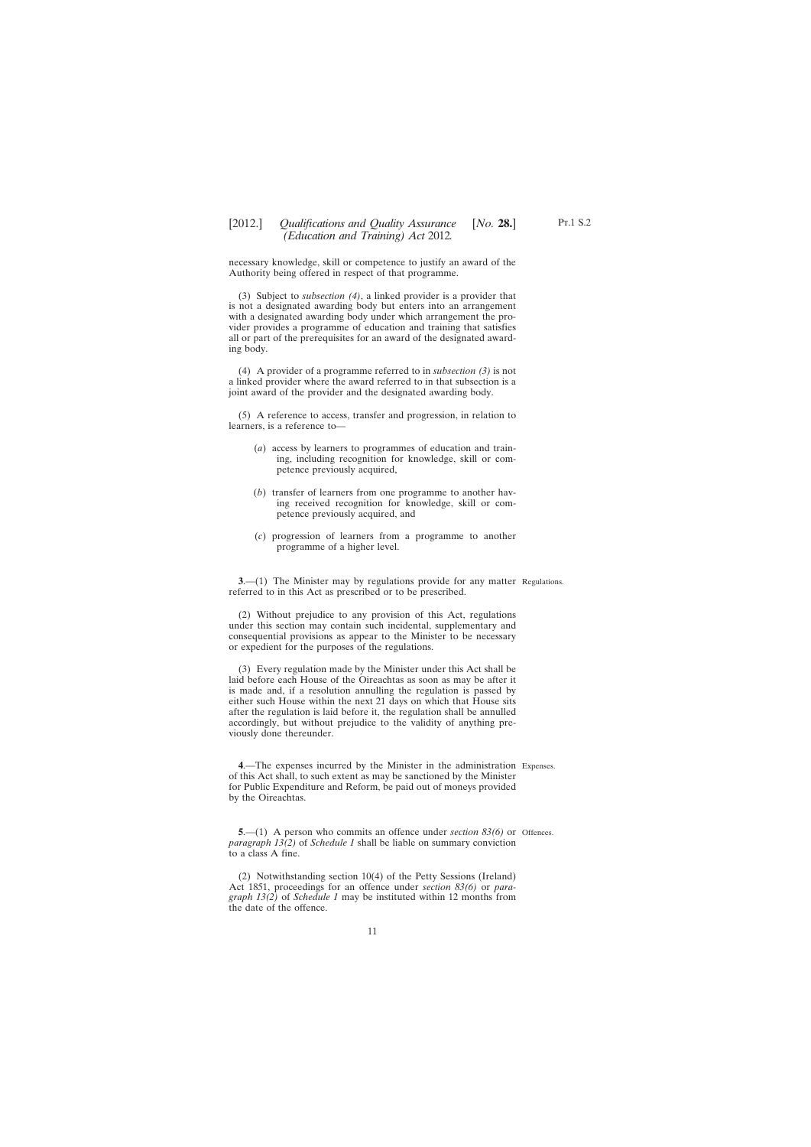# <span id="page-10-0"></span>[2012.] [ *Qualifications and Quality Assurance No.* **28.**] *(Education and Training) Act* 2012*.*

necessary knowledge, skill or competence to justify an award of the Authority being offered in respect of that programme.

(3) Subject to *subsection (4)*, a linked provider is a provider that is not a designated awarding body but enters into an arrangement with a designated awarding body under which arrangement the provider provides a programme of education and training that satisfies all or part of the prerequisites for an award of the designated awarding body.

(4) A provider of a programme referred to in *subsection (3)* is not a linked provider where the award referred to in that subsection is a joint award of the provider and the designated awarding body.

(5) A reference to access, transfer and progression, in relation to learners, is a reference to—

- (*a*) access by learners to programmes of education and training, including recognition for knowledge, skill or competence previously acquired,
- (*b*) transfer of learners from one programme to another having received recognition for knowledge, skill or competence previously acquired, and
- (*c*) progression of learners from a programme to another programme of a higher level.

**3.**—(1) The Minister may by regulations provide for any matter Regulations. referred to in this Act as prescribed or to be prescribed.

(2) Without prejudice to any provision of this Act, regulations under this section may contain such incidental, supplementary and consequential provisions as appear to the Minister to be necessary or expedient for the purposes of the regulations.

(3) Every regulation made by the Minister under this Act shall be laid before each House of the Oireachtas as soon as may be after it is made and, if a resolution annulling the regulation is passed by either such House within the next 21 days on which that House sits after the regulation is laid before it, the regulation shall be annulled accordingly, but without prejudice to the validity of anything previously done thereunder.

**4**.—The expenses incurred by the Minister in the administration Expenses. of this Act shall, to such extent as may be sanctioned by the Minister for Public Expenditure and Reform, be paid out of moneys provided by the Oireachtas.

**5.**—(1) A person who commits an offence under *section* 83(6) or Offences. *paragraph 13(2)* of *Schedule 1* shall be liable on summary conviction to a class A fine.

(2) Notwithstanding section 10(4) of the Petty Sessions (Ireland) Act 1851, proceedings for an offence under *section 83(6)* or *paragraph 13(2)* of *Schedule 1* may be instituted within 12 months from the date of the offence.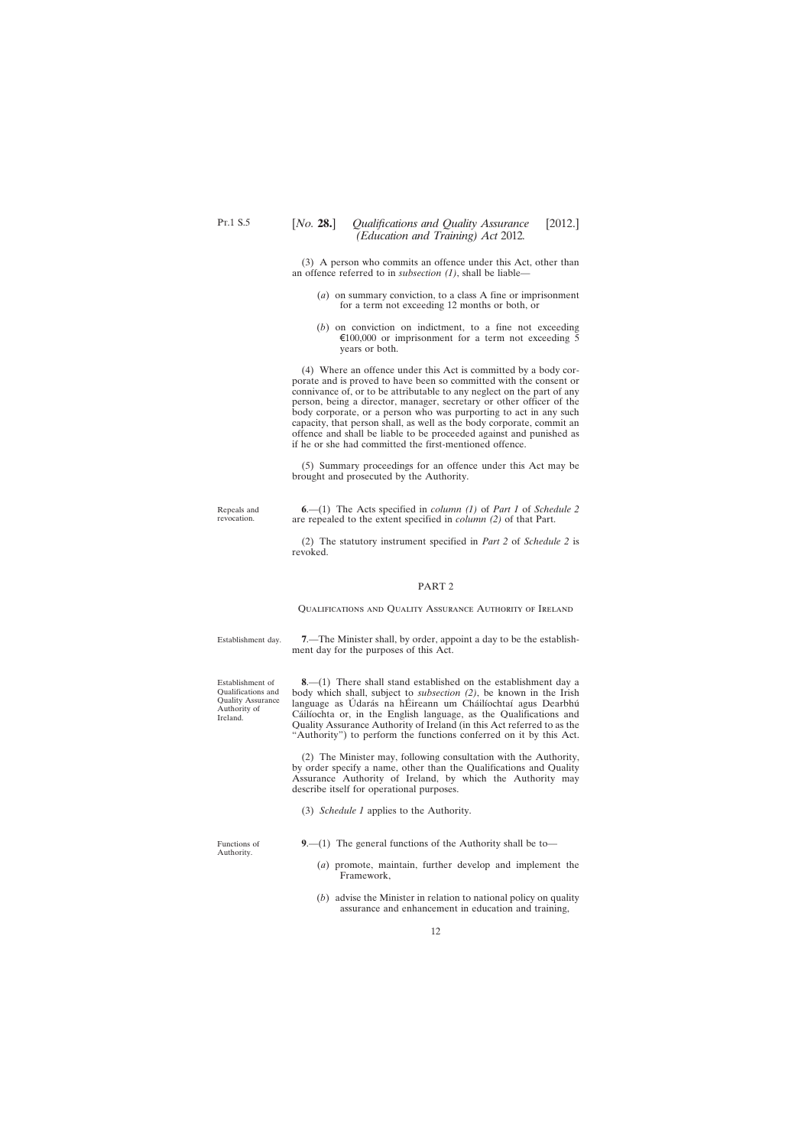<span id="page-11-0"></span>(3) A person who commits an offence under this Act, other than an offence referred to in *subsection (1)*, shall be liable—

- (*a*) on summary conviction, to a class A fine or imprisonment for a term not exceeding 12 months or both, or
- (*b*) on conviction on indictment, to a fine not exceeding  $\epsilon$ 100,000 or imprisonment for a term not exceeding 5 years or both.

(4) Where an offence under this Act is committed by a body corporate and is proved to have been so committed with the consent or connivance of, or to be attributable to any neglect on the part of any person, being a director, manager, secretary or other officer of the body corporate, or a person who was purporting to act in any such capacity, that person shall, as well as the body corporate, commit an offence and shall be liable to be proceeded against and punished as if he or she had committed the first-mentioned offence.

(5) Summary proceedings for an offence under this Act may be brought and prosecuted by the Authority.

Repeals and revocation.

**6**.—(1) The Acts specified in *column (1)* of *Part 1* of *Schedule 2* are repealed to the extent specified in *column (2)* of that Part.

(2) The statutory instrument specified in *Part 2* of *Schedule 2* is revoked.

#### PART 2

Qualifications and Quality Assurance Authority of Ireland

Establishment day.

**7**.—The Minister shall, by order, appoint a day to be the establishment day for the purposes of this Act.

Establishment of Qualifications and Quality Assurance Authority of Ireland.

**8**.—(1) There shall stand established on the establishment day a body which shall, subject to *subsection (2)*, be known in the Irish language as Údarás na hÉireann um Cháilíochtaí agus Dearbhú Cáilíochta or, in the English language, as the Qualifications and Quality Assurance Authority of Ireland (in this Act referred to as the "Authority") to perform the functions conferred on it by this Act.

(2) The Minister may, following consultation with the Authority, by order specify a name, other than the Qualifications and Quality Assurance Authority of Ireland, by which the Authority may describe itself for operational purposes.

(3) *Schedule 1* applies to the Authority.

Functions of Authority.

**9**.—(1) The general functions of the Authority shall be to—

- (*a*) promote, maintain, further develop and implement the Framework,
- (*b*) advise the Minister in relation to national policy on quality assurance and enhancement in education and training,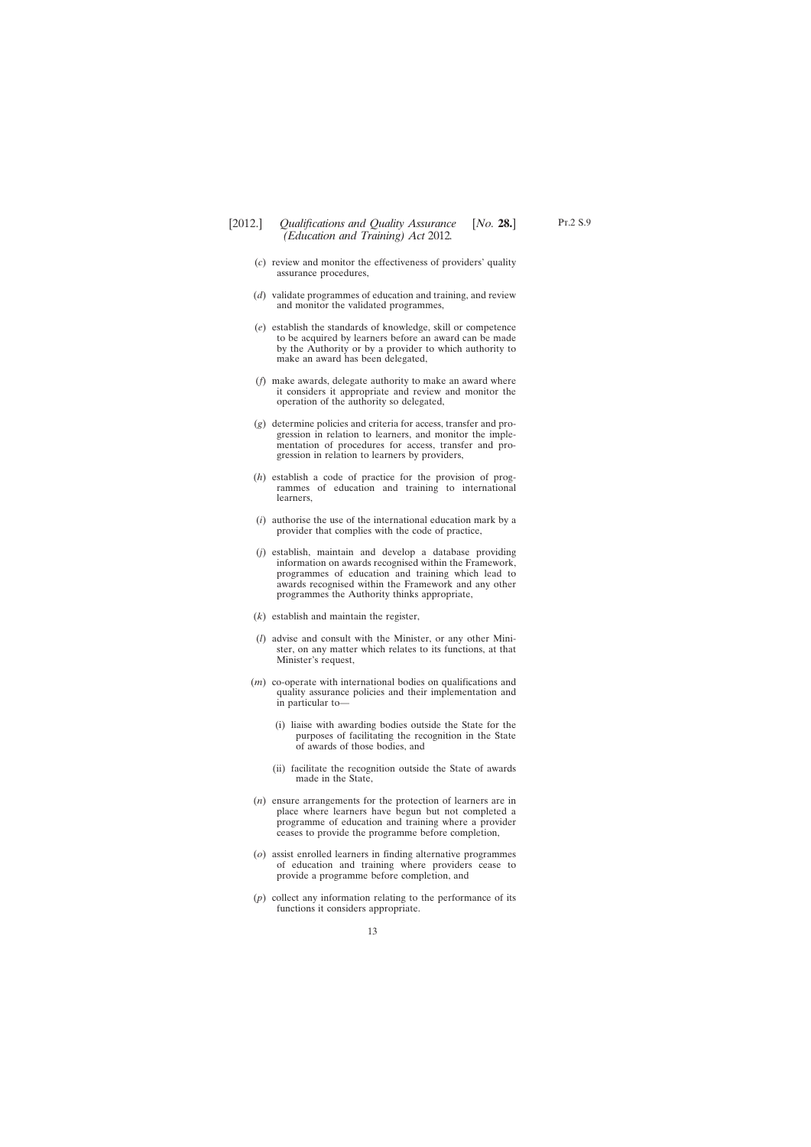- (*c*) review and monitor the effectiveness of providers' quality assurance procedures,
- (*d*) validate programmes of education and training, and review and monitor the validated programmes,
- (*e*) establish the standards of knowledge, skill or competence to be acquired by learners before an award can be made by the Authority or by a provider to which authority to make an award has been delegated,
- (*f*) make awards, delegate authority to make an award where it considers it appropriate and review and monitor the operation of the authority so delegated,
- (*g*) determine policies and criteria for access, transfer and progression in relation to learners, and monitor the implementation of procedures for access, transfer and progression in relation to learners by providers,
- (*h*) establish a code of practice for the provision of programmes of education and training to international learners,
- (*i*) authorise the use of the international education mark by a provider that complies with the code of practice,
- (*j*) establish, maintain and develop a database providing information on awards recognised within the Framework, programmes of education and training which lead to awards recognised within the Framework and any other programmes the Authority thinks appropriate,
- (*k*) establish and maintain the register,
- (*l*) advise and consult with the Minister, or any other Minister, on any matter which relates to its functions, at that Minister's request,
- (*m*) co-operate with international bodies on qualifications and quality assurance policies and their implementation and in particular to—
	- (i) liaise with awarding bodies outside the State for the purposes of facilitating the recognition in the State of awards of those bodies, and
	- (ii) facilitate the recognition outside the State of awards made in the State,
- (*n*) ensure arrangements for the protection of learners are in place where learners have begun but not completed a programme of education and training where a provider ceases to provide the programme before completion,
- (*o*) assist enrolled learners in finding alternative programmes of education and training where providers cease to provide a programme before completion, and
- (*p*) collect any information relating to the performance of its functions it considers appropriate.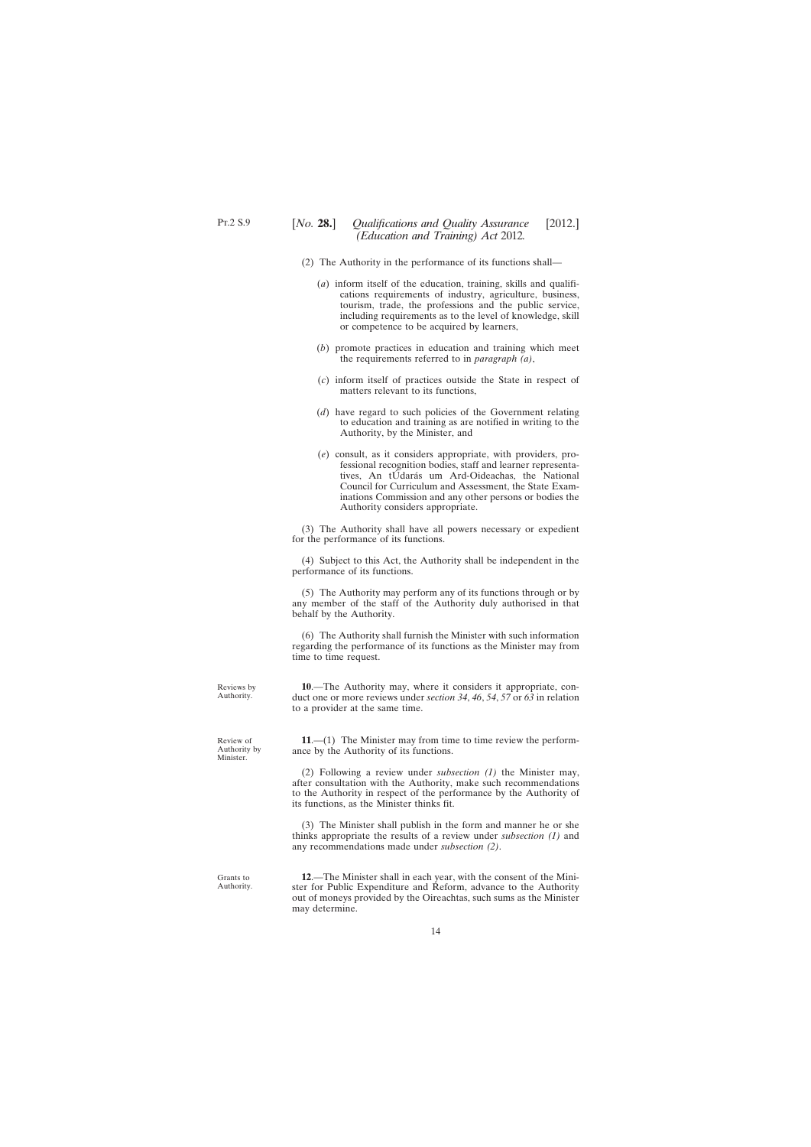- <span id="page-13-0"></span>(2) The Authority in the performance of its functions shall—
	- (*a*) inform itself of the education, training, skills and qualifications requirements of industry, agriculture, business, tourism, trade, the professions and the public service, including requirements as to the level of knowledge, skill or competence to be acquired by learners,
	- (*b*) promote practices in education and training which meet the requirements referred to in *paragraph (a)*,
	- (*c*) inform itself of practices outside the State in respect of matters relevant to its functions,
	- (*d*) have regard to such policies of the Government relating to education and training as are notified in writing to the Authority, by the Minister, and
	- (*e*) consult, as it considers appropriate, with providers, professional recognition bodies, staff and learner representatives, An tÚdarás um Ard-Oideachas, the National Council for Curriculum and Assessment, the State Examinations Commission and any other persons or bodies the Authority considers appropriate.

(3) The Authority shall have all powers necessary or expedient for the performance of its functions.

(4) Subject to this Act, the Authority shall be independent in the performance of its functions.

(5) The Authority may perform any of its functions through or by any member of the staff of the Authority duly authorised in that behalf by the Authority.

(6) The Authority shall furnish the Minister with such information regarding the performance of its functions as the Minister may from time to time request.

**10**.—The Authority may, where it considers it appropriate, conduct one or more reviews under *section 34*, *46*, *54*, *57* or *63* in relation to a provider at the same time.

**11**.—(1) The Minister may from time to time review the performance by the Authority of its functions.

(2) Following a review under *subsection (1)* the Minister may, after consultation with the Authority, make such recommendations to the Authority in respect of the performance by the Authority of its functions, as the Minister thinks fit.

(3) The Minister shall publish in the form and manner he or she thinks appropriate the results of a review under *subsection (1)* and any recommendations made under *subsection (2)*.

**12**.—The Minister shall in each year, with the consent of the Minister for Public Expenditure and Reform, advance to the Authority out of moneys provided by the Oireachtas, such sums as the Minister may determine.

Reviews by Authority.

Review of Authority by Minister.

Grants to Authority.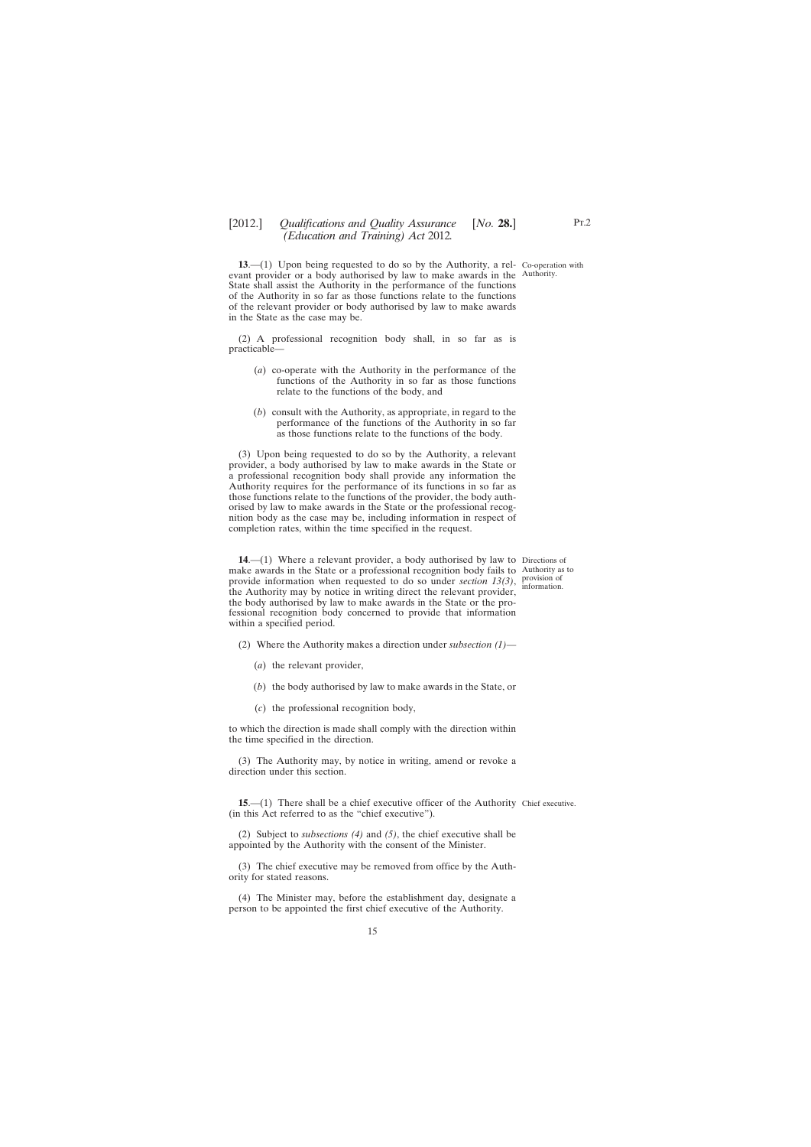<span id="page-14-0"></span>**13.** (1) Upon being requested to do so by the Authority, a rel- Co-operation with evant provider or a body authorised by law to make awards in the Authority. State shall assist the Authority in the performance of the functions of the Authority in so far as those functions relate to the functions of the relevant provider or body authorised by law to make awards in the State as the case may be.

(2) A professional recognition body shall, in so far as is practicable—

- (*a*) co-operate with the Authority in the performance of the functions of the Authority in so far as those functions relate to the functions of the body, and
- (*b*) consult with the Authority, as appropriate, in regard to the performance of the functions of the Authority in so far as those functions relate to the functions of the body.

(3) Upon being requested to do so by the Authority, a relevant provider, a body authorised by law to make awards in the State or a professional recognition body shall provide any information the Authority requires for the performance of its functions in so far as those functions relate to the functions of the provider, the body authorised by law to make awards in the State or the professional recognition body as the case may be, including information in respect of completion rates, within the time specified in the request.

**14.**—(1) Where a relevant provider, a body authorised by law to Directions of make awards in the State or a professional recognition body fails to Authority as to provide information when requested to do so under *section 13(3)*, provision of the Authority may by notice in writing direct the relevant provider, the body authorised by law to make awards in the State or the professional recognition body concerned to provide that information within a specified period.

(2) Where the Authority makes a direction under *subsection (1)*—

- (*a*) the relevant provider,
- (*b*) the body authorised by law to make awards in the State, or
- (*c*) the professional recognition body,

to which the direction is made shall comply with the direction within the time specified in the direction.

(3) The Authority may, by notice in writing, amend or revoke a direction under this section.

**15.**—(1) There shall be a chief executive officer of the Authority Chief executive. (in this Act referred to as the "chief executive").

(2) Subject to *subsections (4)* and *(5)*, the chief executive shall be appointed by the Authority with the consent of the Minister.

(3) The chief executive may be removed from office by the Authority for stated reasons.

(4) The Minister may, before the establishment day, designate a person to be appointed the first chief executive of the Authority.

information.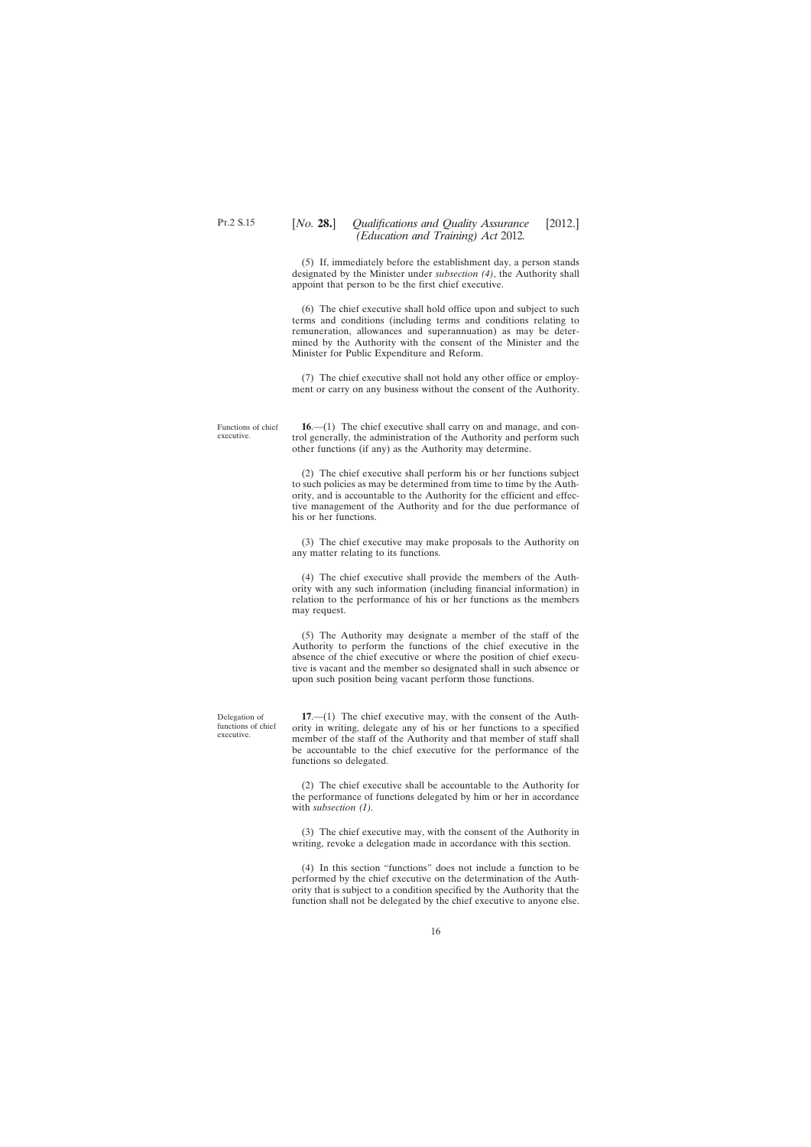<span id="page-15-0"></span>(5) If, immediately before the establishment day, a person stands designated by the Minister under *subsection (4)*, the Authority shall appoint that person to be the first chief executive.

(6) The chief executive shall hold office upon and subject to such terms and conditions (including terms and conditions relating to remuneration, allowances and superannuation) as may be determined by the Authority with the consent of the Minister and the Minister for Public Expenditure and Reform.

(7) The chief executive shall not hold any other office or employment or carry on any business without the consent of the Authority.

Functions of chief executive.

**16**.—(1) The chief executive shall carry on and manage, and control generally, the administration of the Authority and perform such other functions (if any) as the Authority may determine.

(2) The chief executive shall perform his or her functions subject to such policies as may be determined from time to time by the Authority, and is accountable to the Authority for the efficient and effective management of the Authority and for the due performance of his or her functions.

(3) The chief executive may make proposals to the Authority on any matter relating to its functions.

(4) The chief executive shall provide the members of the Authority with any such information (including financial information) in relation to the performance of his or her functions as the members may request.

(5) The Authority may designate a member of the staff of the Authority to perform the functions of the chief executive in the absence of the chief executive or where the position of chief executive is vacant and the member so designated shall in such absence or upon such position being vacant perform those functions.

Delegation of functions of chief executive.

**17**.—(1) The chief executive may, with the consent of the Authority in writing, delegate any of his or her functions to a specified member of the staff of the Authority and that member of staff shall be accountable to the chief executive for the performance of the functions so delegated.

(2) The chief executive shall be accountable to the Authority for the performance of functions delegated by him or her in accordance with *subsection (1).*

(3) The chief executive may, with the consent of the Authority in writing, revoke a delegation made in accordance with this section.

(4) In this section "functions" does not include a function to be performed by the chief executive on the determination of the Authority that is subject to a condition specified by the Authority that the function shall not be delegated by the chief executive to anyone else.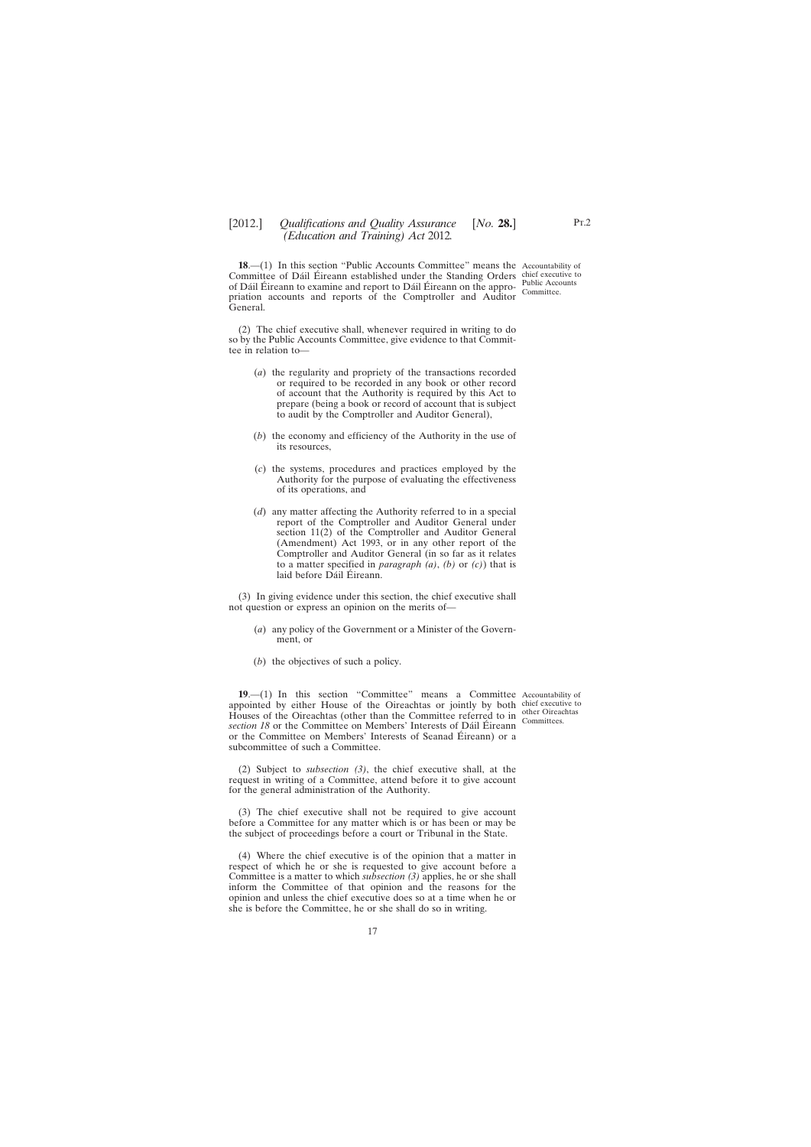<span id="page-16-0"></span>**18.—(1)** In this section "Public Accounts Committee" means the Accountability of Committee of Dáil Éireann established under the Standing Orders chief executive to of Dáil Éireann to examine and report to Dáil Éireann on the appro- Public Accounts priation accounts and reports of the Comptroller and Auditor General.

Committee.

(2) The chief executive shall, whenever required in writing to do so by the Public Accounts Committee, give evidence to that Committee in relation to—

- (*a*) the regularity and propriety of the transactions recorded or required to be recorded in any book or other record of account that the Authority is required by this Act to prepare (being a book or record of account that is subject to audit by the Comptroller and Auditor General),
- (*b*) the economy and efficiency of the Authority in the use of its resources,
- (*c*) the systems, procedures and practices employed by the Authority for the purpose of evaluating the effectiveness of its operations, and
- (*d*) any matter affecting the Authority referred to in a special report of the Comptroller and Auditor General under section 11(2) of the Comptroller and Auditor General (Amendment) Act 1993, or in any other report of the Comptroller and Auditor General (in so far as it relates to a matter specified in *paragraph (a)*, *(b)* or *(c)*) that is laid before Dáil Éireann.

(3) In giving evidence under this section, the chief executive shall not question or express an opinion on the merits of—

- (*a*) any policy of the Government or a Minister of the Government, or
- (*b*) the objectives of such a policy.

**19.**—(1) In this section "Committee" means a Committee Accountability of appointed by either House of the Oireachtas or jointly by both chief executive to Houses of the Oireachtas (other than the Committee referred to in  $\frac{\text{other Orneachtas}}{\text{Commitices}}$ *section 18* or the Committee on Members' Interests of Dáil Éireann or the Committee on Members' Interests of Seanad Éireann) or a subcommittee of such a Committee.

Committees.

(2) Subject to *subsection (3)*, the chief executive shall, at the request in writing of a Committee, attend before it to give account for the general administration of the Authority.

(3) The chief executive shall not be required to give account before a Committee for any matter which is or has been or may be the subject of proceedings before a court or Tribunal in the State.

(4) Where the chief executive is of the opinion that a matter in respect of which he or she is requested to give account before a Committee is a matter to which *subsection (3)* applies, he or she shall inform the Committee of that opinion and the reasons for the opinion and unless the chief executive does so at a time when he or she is before the Committee, he or she shall do so in writing.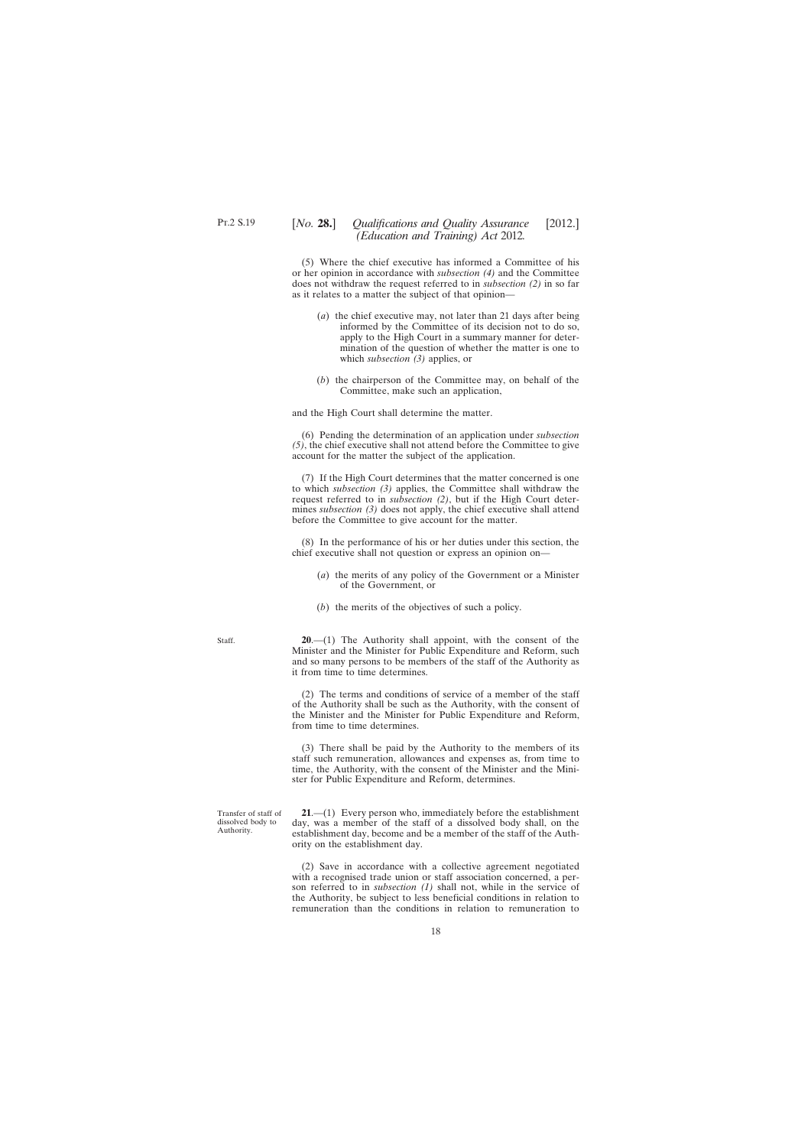<span id="page-17-0"></span>(5) Where the chief executive has informed a Committee of his or her opinion in accordance with *subsection (4)* and the Committee does not withdraw the request referred to in *subsection (2)* in so far as it relates to a matter the subject of that opinion—

- (*a*) the chief executive may, not later than 21 days after being informed by the Committee of its decision not to do so, apply to the High Court in a summary manner for determination of the question of whether the matter is one to which *subsection (3)* applies, or
- (*b*) the chairperson of the Committee may, on behalf of the Committee, make such an application,

and the High Court shall determine the matter.

(6) Pending the determination of an application under *subsection (5)*, the chief executive shall not attend before the Committee to give account for the matter the subject of the application.

(7) If the High Court determines that the matter concerned is one to which *subsection (3)* applies, the Committee shall withdraw the request referred to in *subsection (2)*, but if the High Court determines *subsection (3)* does not apply, the chief executive shall attend before the Committee to give account for the matter.

(8) In the performance of his or her duties under this section, the chief executive shall not question or express an opinion on—

- (*a*) the merits of any policy of the Government or a Minister of the Government, or
- (*b*) the merits of the objectives of such a policy.

**20**.—(1) The Authority shall appoint, with the consent of the Minister and the Minister for Public Expenditure and Reform, such and so many persons to be members of the staff of the Authority as it from time to time determines.

(2) The terms and conditions of service of a member of the staff of the Authority shall be such as the Authority, with the consent of the Minister and the Minister for Public Expenditure and Reform, from time to time determines.

(3) There shall be paid by the Authority to the members of its staff such remuneration, allowances and expenses as, from time to time, the Authority, with the consent of the Minister and the Minister for Public Expenditure and Reform, determines.

**21**.—(1) Every person who, immediately before the establishment day, was a member of the staff of a dissolved body shall, on the establishment day, become and be a member of the staff of the Authority on the establishment day.

(2) Save in accordance with a collective agreement negotiated with a recognised trade union or staff association concerned, a person referred to in *subsection (1)* shall not, while in the service of the Authority, be subject to less beneficial conditions in relation to remuneration than the conditions in relation to remuneration to

Staff.

Transfer of staff of dissolved body to Authority.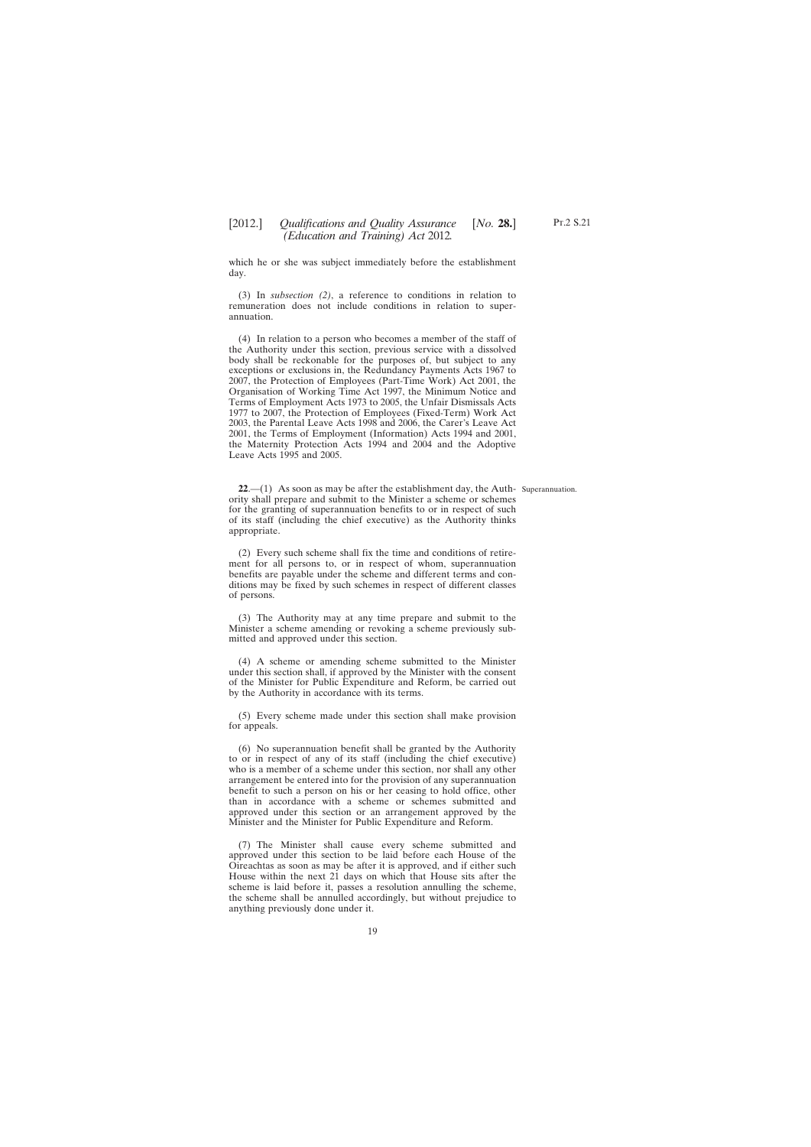<span id="page-18-0"></span>which he or she was subject immediately before the establishment day.

(3) In *subsection (2)*, a reference to conditions in relation to remuneration does not include conditions in relation to superannuation.

(4) In relation to a person who becomes a member of the staff of the Authority under this section, previous service with a dissolved body shall be reckonable for the purposes of, but subject to any exceptions or exclusions in, the Redundancy Payments Acts 1967 to 2007, the Protection of Employees (Part-Time Work) Act 2001, the Organisation of Working Time Act 1997, the Minimum Notice and Terms of Employment Acts 1973 to 2005, the Unfair Dismissals Acts 1977 to 2007, the Protection of Employees (Fixed-Term) Work Act 2003, the Parental Leave Acts 1998 and 2006, the Carer's Leave Act 2001, the Terms of Employment (Information) Acts 1994 and 2001, the Maternity Protection Acts 1994 and 2004 and the Adoptive Leave Acts 1995 and 2005.

**22**.—(1) As soon as may be after the establishment day, the Auth-Superannuation.ority shall prepare and submit to the Minister a scheme or schemes for the granting of superannuation benefits to or in respect of such of its staff (including the chief executive) as the Authority thinks appropriate.

(2) Every such scheme shall fix the time and conditions of retirement for all persons to, or in respect of whom, superannuation benefits are payable under the scheme and different terms and conditions may be fixed by such schemes in respect of different classes of persons.

(3) The Authority may at any time prepare and submit to the Minister a scheme amending or revoking a scheme previously submitted and approved under this section.

(4) A scheme or amending scheme submitted to the Minister under this section shall, if approved by the Minister with the consent of the Minister for Public Expenditure and Reform, be carried out by the Authority in accordance with its terms.

(5) Every scheme made under this section shall make provision for appeals.

(6) No superannuation benefit shall be granted by the Authority to or in respect of any of its staff (including the chief executive) who is a member of a scheme under this section, nor shall any other arrangement be entered into for the provision of any superannuation benefit to such a person on his or her ceasing to hold office, other than in accordance with a scheme or schemes submitted and approved under this section or an arrangement approved by the Minister and the Minister for Public Expenditure and Reform.

(7) The Minister shall cause every scheme submitted and approved under this section to be laid before each House of the Oireachtas as soon as may be after it is approved, and if either such House within the next 21 days on which that House sits after the scheme is laid before it, passes a resolution annulling the scheme, the scheme shall be annulled accordingly, but without prejudice to anything previously done under it.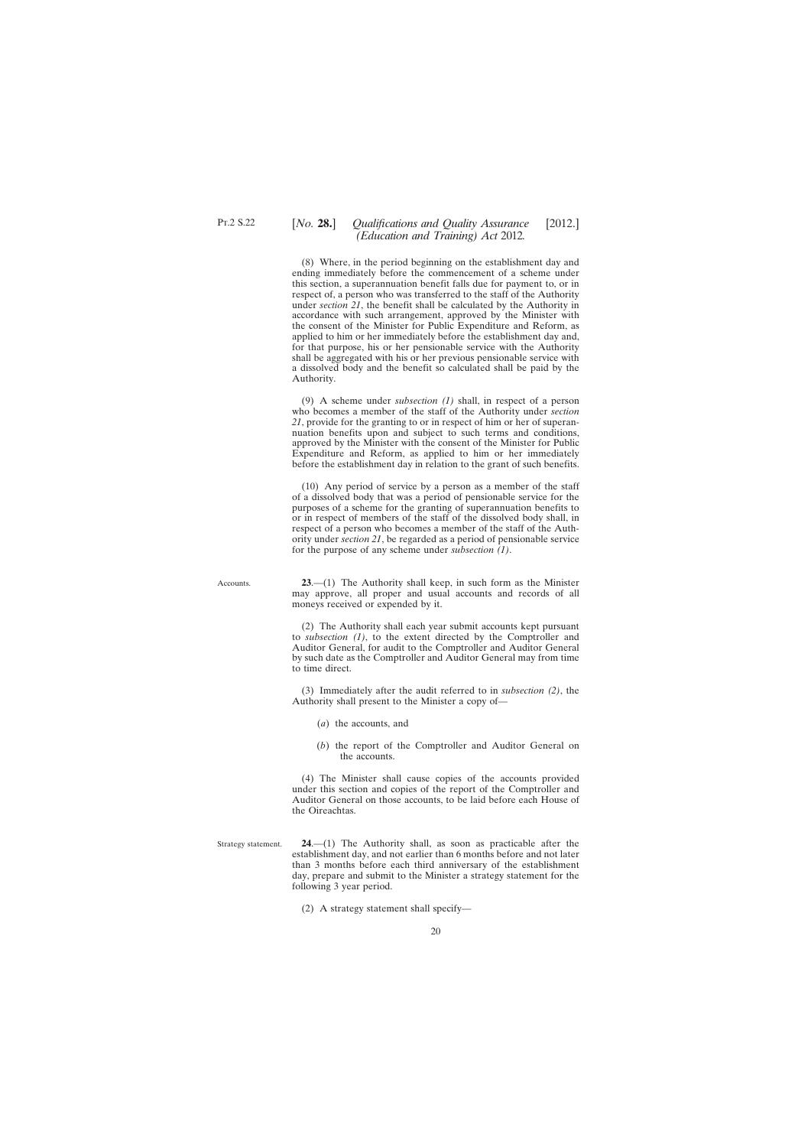# <span id="page-19-0"></span>[*No.* **28.**] *Qualifications and Quality Assurance* [2012.] *(Education and Training) Act* 2012*.*

(8) Where, in the period beginning on the establishment day and ending immediately before the commencement of a scheme under this section, a superannuation benefit falls due for payment to, or in respect of, a person who was transferred to the staff of the Authority under *section 21*, the benefit shall be calculated by the Authority in accordance with such arrangement, approved by the Minister with the consent of the Minister for Public Expenditure and Reform, as applied to him or her immediately before the establishment day and, for that purpose, his or her pensionable service with the Authority shall be aggregated with his or her previous pensionable service with a dissolved body and the benefit so calculated shall be paid by the Authority.

(9) A scheme under *subsection (1)* shall, in respect of a person who becomes a member of the staff of the Authority under *section 21*, provide for the granting to or in respect of him or her of superannuation benefits upon and subject to such terms and conditions, approved by the Minister with the consent of the Minister for Public Expenditure and Reform, as applied to him or her immediately before the establishment day in relation to the grant of such benefits.

(10) Any period of service by a person as a member of the staff of a dissolved body that was a period of pensionable service for the purposes of a scheme for the granting of superannuation benefits to or in respect of members of the staff of the dissolved body shall, in respect of a person who becomes a member of the staff of the Authority under *section 21*, be regarded as a period of pensionable service for the purpose of any scheme under *subsection (1)*.

Accounts.

**23**.—(1) The Authority shall keep, in such form as the Minister may approve, all proper and usual accounts and records of all moneys received or expended by it.

(2) The Authority shall each year submit accounts kept pursuant to *subsection (1)*, to the extent directed by the Comptroller and Auditor General, for audit to the Comptroller and Auditor General by such date as the Comptroller and Auditor General may from time to time direct.

(3) Immediately after the audit referred to in *subsection (2)*, the Authority shall present to the Minister a copy of—

- (*a*) the accounts, and
- (*b*) the report of the Comptroller and Auditor General on the accounts.

(4) The Minister shall cause copies of the accounts provided under this section and copies of the report of the Comptroller and Auditor General on those accounts, to be laid before each House of the Oireachtas.

Strategy statement. **24**.—(1) The Authority shall, as soon as practicable after the establishment day, and not earlier than 6 months before and not later than 3 months before each third anniversary of the establishment day, prepare and submit to the Minister a strategy statement for the following 3 year period.

(2) A strategy statement shall specify—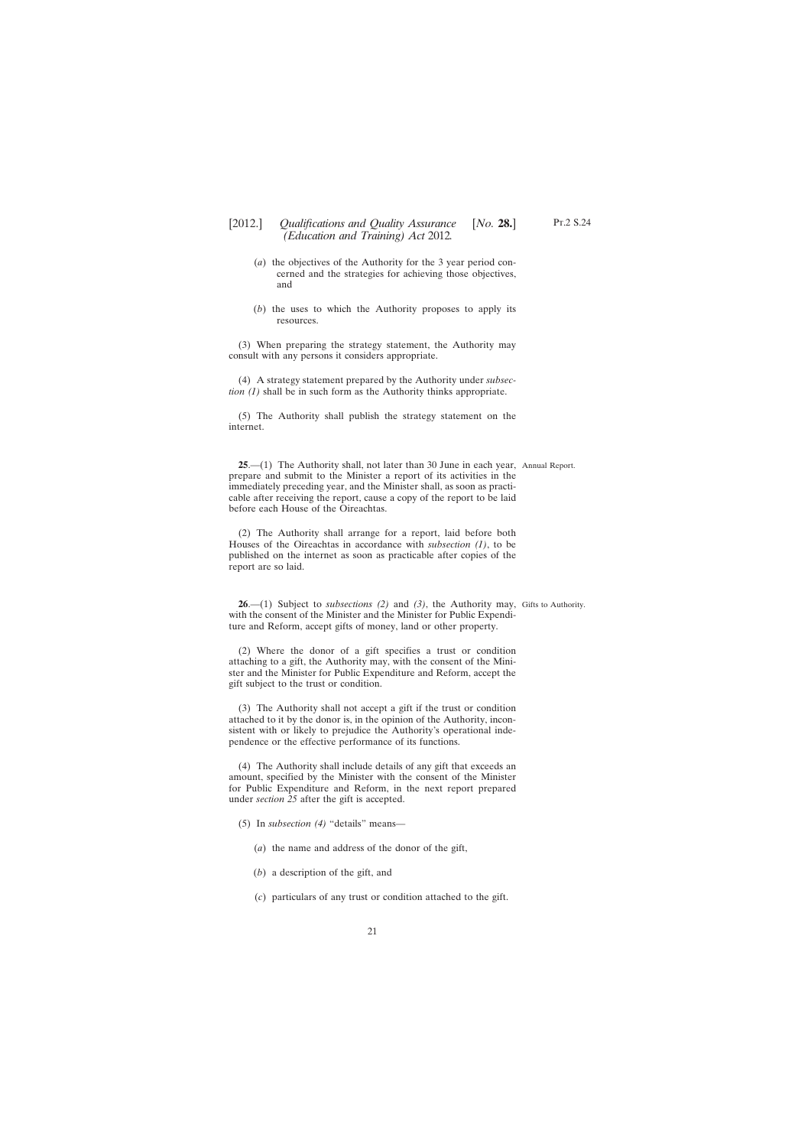- <span id="page-20-0"></span>(*a*) the objectives of the Authority for the 3 year period concerned and the strategies for achieving those objectives, and
- (*b*) the uses to which the Authority proposes to apply its resources.

(3) When preparing the strategy statement, the Authority may consult with any persons it considers appropriate.

(4) A strategy statement prepared by the Authority under *subsection (1)* shall be in such form as the Authority thinks appropriate.

(5) The Authority shall publish the strategy statement on the internet.

**25**.—(1) The Authority shall, not later than 30 June in each year, Annual Report. prepare and submit to the Minister a report of its activities in the immediately preceding year, and the Minister shall, as soon as practicable after receiving the report, cause a copy of the report to be laid before each House of the Oireachtas.

(2) The Authority shall arrange for a report, laid before both Houses of the Oireachtas in accordance with *subsection (1)*, to be published on the internet as soon as practicable after copies of the report are so laid.

**26**.—(1) Subject to *subsections (2)* and *(3)*, the Authority may, Gifts to Authority.with the consent of the Minister and the Minister for Public Expenditure and Reform, accept gifts of money, land or other property.

(2) Where the donor of a gift specifies a trust or condition attaching to a gift, the Authority may, with the consent of the Minister and the Minister for Public Expenditure and Reform, accept the gift subject to the trust or condition.

(3) The Authority shall not accept a gift if the trust or condition attached to it by the donor is, in the opinion of the Authority, inconsistent with or likely to prejudice the Authority's operational independence or the effective performance of its functions.

(4) The Authority shall include details of any gift that exceeds an amount, specified by the Minister with the consent of the Minister for Public Expenditure and Reform, in the next report prepared under *section 25* after the gift is accepted.

- (5) In *subsection (4)* "details" means—
	- (*a*) the name and address of the donor of the gift,
	- (*b*) a description of the gift, and
	- (*c*) particulars of any trust or condition attached to the gift.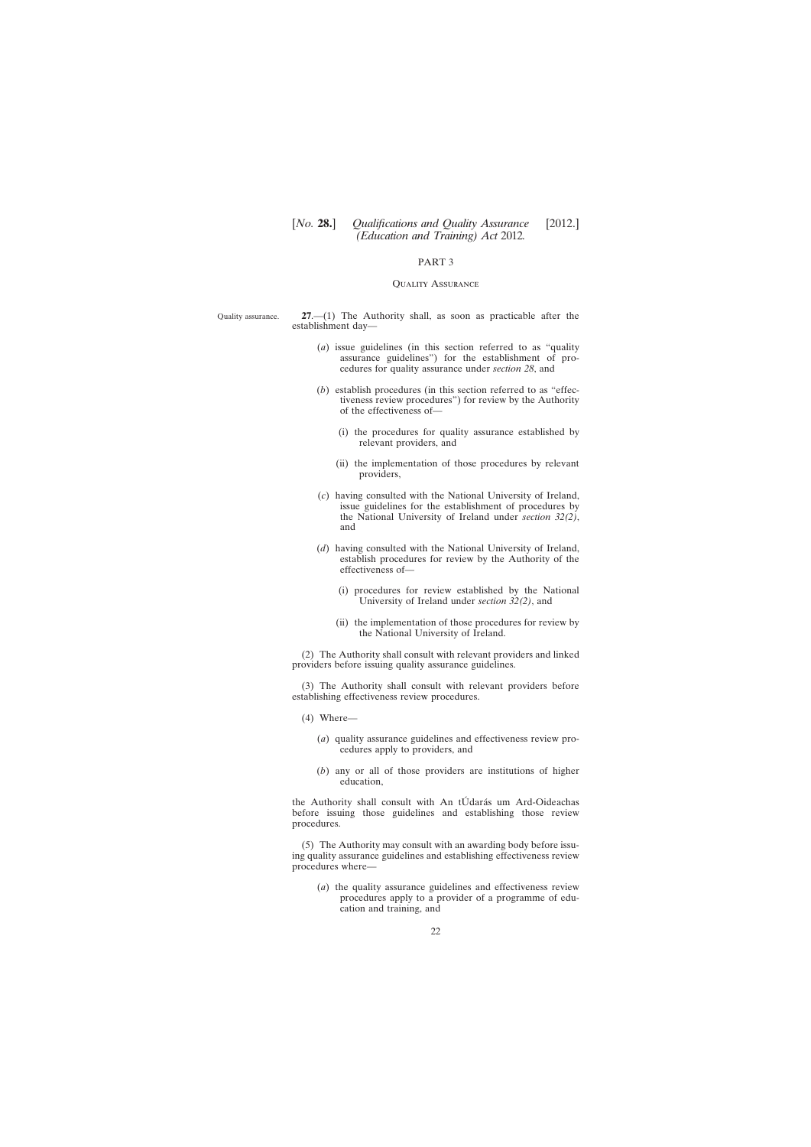## PART 3

#### Quality Assurance

<span id="page-21-0"></span>Quality assurance. **27**.—(1) The Authority shall, as soon as practicable after the establishment day—

- (*a*) issue guidelines (in this section referred to as "quality assurance guidelines") for the establishment of procedures for quality assurance under *section 28*, and
- (*b*) establish procedures (in this section referred to as "effectiveness review procedures") for review by the Authority of the effectiveness of—
	- (i) the procedures for quality assurance established by relevant providers, and
	- (ii) the implementation of those procedures by relevant providers,
- (*c*) having consulted with the National University of Ireland, issue guidelines for the establishment of procedures by the National University of Ireland under *section 32(2)*, and
- (*d*) having consulted with the National University of Ireland, establish procedures for review by the Authority of the effectiveness of—
	- (i) procedures for review established by the National University of Ireland under *section 32(2)*, and
	- (ii) the implementation of those procedures for review by the National University of Ireland.

(2) The Authority shall consult with relevant providers and linked providers before issuing quality assurance guidelines.

(3) The Authority shall consult with relevant providers before establishing effectiveness review procedures.

- (4) Where—
	- (*a*) quality assurance guidelines and effectiveness review procedures apply to providers, and
	- (*b*) any or all of those providers are institutions of higher education,

the Authority shall consult with An tÚdarás um Ard-Oideachas before issuing those guidelines and establishing those review procedures.

(5) The Authority may consult with an awarding body before issuing quality assurance guidelines and establishing effectiveness review procedures where—

(*a*) the quality assurance guidelines and effectiveness review procedures apply to a provider of a programme of education and training, and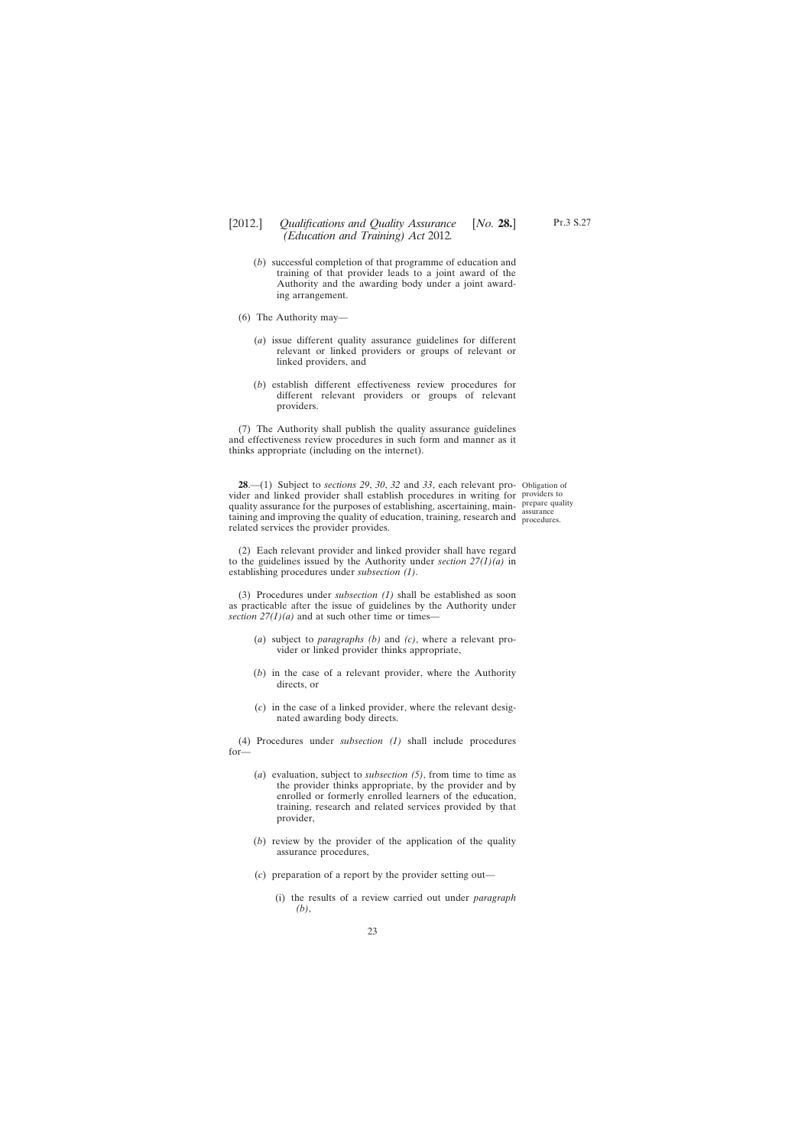- <span id="page-22-0"></span>[2012.] [ *Qualifications and Quality Assurance No.* **28.**] *(Education and Training) Act* 2012*.*
	- (*b*) successful completion of that programme of education and training of that provider leads to a joint award of the Authority and the awarding body under a joint awarding arrangement.
	- (6) The Authority may—
		- (*a*) issue different quality assurance guidelines for different relevant or linked providers or groups of relevant or linked providers, and
		- (*b*) establish different effectiveness review procedures for different relevant providers or groups of relevant providers.

(7) The Authority shall publish the quality assurance guidelines and effectiveness review procedures in such form and manner as it thinks appropriate (including on the internet).

**28**.—(1) Subject to *sections 29*, *30*, *32* and *33*, each relevant pro-Obligation of vider and linked provider shall establish procedures in writing for providers to quality assurance for the purposes of establishing, ascertaining, maintaining and improving the quality of education, training, research and procedure related services the provider provides.

procedures.

(2) Each relevant provider and linked provider shall have regard to the guidelines issued by the Authority under *section 27(1)(a)* in establishing procedures under *subsection (1)*.

(3) Procedures under *subsection (1)* shall be established as soon as practicable after the issue of guidelines by the Authority under *section*  $27(1)(a)$  and at such other time or times—

- (*a*) subject to *paragraphs (b)* and *(c)*, where a relevant provider or linked provider thinks appropriate,
- (*b*) in the case of a relevant provider, where the Authority directs, or
- (*c*) in the case of a linked provider, where the relevant designated awarding body directs.

(4) Procedures under *subsection (1)* shall include procedures for—

- (*a*) evaluation, subject to *subsection (5)*, from time to time as the provider thinks appropriate, by the provider and by enrolled or formerly enrolled learners of the education, training, research and related services provided by that provider,
- (*b*) review by the provider of the application of the quality assurance procedures,
- (*c*) preparation of a report by the provider setting out—
	- (i) the results of a review carried out under *paragraph (b)*,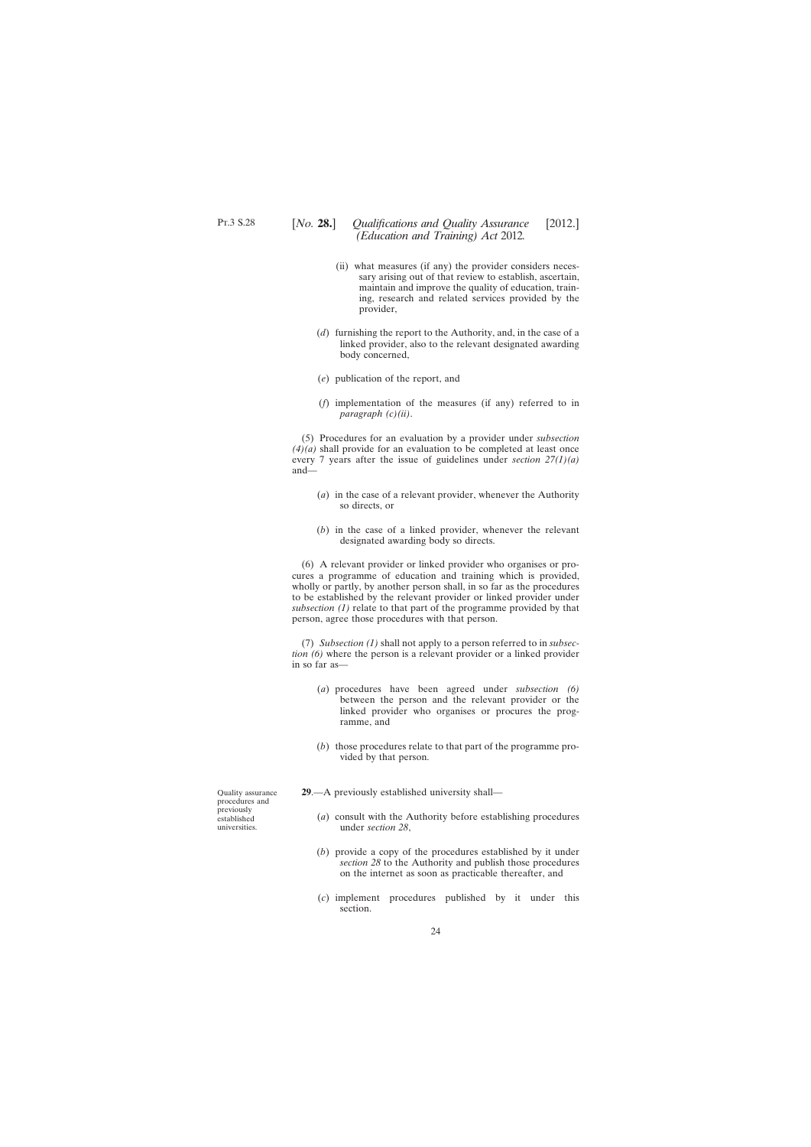- <span id="page-23-0"></span>(ii) what measures (if any) the provider considers necessary arising out of that review to establish, ascertain, maintain and improve the quality of education, training, research and related services provided by the provider,
- (*d*) furnishing the report to the Authority, and, in the case of a linked provider, also to the relevant designated awarding body concerned,
- (*e*) publication of the report, and
- (*f*) implementation of the measures (if any) referred to in *paragraph (c)(ii)*.

(5) Procedures for an evaluation by a provider under *subsection*  $(4)(a)$  shall provide for an evaluation to be completed at least once every 7 years after the issue of guidelines under *section 27(1)(a)* and—

- (*a*) in the case of a relevant provider, whenever the Authority so directs, or
- (*b*) in the case of a linked provider, whenever the relevant designated awarding body so directs.

(6) A relevant provider or linked provider who organises or procures a programme of education and training which is provided, wholly or partly, by another person shall, in so far as the procedures to be established by the relevant provider or linked provider under *subsection (1)* relate to that part of the programme provided by that person, agree those procedures with that person.

(7) *Subsection (1)* shall not apply to a person referred to in *subsection (6)* where the person is a relevant provider or a linked provider in so far as—

- (*a*) procedures have been agreed under *subsection (6)* between the person and the relevant provider or the linked provider who organises or procures the programme, and
- (*b*) those procedures relate to that part of the programme provided by that person.
- **29**.—A previously established university shall—
	- (*a*) consult with the Authority before establishing procedures under *section 28*,
	- (*b*) provide a copy of the procedures established by it under *section 28* to the Authority and publish those procedures on the internet as soon as practicable thereafter, and
	- (*c*) implement procedures published by it under this section.

Quality assurance procedures and previously established universities.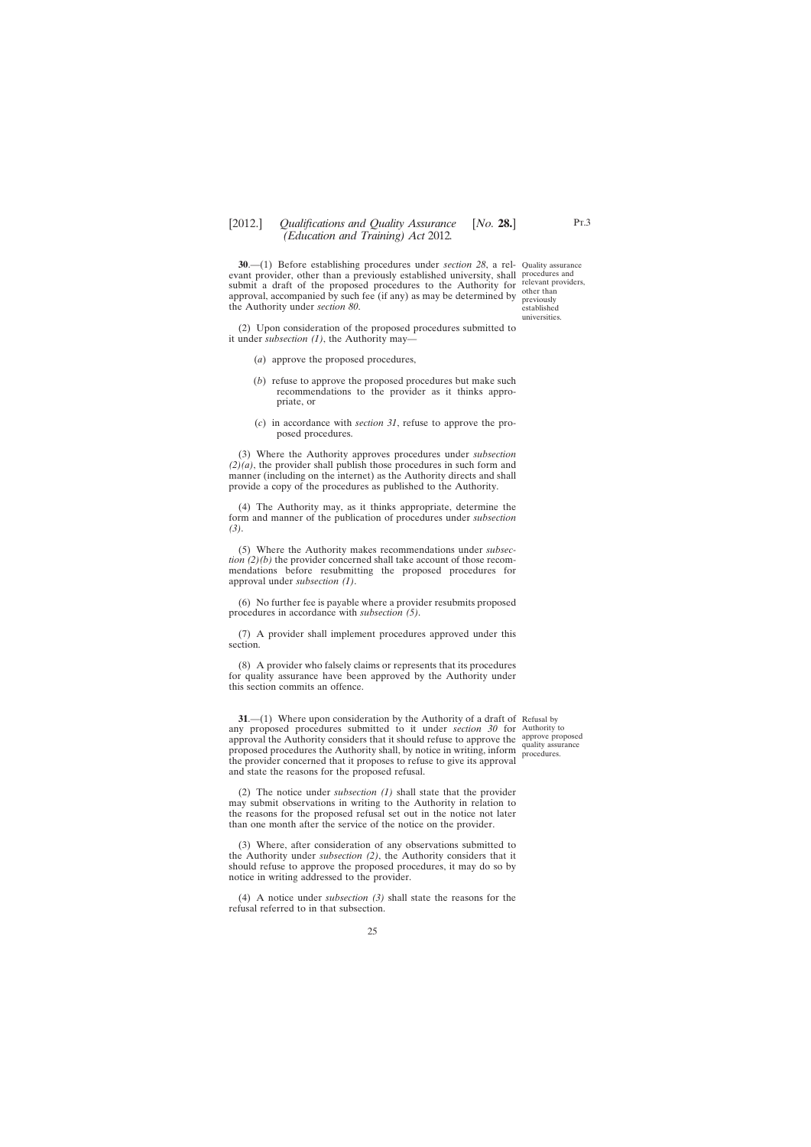<span id="page-24-0"></span>**30.**—(1) Before establishing procedures under *section 28*, a rel- Quality assurance evant provider, other than a previously established university, shall submit a draft of the proposed procedures to the Authority for approval, accompanied by such fee (if any) as may be determined by the Authority under *section 80*.

procedures and relevant providers, other than previously established universities.

(2) Upon consideration of the proposed procedures submitted to it under *subsection (1)*, the Authority may—

- (*a*) approve the proposed procedures,
- (*b*) refuse to approve the proposed procedures but make such recommendations to the provider as it thinks appropriate, or
- (*c*) in accordance with *section 31*, refuse to approve the proposed procedures.

(3) Where the Authority approves procedures under *subsection (2)(a)*, the provider shall publish those procedures in such form and manner (including on the internet) as the Authority directs and shall provide a copy of the procedures as published to the Authority.

(4) The Authority may, as it thinks appropriate, determine the form and manner of the publication of procedures under *subsection (3)*.

(5) Where the Authority makes recommendations under *subsection (2)(b)* the provider concerned shall take account of those recommendations before resubmitting the proposed procedures for approval under *subsection (1)*.

(6) No further fee is payable where a provider resubmits proposed procedures in accordance with *subsection (5)*.

(7) A provider shall implement procedures approved under this section.

(8) A provider who falsely claims or represents that its procedures for quality assurance have been approved by the Authority under this section commits an offence.

**31.**—(1) Where upon consideration by the Authority of a draft of Refusal by any proposed procedures submitted to it under *section 30* for Authority to approval the Authority considers that it should refuse to approve the approve proposed proposed procedures the Authority shall, by notice in writing, inform procedures. the provider concerned that it proposes to refuse to give its approval and state the reasons for the proposed refusal.

quality assurance

(2) The notice under *subsection (1)* shall state that the provider may submit observations in writing to the Authority in relation to the reasons for the proposed refusal set out in the notice not later than one month after the service of the notice on the provider.

(3) Where, after consideration of any observations submitted to the Authority under *subsection (2)*, the Authority considers that it should refuse to approve the proposed procedures, it may do so by notice in writing addressed to the provider.

(4) A notice under *subsection (3)* shall state the reasons for the refusal referred to in that subsection.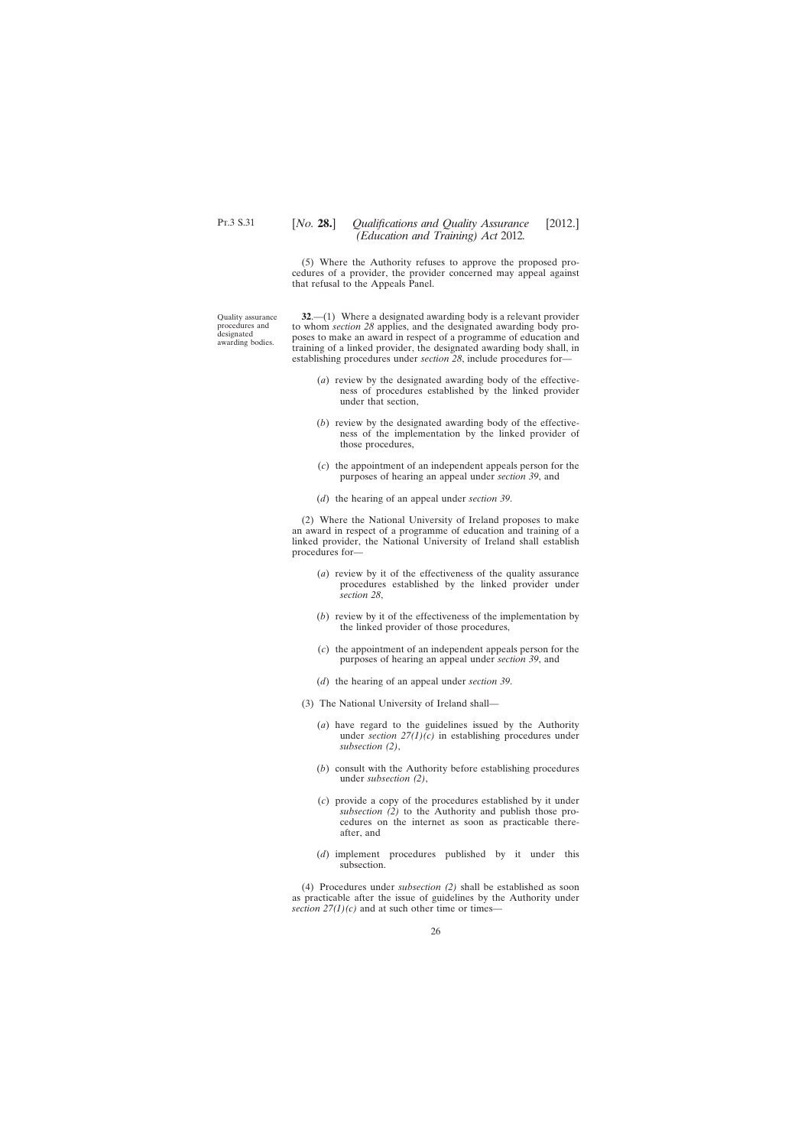# <span id="page-25-0"></span>[*No.* **28.**] *Qualifications and Quality Assurance* [2012.] *(Education and Training) Act* 2012*.*

(5) Where the Authority refuses to approve the proposed procedures of a provider, the provider concerned may appeal against that refusal to the Appeals Panel.

Quality assurance procedures and designated awarding bodies.

**32**.—(1) Where a designated awarding body is a relevant provider to whom *section 28* applies, and the designated awarding body proposes to make an award in respect of a programme of education and training of a linked provider, the designated awarding body shall, in establishing procedures under *section 28*, include procedures for—

- (*a*) review by the designated awarding body of the effectiveness of procedures established by the linked provider under that section,
- (*b*) review by the designated awarding body of the effectiveness of the implementation by the linked provider of those procedures,
- (*c*) the appointment of an independent appeals person for the purposes of hearing an appeal under *section 39*, and
- (*d*) the hearing of an appeal under *section 39*.

(2) Where the National University of Ireland proposes to make an award in respect of a programme of education and training of a linked provider, the National University of Ireland shall establish procedures for—

- (*a*) review by it of the effectiveness of the quality assurance procedures established by the linked provider under *section 28*,
- (*b*) review by it of the effectiveness of the implementation by the linked provider of those procedures,
- (*c*) the appointment of an independent appeals person for the purposes of hearing an appeal under *section 39*, and
- (*d*) the hearing of an appeal under *section 39*.
- (3) The National University of Ireland shall—
	- (*a*) have regard to the guidelines issued by the Authority under *section 27(1)(c)* in establishing procedures under *subsection (2)*,
	- (*b*) consult with the Authority before establishing procedures under *subsection (2)*,
	- (*c*) provide a copy of the procedures established by it under *subsection (2)* to the Authority and publish those procedures on the internet as soon as practicable thereafter, and
	- (*d*) implement procedures published by it under this subsection.

(4) Procedures under *subsection (2)* shall be established as soon as practicable after the issue of guidelines by the Authority under *section*  $27(1)(c)$  and at such other time or times—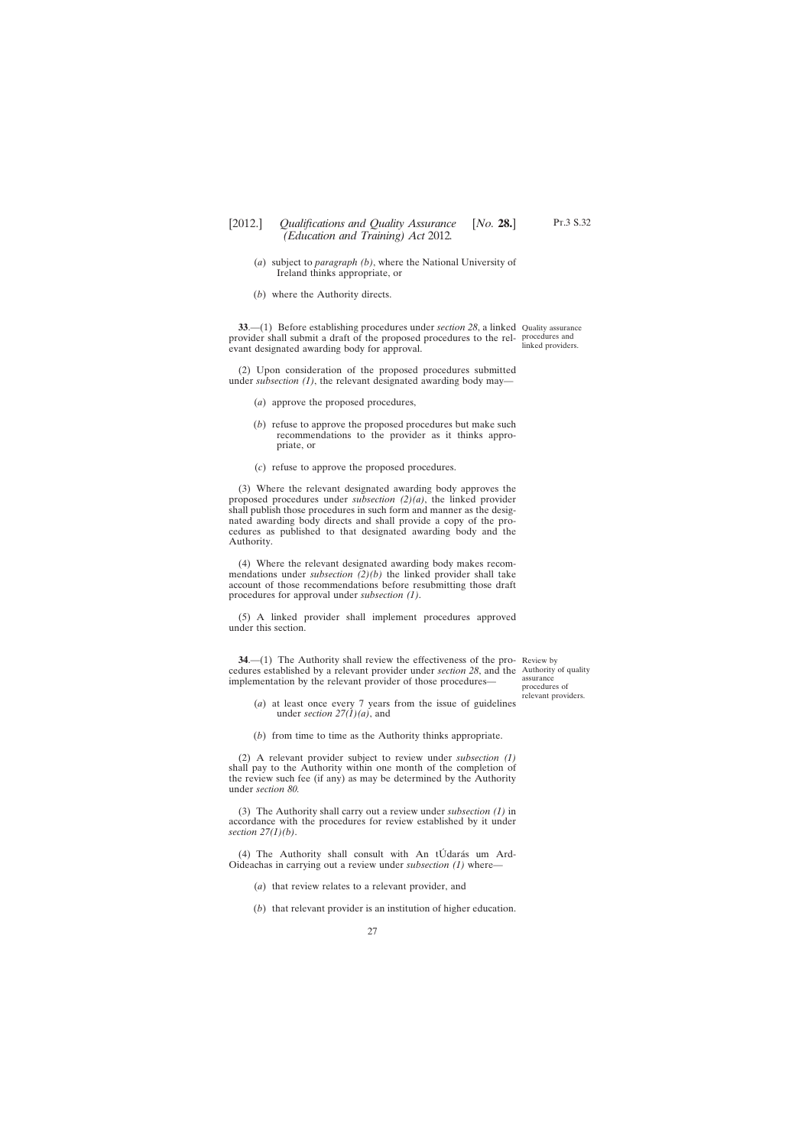- Pt.3 S.32
- <span id="page-26-0"></span>(*a*) subject to *paragraph (b)*, where the National University of Ireland thinks appropriate, or
- (*b*) where the Authority directs.

**33.**—(1) Before establishing procedures under *section 28*, a linked Quality assurance provider shall submit a draft of the proposed procedures to the rel-procedures and evant designated awarding body for approval.

(2) Upon consideration of the proposed procedures submitted under *subsection (1)*, the relevant designated awarding body may—

- (*a*) approve the proposed procedures,
- (*b*) refuse to approve the proposed procedures but make such recommendations to the provider as it thinks appropriate, or
- (*c*) refuse to approve the proposed procedures.

(3) Where the relevant designated awarding body approves the proposed procedures under *subsection (2)(a)*, the linked provider shall publish those procedures in such form and manner as the designated awarding body directs and shall provide a copy of the procedures as published to that designated awarding body and the Authority.

(4) Where the relevant designated awarding body makes recommendations under *subsection (2)(b)* the linked provider shall take account of those recommendations before resubmitting those draft procedures for approval under *subsection (1)*.

(5) A linked provider shall implement procedures approved under this section.

**34.**—(1) The Authority shall review the effectiveness of the pro-Review by cedures established by a relevant provider under *section 28*, and the Authority of quality implementation by the relevant provider of those procedures—

assurance procedures of relevant providers.

- (*a*) at least once every 7 years from the issue of guidelines under *section 27(1)(a)*, and
- (*b*) from time to time as the Authority thinks appropriate.

(2) A relevant provider subject to review under *subsection (1)* shall pay to the Authority within one month of the completion of the review such fee (if any) as may be determined by the Authority under *section 80.*

(3) The Authority shall carry out a review under *subsection (1)* in accordance with the procedures for review established by it under *section 27(1)(b)*.

(4) The Authority shall consult with An tÚdarás um Ard-Oideachas in carrying out a review under *subsection (1)* where—

(*a*) that review relates to a relevant provider, and

(*b*) that relevant provider is an institution of higher education.

linked providers.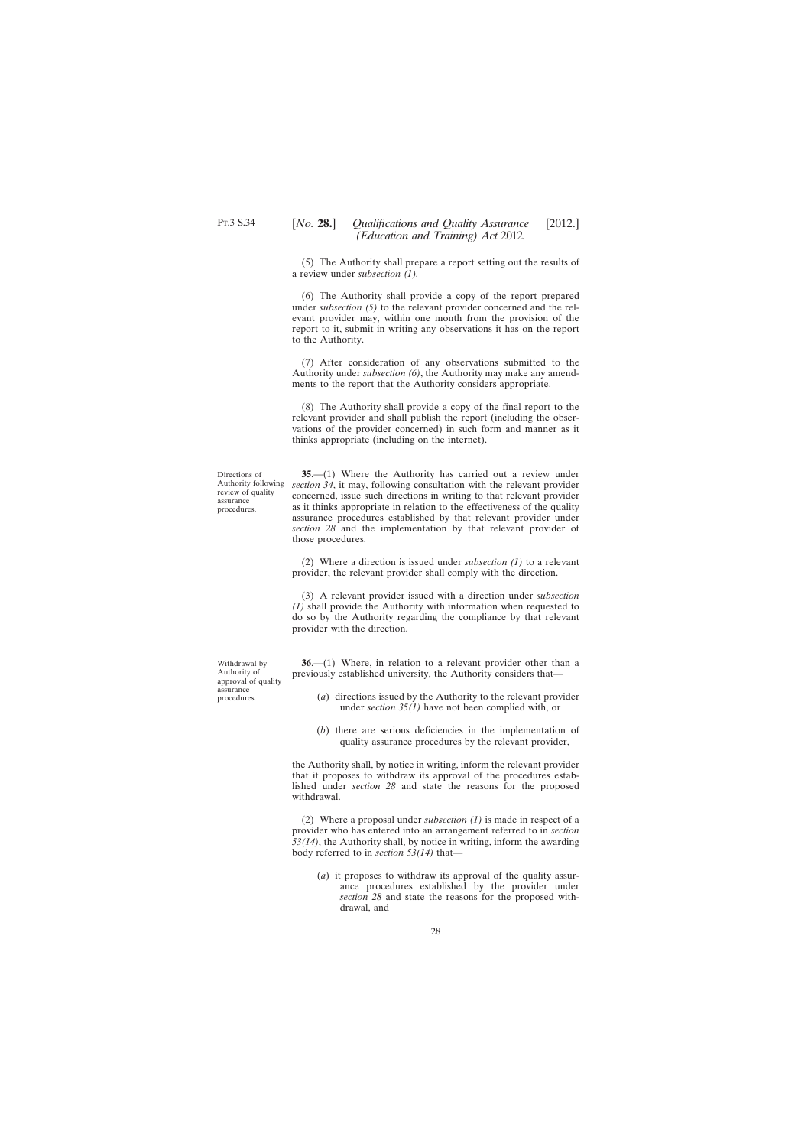<span id="page-27-0"></span>(5) The Authority shall prepare a report setting out the results of a review under *subsection (1).*

(6) The Authority shall provide a copy of the report prepared under *subsection (5)* to the relevant provider concerned and the relevant provider may, within one month from the provision of the report to it, submit in writing any observations it has on the report to the Authority.

(7) After consideration of any observations submitted to the Authority under *subsection (6)*, the Authority may make any amendments to the report that the Authority considers appropriate.

(8) The Authority shall provide a copy of the final report to the relevant provider and shall publish the report (including the observations of the provider concerned) in such form and manner as it thinks appropriate (including on the internet).

Directions of review of quality assurance procedures.

Authority following *section 34*, it may, following consultation with the relevant provider **35**.—(1) Where the Authority has carried out a review under concerned, issue such directions in writing to that relevant provider as it thinks appropriate in relation to the effectiveness of the quality assurance procedures established by that relevant provider under *section 28* and the implementation by that relevant provider of those procedures.

> (2) Where a direction is issued under *subsection (1)* to a relevant provider, the relevant provider shall comply with the direction.

> (3) A relevant provider issued with a direction under *subsection (1)* shall provide the Authority with information when requested to do so by the Authority regarding the compliance by that relevant provider with the direction.

> **36**.—(1) Where, in relation to a relevant provider other than a previously established university, the Authority considers that—

- (*a*) directions issued by the Authority to the relevant provider under *section 35(1)* have not been complied with, or
- (*b*) there are serious deficiencies in the implementation of quality assurance procedures by the relevant provider,

the Authority shall, by notice in writing, inform the relevant provider that it proposes to withdraw its approval of the procedures established under *section 28* and state the reasons for the proposed withdrawal.

(2) Where a proposal under *subsection (1)* is made in respect of a provider who has entered into an arrangement referred to in *section 53(14)*, the Authority shall, by notice in writing, inform the awarding body referred to in *section 53(14)* that—

(*a*) it proposes to withdraw its approval of the quality assurance procedures established by the provider under *section 28* and state the reasons for the proposed withdrawal, and

Withdrawal by Authority of approval of quality assurance procedures.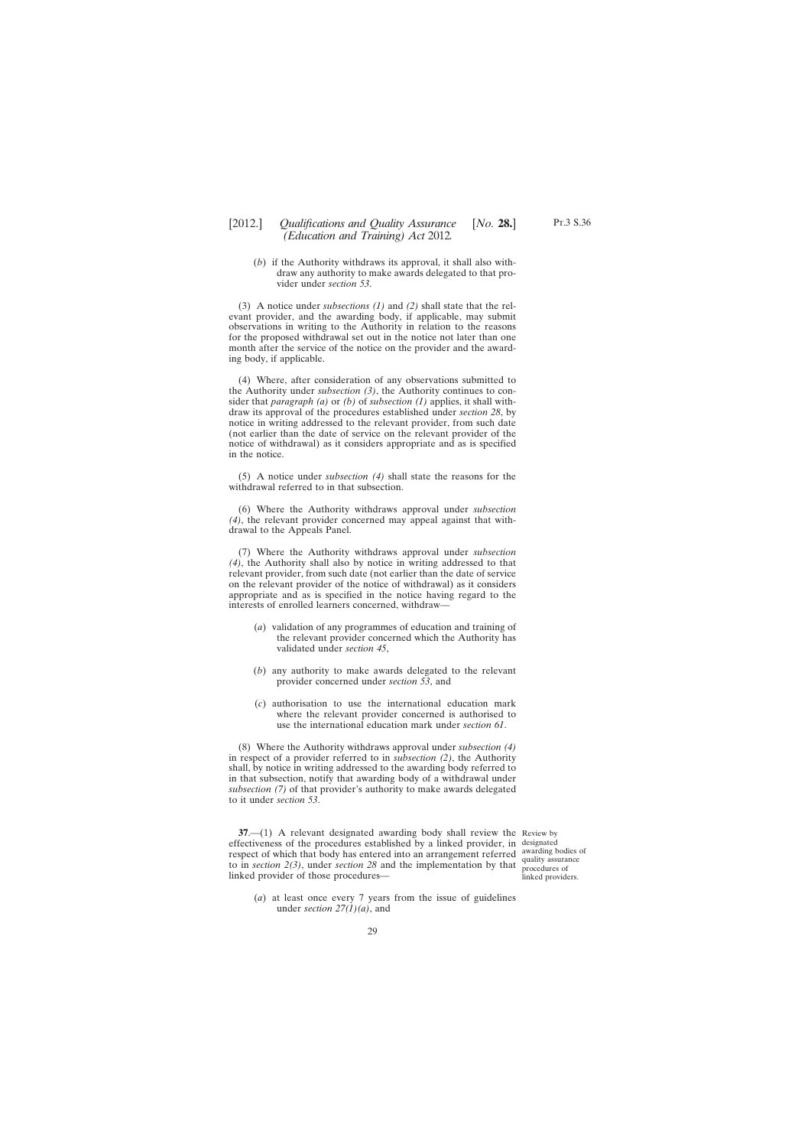# <span id="page-28-0"></span>[2012.] [ *Qualifications and Quality Assurance No.* **28.**] *(Education and Training) Act* 2012*.*

(*b*) if the Authority withdraws its approval, it shall also withdraw any authority to make awards delegated to that provider under *section 53*.

(3) A notice under *subsections (1)* and *(2)* shall state that the relevant provider, and the awarding body, if applicable, may submit observations in writing to the Authority in relation to the reasons for the proposed withdrawal set out in the notice not later than one month after the service of the notice on the provider and the awarding body, if applicable.

(4) Where, after consideration of any observations submitted to the Authority under *subsection (3)*, the Authority continues to consider that *paragraph (a)* or *(b)* of *subsection (1)* applies, it shall withdraw its approval of the procedures established under *section 28*, by notice in writing addressed to the relevant provider, from such date (not earlier than the date of service on the relevant provider of the notice of withdrawal) as it considers appropriate and as is specified in the notice.

(5) A notice under *subsection (4)* shall state the reasons for the withdrawal referred to in that subsection.

(6) Where the Authority withdraws approval under *subsection (4)*, the relevant provider concerned may appeal against that withdrawal to the Appeals Panel.

(7) Where the Authority withdraws approval under *subsection (4)*, the Authority shall also by notice in writing addressed to that relevant provider, from such date (not earlier than the date of service on the relevant provider of the notice of withdrawal) as it considers appropriate and as is specified in the notice having regard to the interests of enrolled learners concerned, withdraw—

- (*a*) validation of any programmes of education and training of the relevant provider concerned which the Authority has validated under *section 45*,
- (*b*) any authority to make awards delegated to the relevant provider concerned under *section 53*, and
- (*c*) authorisation to use the international education mark where the relevant provider concerned is authorised to use the international education mark under *section 61*.

(8) Where the Authority withdraws approval under *subsection (4)* in respect of a provider referred to in *subsection (2)*, the Authority shall, by notice in writing addressed to the awarding body referred to in that subsection, notify that awarding body of a withdrawal under *subsection (7)* of that provider's authority to make awards delegated to it under *section 53*.

**37.**—(1) A relevant designated awarding body shall review the Review by effectiveness of the procedures established by a linked provider, in designated respect of which that body has entered into an arrangement referred awarding bodies of to in *section 2(3)*, under *section 28* and the implementation by that  $\frac{1}{\text{procedure}}$  or linked provider of those procedures—

procedures of linked providers.

(*a*) at least once every 7 years from the issue of guidelines under *section 27(1)(a)*, and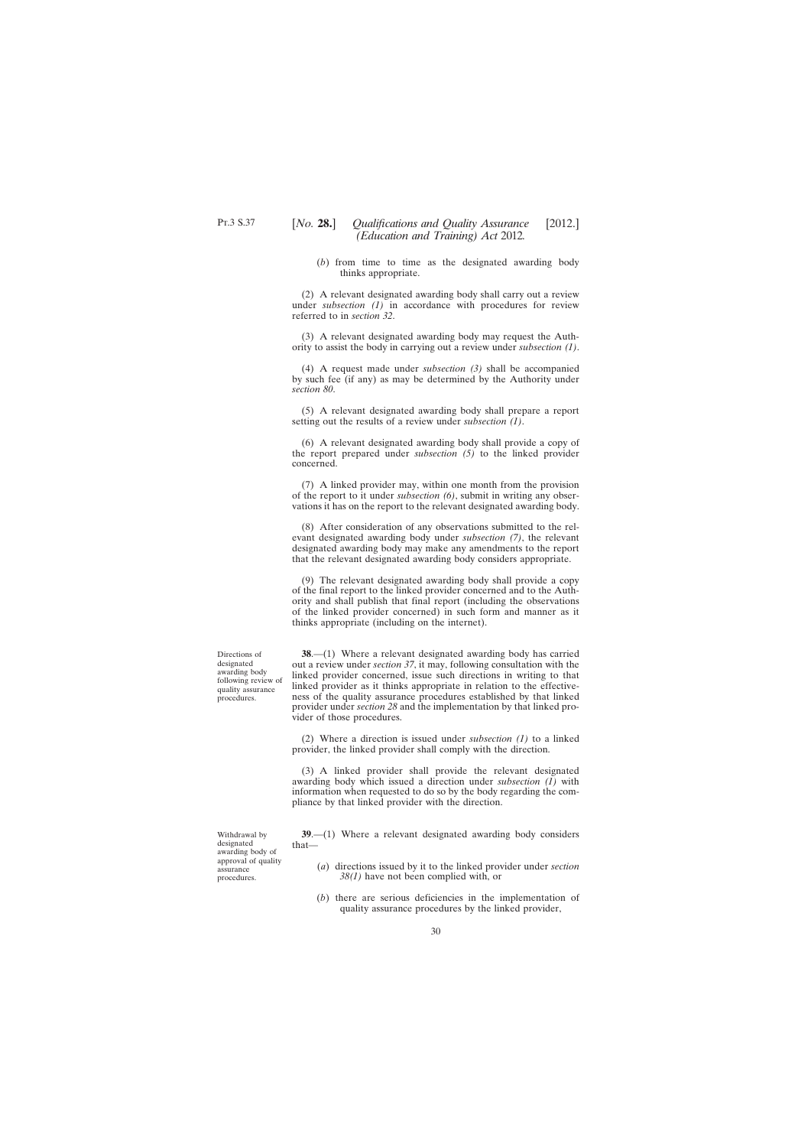(*b*) from time to time as the designated awarding body thinks appropriate.

<span id="page-29-0"></span>(2) A relevant designated awarding body shall carry out a review under *subsection* (1) in accordance with procedures for review referred to in *section 32*.

(3) A relevant designated awarding body may request the Authority to assist the body in carrying out a review under *subsection (1)*.

(4) A request made under *subsection (3)* shall be accompanied by such fee (if any) as may be determined by the Authority under *section 80*.

(5) A relevant designated awarding body shall prepare a report setting out the results of a review under *subsection (1)*.

(6) A relevant designated awarding body shall provide a copy of the report prepared under *subsection (5)* to the linked provider concerned.

(7) A linked provider may, within one month from the provision of the report to it under *subsection (6)*, submit in writing any observations it has on the report to the relevant designated awarding body.

(8) After consideration of any observations submitted to the relevant designated awarding body under *subsection (7)*, the relevant designated awarding body may make any amendments to the report that the relevant designated awarding body considers appropriate.

(9) The relevant designated awarding body shall provide a copy of the final report to the linked provider concerned and to the Authority and shall publish that final report (including the observations of the linked provider concerned) in such form and manner as it thinks appropriate (including on the internet).

**38**.—(1) Where a relevant designated awarding body has carried out a review under *section 37*, it may, following consultation with the linked provider concerned, issue such directions in writing to that linked provider as it thinks appropriate in relation to the effectiveness of the quality assurance procedures established by that linked provider under *section 28* and the implementation by that linked provider of those procedures.

(2) Where a direction is issued under *subsection (1)* to a linked provider, the linked provider shall comply with the direction.

(3) A linked provider shall provide the relevant designated awarding body which issued a direction under *subsection (1)* with information when requested to do so by the body regarding the compliance by that linked provider with the direction.

Withdrawal by designated awarding body of approval of quality assurance procedures.

**39**.—(1) Where a relevant designated awarding body considers that—

- (*a*) directions issued by it to the linked provider under *section 38(1)* have not been complied with, or
- (*b*) there are serious deficiencies in the implementation of quality assurance procedures by the linked provider,

Directions of designated awarding body following review of quality assurance procedures.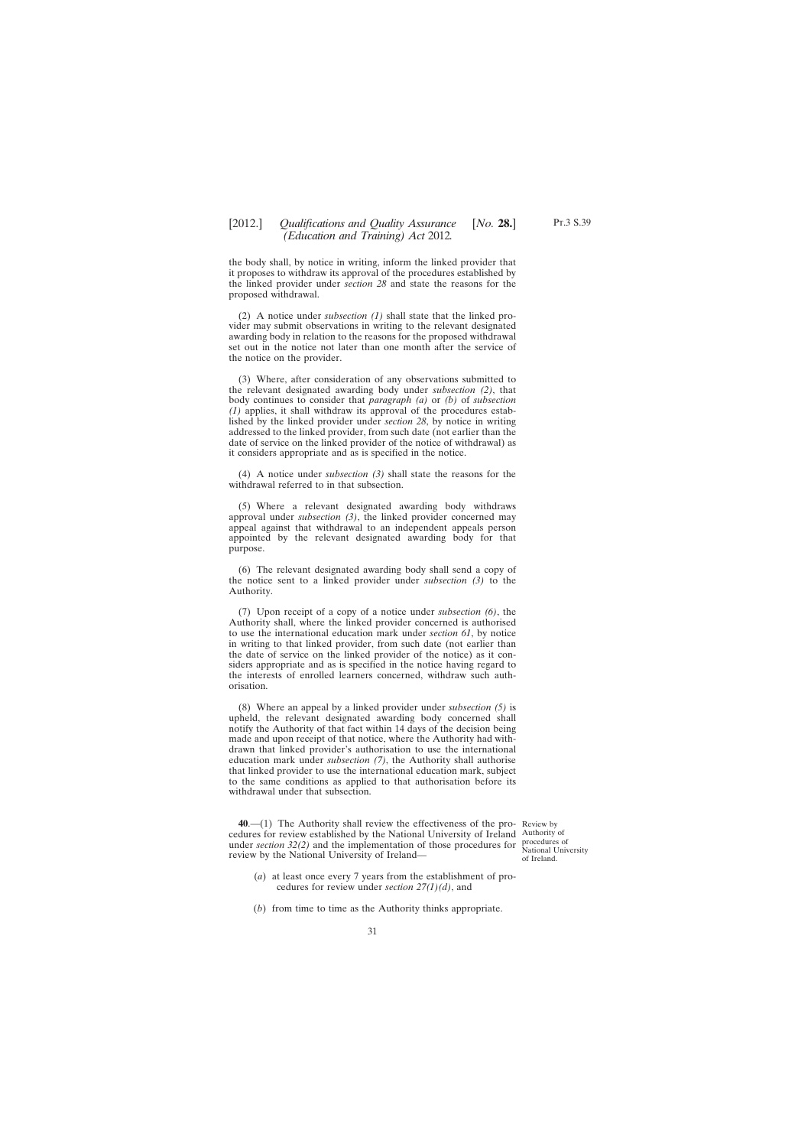<span id="page-30-0"></span>the body shall, by notice in writing, inform the linked provider that it proposes to withdraw its approval of the procedures established by the linked provider under *section 28* and state the reasons for the proposed withdrawal.

(2) A notice under *subsection (1)* shall state that the linked provider may submit observations in writing to the relevant designated awarding body in relation to the reasons for the proposed withdrawal set out in the notice not later than one month after the service of the notice on the provider.

(3) Where, after consideration of any observations submitted to the relevant designated awarding body under *subsection (2)*, that body continues to consider that *paragraph (a)* or *(b)* of *subsection (1)* applies, it shall withdraw its approval of the procedures established by the linked provider under *section 28*, by notice in writing addressed to the linked provider, from such date (not earlier than the date of service on the linked provider of the notice of withdrawal) as it considers appropriate and as is specified in the notice.

(4) A notice under *subsection (3)* shall state the reasons for the withdrawal referred to in that subsection.

(5) Where a relevant designated awarding body withdraws approval under *subsection (3)*, the linked provider concerned may appeal against that withdrawal to an independent appeals person appointed by the relevant designated awarding body for that purpose.

(6) The relevant designated awarding body shall send a copy of the notice sent to a linked provider under *subsection (3)* to the Authority.

(7) Upon receipt of a copy of a notice under *subsection (6)*, the Authority shall, where the linked provider concerned is authorised to use the international education mark under *section 61*, by notice in writing to that linked provider, from such date (not earlier than the date of service on the linked provider of the notice) as it considers appropriate and as is specified in the notice having regard to the interests of enrolled learners concerned, withdraw such authorisation.

(8) Where an appeal by a linked provider under *subsection (5)* is upheld, the relevant designated awarding body concerned shall notify the Authority of that fact within 14 days of the decision being made and upon receipt of that notice, where the Authority had withdrawn that linked provider's authorisation to use the international education mark under *subsection (7)*, the Authority shall authorise that linked provider to use the international education mark, subject to the same conditions as applied to that authorisation before its withdrawal under that subsection.

**40**.—(1) The Authority shall review the effectiveness of the pro-Review by cedures for review established by the National University of Ireland Authority of under *section 32(2)* and the implementation of those procedures for review by the National University of Ireland—

procedures of National University of Ireland.

- (*a*) at least once every 7 years from the establishment of procedures for review under *section 27(1)(d)*, and
- (*b*) from time to time as the Authority thinks appropriate.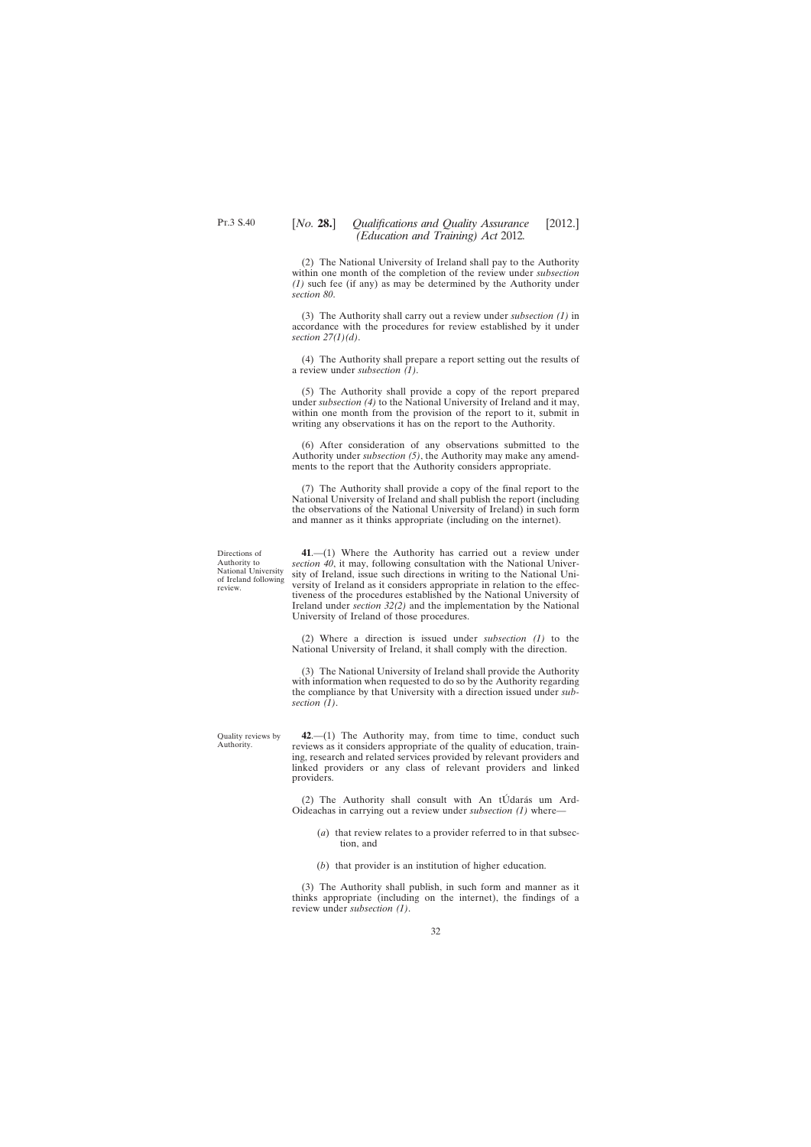<span id="page-31-0"></span>(2) The National University of Ireland shall pay to the Authority within one month of the completion of the review under *subsection (1)* such fee (if any) as may be determined by the Authority under *section 80*.

(3) The Authority shall carry out a review under *subsection (1)* in accordance with the procedures for review established by it under *section 27(1)(d)*.

(4) The Authority shall prepare a report setting out the results of a review under *subsection (1)*.

(5) The Authority shall provide a copy of the report prepared under *subsection (4)* to the National University of Ireland and it may, within one month from the provision of the report to it, submit in writing any observations it has on the report to the Authority.

(6) After consideration of any observations submitted to the Authority under *subsection (5)*, the Authority may make any amendments to the report that the Authority considers appropriate.

(7) The Authority shall provide a copy of the final report to the National University of Ireland and shall publish the report (including the observations of the National University of Ireland) in such form and manner as it thinks appropriate (including on the internet).

Directions of Authority to National University of Ireland following review.

**41**.—(1) Where the Authority has carried out a review under *section 40*, it may, following consultation with the National University of Ireland, issue such directions in writing to the National University of Ireland as it considers appropriate in relation to the effectiveness of the procedures established by the National University of Ireland under *section 32(2)* and the implementation by the National University of Ireland of those procedures.

(2) Where a direction is issued under *subsection (1)* to the National University of Ireland, it shall comply with the direction.

(3) The National University of Ireland shall provide the Authority with information when requested to do so by the Authority regarding the compliance by that University with a direction issued under *subsection (1)*.

Quality reviews by Authority.

**42**.—(1) The Authority may, from time to time, conduct such reviews as it considers appropriate of the quality of education, training, research and related services provided by relevant providers and linked providers or any class of relevant providers and linked providers.

(2) The Authority shall consult with An tÚdarás um Ard-Oideachas in carrying out a review under *subsection (1)* where—

- (*a*) that review relates to a provider referred to in that subsection, and
- (*b*) that provider is an institution of higher education.

(3) The Authority shall publish, in such form and manner as it thinks appropriate (including on the internet), the findings of a review under *subsection (1)*.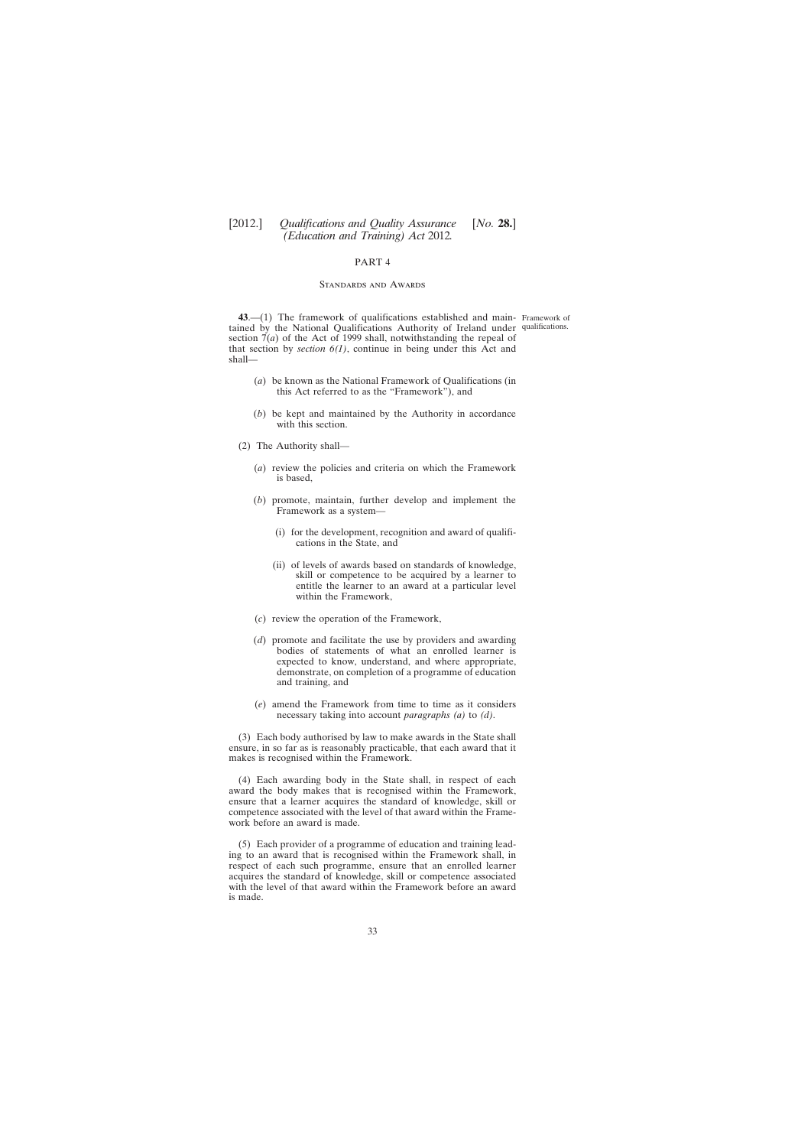#### PART 4

#### Standards and Awards

<span id="page-32-0"></span>**43**.—(1) The framework of qualifications established and main-Framework of tained by the National Qualifications Authority of Ireland under qualifications.section 7(*a*) of the Act of 1999 shall, notwithstanding the repeal of that section by *section 6(1)*, continue in being under this Act and shall—

- (*a*) be known as the National Framework of Qualifications (in this Act referred to as the "Framework"), and
- (*b*) be kept and maintained by the Authority in accordance with this section.
- (2) The Authority shall—
	- (*a*) review the policies and criteria on which the Framework is based,
	- (*b*) promote, maintain, further develop and implement the Framework as a system—
		- (i) for the development, recognition and award of qualifications in the State, and
		- (ii) of levels of awards based on standards of knowledge, skill or competence to be acquired by a learner to entitle the learner to an award at a particular level within the Framework,
	- (*c*) review the operation of the Framework,
	- (*d*) promote and facilitate the use by providers and awarding bodies of statements of what an enrolled learner is expected to know, understand, and where appropriate, demonstrate, on completion of a programme of education and training, and
	- (*e*) amend the Framework from time to time as it considers necessary taking into account *paragraphs (a)* to *(d)*.

(3) Each body authorised by law to make awards in the State shall ensure, in so far as is reasonably practicable, that each award that it makes is recognised within the Framework.

(4) Each awarding body in the State shall, in respect of each award the body makes that is recognised within the Framework, ensure that a learner acquires the standard of knowledge, skill or competence associated with the level of that award within the Framework before an award is made.

(5) Each provider of a programme of education and training leading to an award that is recognised within the Framework shall, in respect of each such programme, ensure that an enrolled learner acquires the standard of knowledge, skill or competence associated with the level of that award within the Framework before an award is made.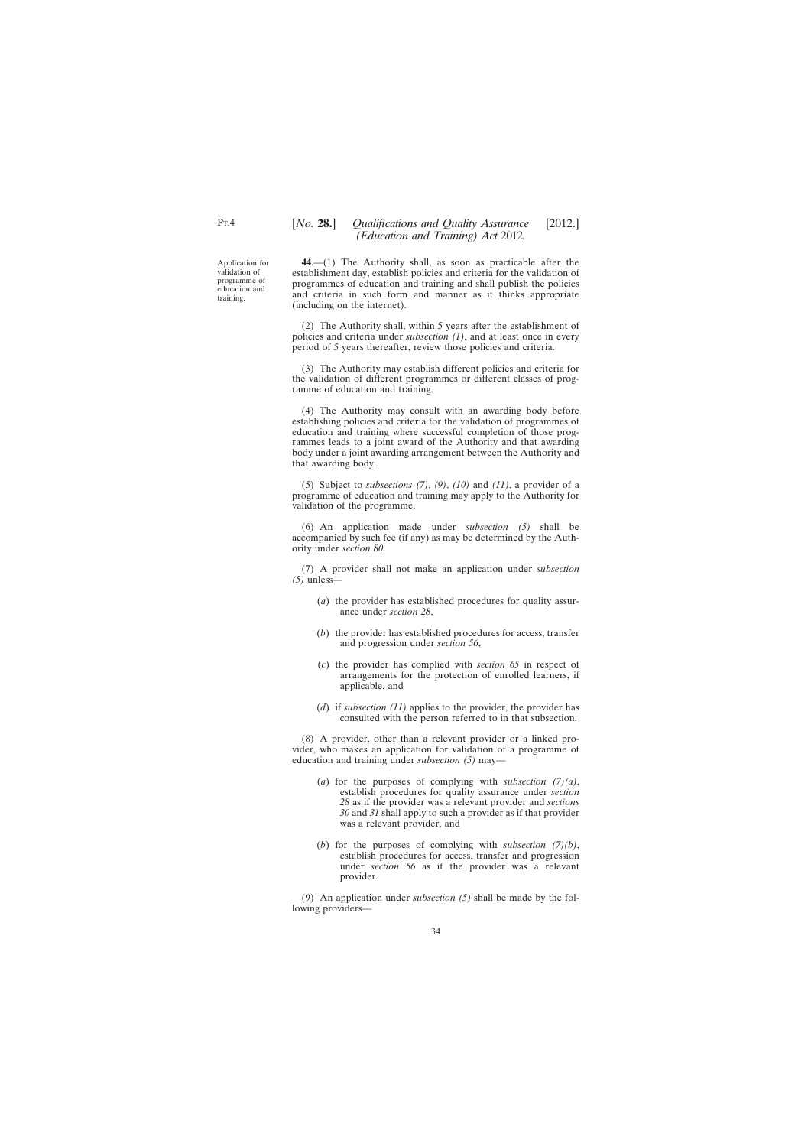Application for validation of programme of education and training.

<span id="page-33-0"></span> $PT.4$ 

**44**.—(1) The Authority shall, as soon as practicable after the establishment day, establish policies and criteria for the validation of programmes of education and training and shall publish the policies and criteria in such form and manner as it thinks appropriate (including on the internet).

(2) The Authority shall, within 5 years after the establishment of policies and criteria under *subsection (1)*, and at least once in every period of 5 years thereafter, review those policies and criteria.

(3) The Authority may establish different policies and criteria for the validation of different programmes or different classes of programme of education and training.

(4) The Authority may consult with an awarding body before establishing policies and criteria for the validation of programmes of education and training where successful completion of those programmes leads to a joint award of the Authority and that awarding body under a joint awarding arrangement between the Authority and that awarding body.

(5) Subject to *subsections (7)*, *(9)*, *(10)* and *(11)*, a provider of a programme of education and training may apply to the Authority for validation of the programme.

(6) An application made under *subsection (5)* shall be accompanied by such fee (if any) as may be determined by the Authority under *section 80*.

(7) A provider shall not make an application under *subsection (5)* unless—

- (*a*) the provider has established procedures for quality assurance under *section 28*,
- (*b*) the provider has established procedures for access, transfer and progression under *section 56*,
- (*c*) the provider has complied with *section 65* in respect of arrangements for the protection of enrolled learners, if applicable, and
- (*d*) if *subsection (11)* applies to the provider, the provider has consulted with the person referred to in that subsection.

(8) A provider, other than a relevant provider or a linked provider, who makes an application for validation of a programme of education and training under *subsection (5)* may—

- (*a*) for the purposes of complying with *subsection (7)(a)*, establish procedures for quality assurance under *section 28* as if the provider was a relevant provider and *sections 30* and *31* shall apply to such a provider as if that provider was a relevant provider, and
- (*b*) for the purposes of complying with *subsection (7)(b)*, establish procedures for access, transfer and progression under *section 56* as if the provider was a relevant provider.

(9) An application under *subsection (5)* shall be made by the following providers—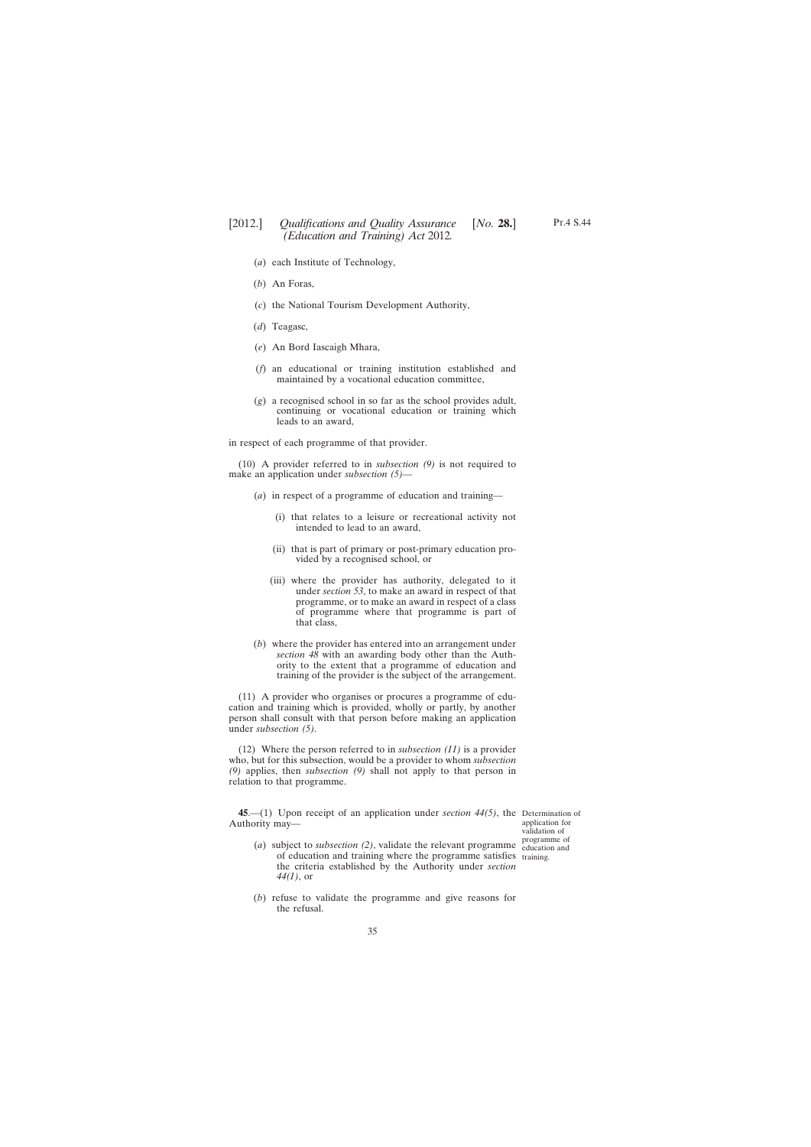- <span id="page-34-0"></span>(*a*) each Institute of Technology,
- (*b*) An Foras,
- (*c*) the National Tourism Development Authority,
- (*d*) Teagasc,
- (*e*) An Bord Iascaigh Mhara,
- (*f*) an educational or training institution established and maintained by a vocational education committee,
- (*g*) a recognised school in so far as the school provides adult, continuing or vocational education or training which leads to an award,

in respect of each programme of that provider.

(10) A provider referred to in *subsection (9)* is not required to make an application under *subsection (5)*—

- (*a*) in respect of a programme of education and training—
	- (i) that relates to a leisure or recreational activity not intended to lead to an award,
	- (ii) that is part of primary or post-primary education provided by a recognised school, or
	- (iii) where the provider has authority, delegated to it under *section 53*, to make an award in respect of that programme, or to make an award in respect of a class of programme where that programme is part of that class,
- (*b*) where the provider has entered into an arrangement under *section 48* with an awarding body other than the Authority to the extent that a programme of education and training of the provider is the subject of the arrangement.

(11) A provider who organises or procures a programme of education and training which is provided, wholly or partly, by another person shall consult with that person before making an application under *subsection (5)*.

(12) Where the person referred to in *subsection (11)* is a provider who, but for this subsection, would be a provider to whom *subsection (9)* applies, then *subsection (9)* shall not apply to that person in relation to that programme.

**45**.—(1) Upon receipt of an application under *section 44(5)*, the Determination of Authority may—

application for validation of programme of

- (*a*) subject to *subsection (2)*, validate the relevant programme education and of education and training where the programme satisfies training.the criteria established by the Authority under *section 44(1)*, or
- (*b*) refuse to validate the programme and give reasons for the refusal.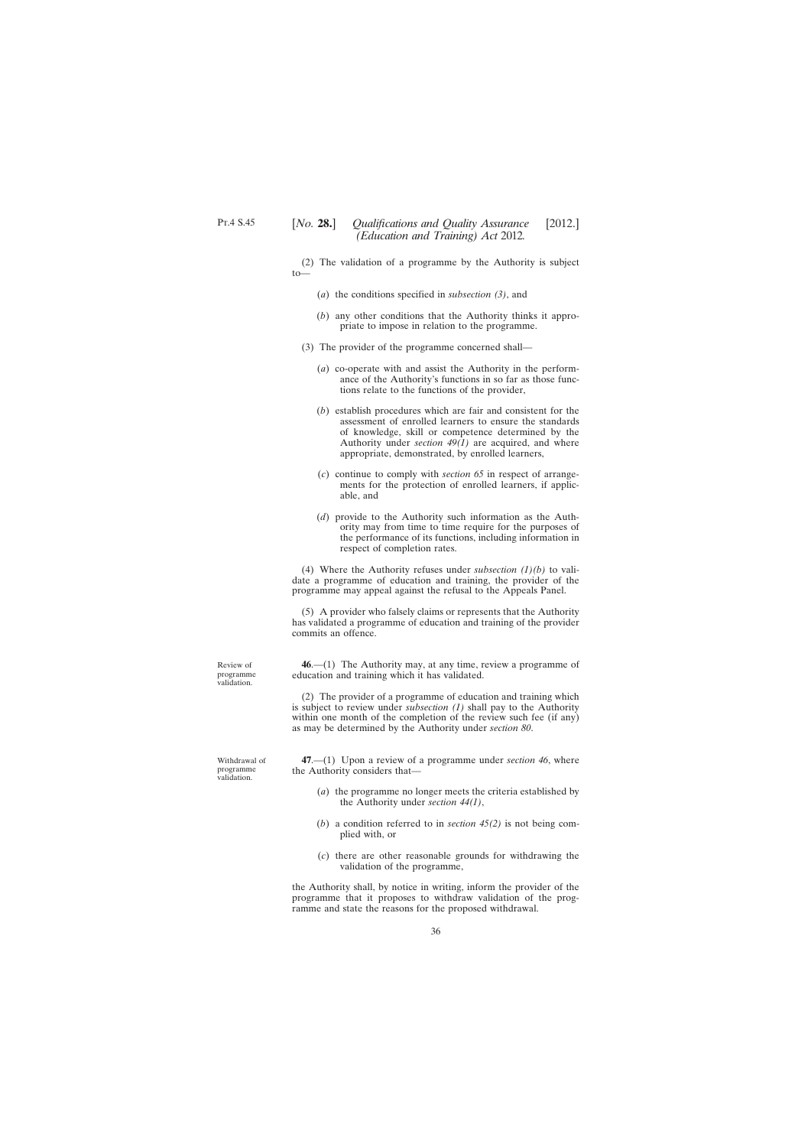<span id="page-35-0"></span>(2) The validation of a programme by the Authority is subject  $to$ 

- (*a*) the conditions specified in *subsection (3)*, and
- (*b*) any other conditions that the Authority thinks it appropriate to impose in relation to the programme.
- (3) The provider of the programme concerned shall—
	- (*a*) co-operate with and assist the Authority in the performance of the Authority's functions in so far as those functions relate to the functions of the provider,
	- (*b*) establish procedures which are fair and consistent for the assessment of enrolled learners to ensure the standards of knowledge, skill or competence determined by the Authority under *section*  $49(1)$  are acquired, and where appropriate, demonstrated, by enrolled learners,
	- (*c*) continue to comply with *section 65* in respect of arrangements for the protection of enrolled learners, if applicable, and
	- (*d*) provide to the Authority such information as the Authority may from time to time require for the purposes of the performance of its functions, including information in respect of completion rates.

(4) Where the Authority refuses under *subsection (1)(b)* to validate a programme of education and training, the provider of the programme may appeal against the refusal to the Appeals Panel.

(5) A provider who falsely claims or represents that the Authority has validated a programme of education and training of the provider commits an offence.

**46**.—(1) The Authority may, at any time, review a programme of education and training which it has validated.

(2) The provider of a programme of education and training which is subject to review under *subsection (1)* shall pay to the Authority within one month of the completion of the review such fee (if any) as may be determined by the Authority under *section 80*.

**47**.—(1) Upon a review of a programme under *section 46*, where the Authority considers that—

- (*a*) the programme no longer meets the criteria established by the Authority under *section 44(1)*,
- (*b*) a condition referred to in *section 45(2)* is not being complied with, or
- (*c*) there are other reasonable grounds for withdrawing the validation of the programme,

the Authority shall, by notice in writing, inform the provider of the programme that it proposes to withdraw validation of the programme and state the reasons for the proposed withdrawal.

Review of programme validation.

Withdrawal of programme validation.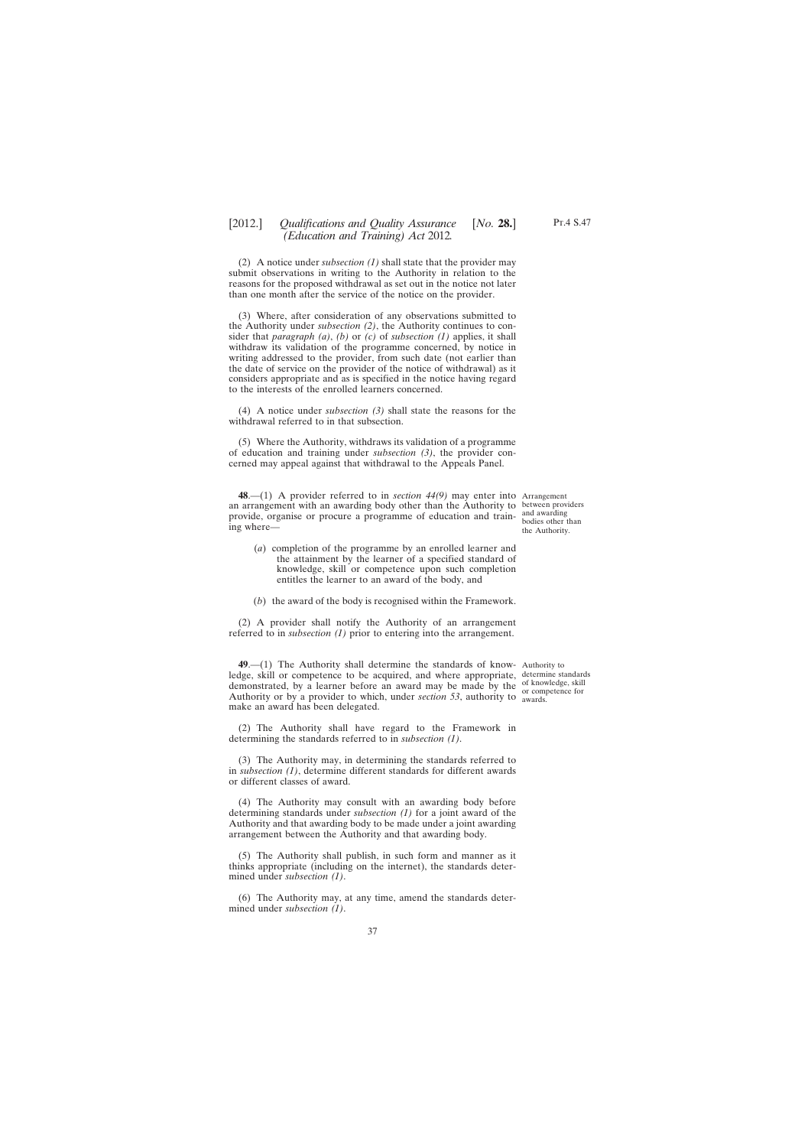(2) A notice under *subsection (1)* shall state that the provider may submit observations in writing to the Authority in relation to the reasons for the proposed withdrawal as set out in the notice not later than one month after the service of the notice on the provider.

(3) Where, after consideration of any observations submitted to the Authority under *subsection (2)*, the Authority continues to consider that *paragraph (a)*, *(b)* or *(c)* of *subsection (1)* applies, it shall withdraw its validation of the programme concerned, by notice in writing addressed to the provider, from such date (not earlier than the date of service on the provider of the notice of withdrawal) as it considers appropriate and as is specified in the notice having regard to the interests of the enrolled learners concerned.

(4) A notice under *subsection (3)* shall state the reasons for the withdrawal referred to in that subsection.

(5) Where the Authority, withdraws its validation of a programme of education and training under *subsection (3)*, the provider concerned may appeal against that withdrawal to the Appeals Panel.

**48**.—(1) A provider referred to in *section 44(9)* may enter into Arrangement an arrangement with an awarding body other than the Authority to between providers provide, organise or procure a programme of education and train- and awarding ing where—

- (*a*) completion of the programme by an enrolled learner and the attainment by the learner of a specified standard of knowledge, skill or competence upon such completion entitles the learner to an award of the body, and
- (*b*) the award of the body is recognised within the Framework.

(2) A provider shall notify the Authority of an arrangement referred to in *subsection (1)* prior to entering into the arrangement.

**49**.—(1) The Authority shall determine the standards of know-Authority to ledge, skill or competence to be acquired, and where appropriate, demonstrated, by a learner before an award may be made by the Authority or by a provider to which, under *section 53*, authority to make an award has been delegated.

(2) The Authority shall have regard to the Framework in determining the standards referred to in *subsection (1)*.

(3) The Authority may, in determining the standards referred to in *subsection (1)*, determine different standards for different awards or different classes of award.

(4) The Authority may consult with an awarding body before determining standards under *subsection (1)* for a joint award of the Authority and that awarding body to be made under a joint awarding arrangement between the Authority and that awarding body.

(5) The Authority shall publish, in such form and manner as it thinks appropriate (including on the internet), the standards determined under *subsection (1)*.

(6) The Authority may, at any time, amend the standards determined under *subsection (1)*.

bodies other than the Authority.

determine standards of knowledge, skill or competence for awards.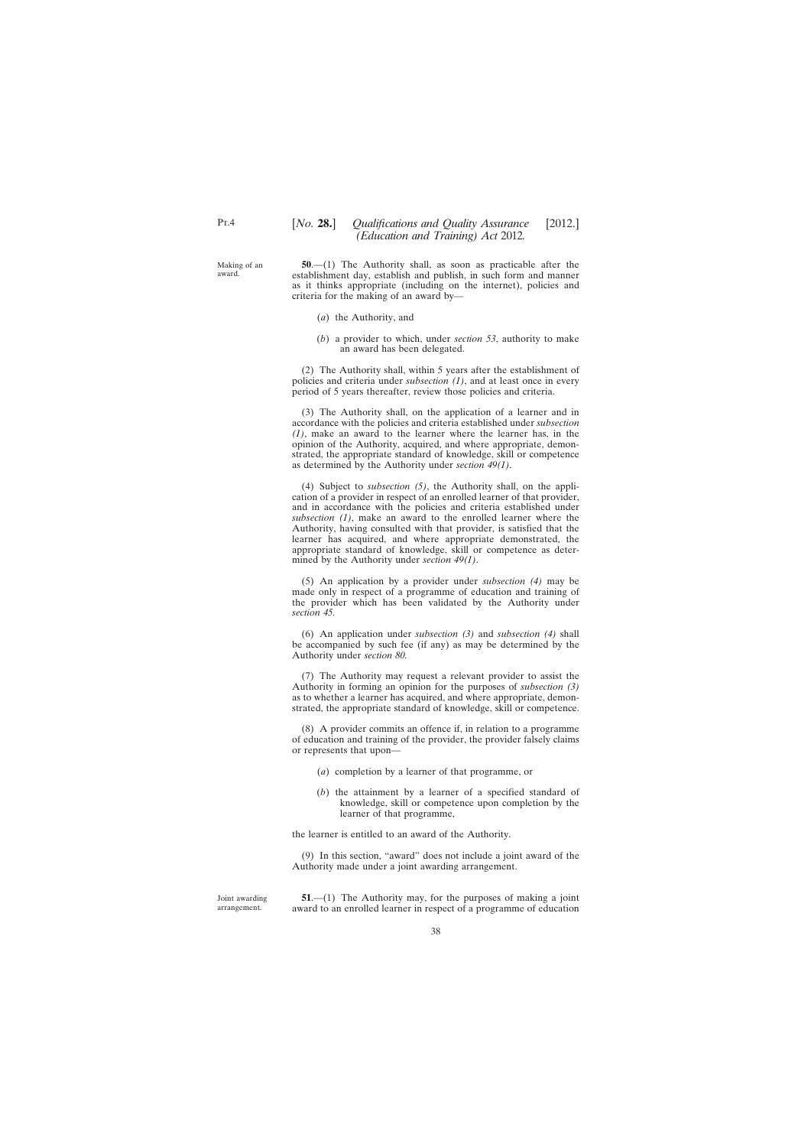Making of an award.

**50**.—(1) The Authority shall, as soon as practicable after the establishment day, establish and publish, in such form and manner as it thinks appropriate (including on the internet), policies and criteria for the making of an award by—

- (*a*) the Authority, and
- (*b*) a provider to which, under *section 53*, authority to make an award has been delegated.

(2) The Authority shall, within 5 years after the establishment of policies and criteria under *subsection (1)*, and at least once in every period of 5 years thereafter, review those policies and criteria.

(3) The Authority shall, on the application of a learner and in accordance with the policies and criteria established under *subsection (1)*, make an award to the learner where the learner has, in the opinion of the Authority, acquired, and where appropriate, demonstrated, the appropriate standard of knowledge, skill or competence as determined by the Authority under *section 49(1)*.

(4) Subject to *subsection (5)*, the Authority shall, on the application of a provider in respect of an enrolled learner of that provider, and in accordance with the policies and criteria established under *subsection (1)*, make an award to the enrolled learner where the Authority, having consulted with that provider, is satisfied that the learner has acquired, and where appropriate demonstrated, the appropriate standard of knowledge, skill or competence as determined by the Authority under *section 49(1)*.

(5) An application by a provider under *subsection (4)* may be made only in respect of a programme of education and training of the provider which has been validated by the Authority under *section 45.*

(6) An application under *subsection (3)* and *subsection (4)* shall be accompanied by such fee (if any) as may be determined by the Authority under *section 80.*

(7) The Authority may request a relevant provider to assist the Authority in forming an opinion for the purposes of *subsection (3)* as to whether a learner has acquired, and where appropriate, demonstrated, the appropriate standard of knowledge, skill or competence.

(8) A provider commits an offence if, in relation to a programme of education and training of the provider, the provider falsely claims or represents that upon—

- (*a*) completion by a learner of that programme, or
- (*b*) the attainment by a learner of a specified standard of knowledge, skill or competence upon completion by the learner of that programme,

the learner is entitled to an award of the Authority.

(9) In this section, "award" does not include a joint award of the Authority made under a joint awarding arrangement.

Joint awarding arrangement.

**51.**—(1) The Authority may, for the purposes of making a joint award to an enrolled learner in respect of a programme of education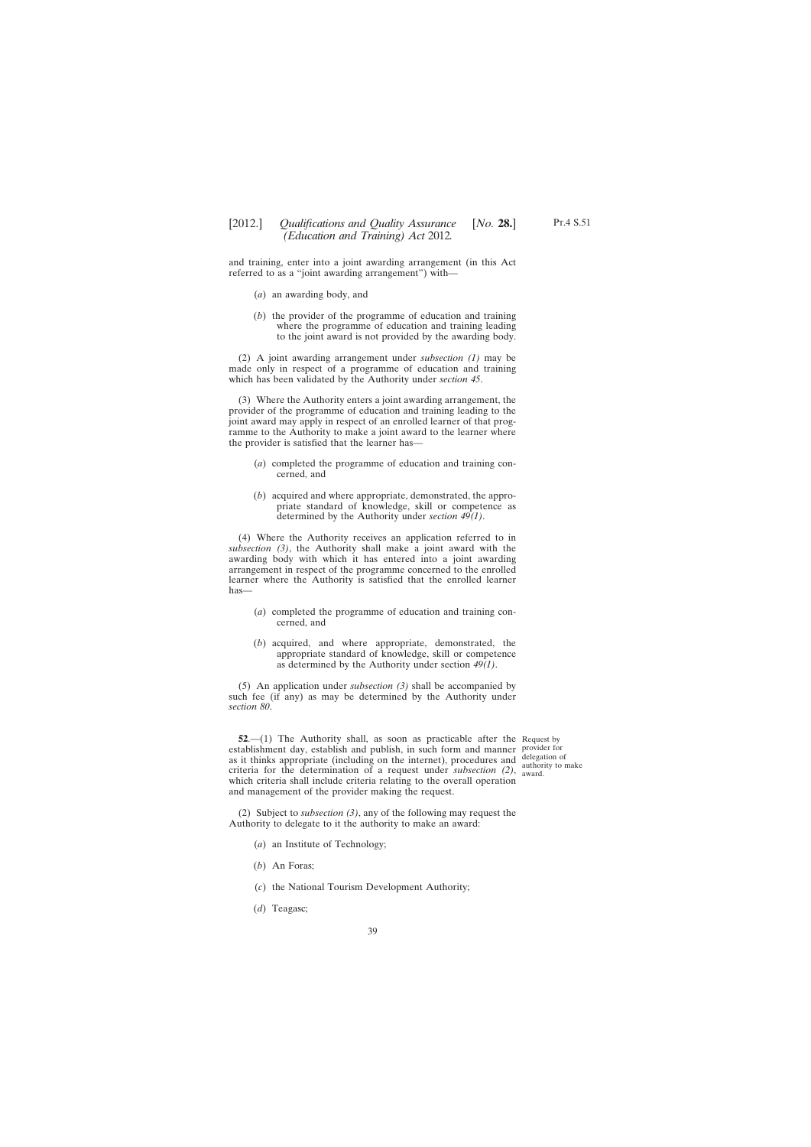and training, enter into a joint awarding arrangement (in this Act referred to as a "joint awarding arrangement") with—

- (*a*) an awarding body, and
- (*b*) the provider of the programme of education and training where the programme of education and training leading to the joint award is not provided by the awarding body.

(2) A joint awarding arrangement under *subsection (1)* may be made only in respect of a programme of education and training which has been validated by the Authority under *section 45*.

(3) Where the Authority enters a joint awarding arrangement, the provider of the programme of education and training leading to the joint award may apply in respect of an enrolled learner of that programme to the Authority to make a joint award to the learner where the provider is satisfied that the learner has—

- (*a*) completed the programme of education and training concerned, and
- (*b*) acquired and where appropriate, demonstrated, the appropriate standard of knowledge, skill or competence as determined by the Authority under *section 49(1)*.

(4) Where the Authority receives an application referred to in *subsection (3)*, the Authority shall make a joint award with the awarding body with which it has entered into a joint awarding arrangement in respect of the programme concerned to the enrolled learner where the Authority is satisfied that the enrolled learner has—

- (*a*) completed the programme of education and training concerned, and
- (*b*) acquired, and where appropriate, demonstrated, the appropriate standard of knowledge, skill or competence as determined by the Authority under section *49(1)*.

(5) An application under *subsection (3)* shall be accompanied by such fee (if any) as may be determined by the Authority under *section 80*.

**52.**—(1) The Authority shall, as soon as practicable after the Request by establishment day, establish and publish, in such form and manner provider for as it thinks appropriate (including on the internet), procedures and delegation of criteria for the determination of a request under *subsection* (2), award. which criteria shall include criteria relating to the overall operation and management of the provider making the request.

authority to make

(2) Subject to *subsection (3)*, any of the following may request the Authority to delegate to it the authority to make an award:

- (*a*) an Institute of Technology;
- (*b*) An Foras;
- (*c*) the National Tourism Development Authority;
- (*d*) Teagasc;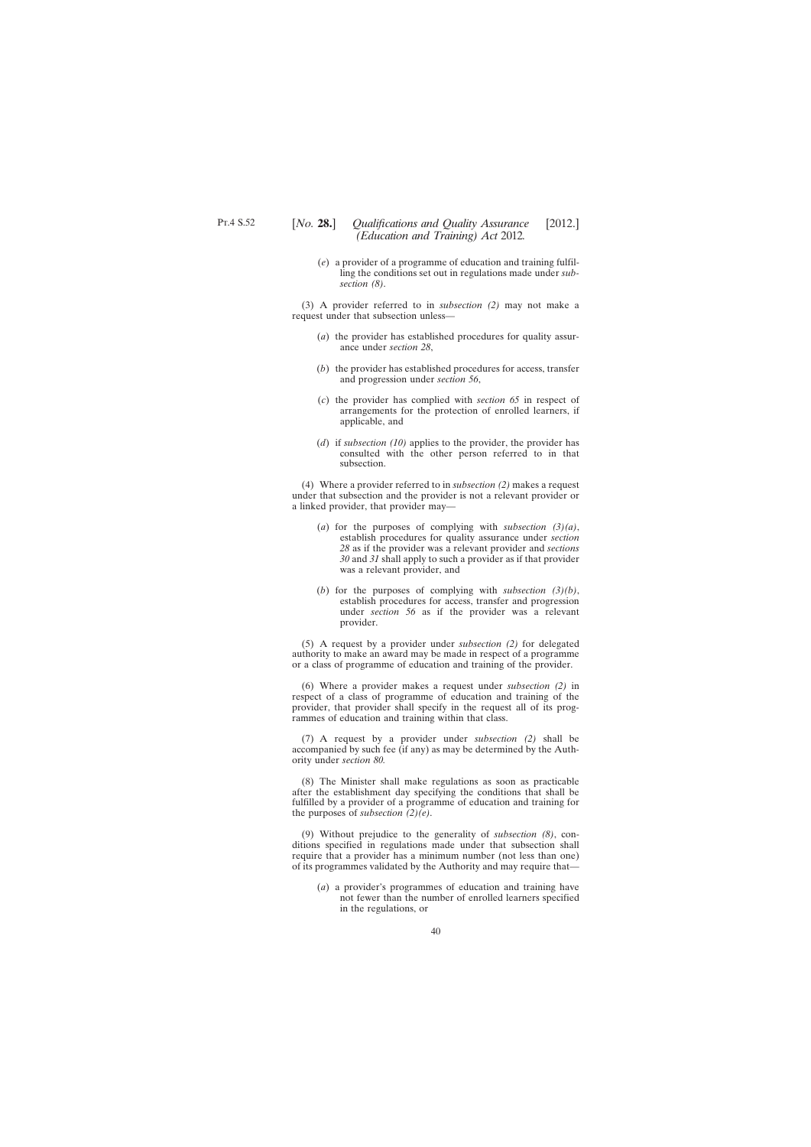(*e*) a provider of a programme of education and training fulfilling the conditions set out in regulations made under *subsection (8)*.

(3) A provider referred to in *subsection (2)* may not make a request under that subsection unless—

- (*a*) the provider has established procedures for quality assurance under *section 28*,
- (*b*) the provider has established procedures for access, transfer and progression under *section 56*,
- (*c*) the provider has complied with *section 65* in respect of arrangements for the protection of enrolled learners, if applicable, and
- (*d*) if *subsection (10)* applies to the provider, the provider has consulted with the other person referred to in that subsection.

(4) Where a provider referred to in *subsection (2)* makes a request under that subsection and the provider is not a relevant provider or a linked provider, that provider may—

- (*a*) for the purposes of complying with *subsection (3)(a)*, establish procedures for quality assurance under *section 28* as if the provider was a relevant provider and *sections 30* and *31* shall apply to such a provider as if that provider was a relevant provider, and
- (*b*) for the purposes of complying with *subsection (3)(b)*, establish procedures for access, transfer and progression under *section 56* as if the provider was a relevant provider.

(5) A request by a provider under *subsection (2)* for delegated authority to make an award may be made in respect of a programme or a class of programme of education and training of the provider.

(6) Where a provider makes a request under *subsection (2)* in respect of a class of programme of education and training of the provider, that provider shall specify in the request all of its programmes of education and training within that class.

(7) A request by a provider under *subsection (2)* shall be accompanied by such fee (if any) as may be determined by the Authority under *section 80.*

(8) The Minister shall make regulations as soon as practicable after the establishment day specifying the conditions that shall be fulfilled by a provider of a programme of education and training for the purposes of *subsection (2)(e)*.

(9) Without prejudice to the generality of *subsection (8)*, conditions specified in regulations made under that subsection shall require that a provider has a minimum number (not less than one) of its programmes validated by the Authority and may require that—

(*a*) a provider's programmes of education and training have not fewer than the number of enrolled learners specified in the regulations, or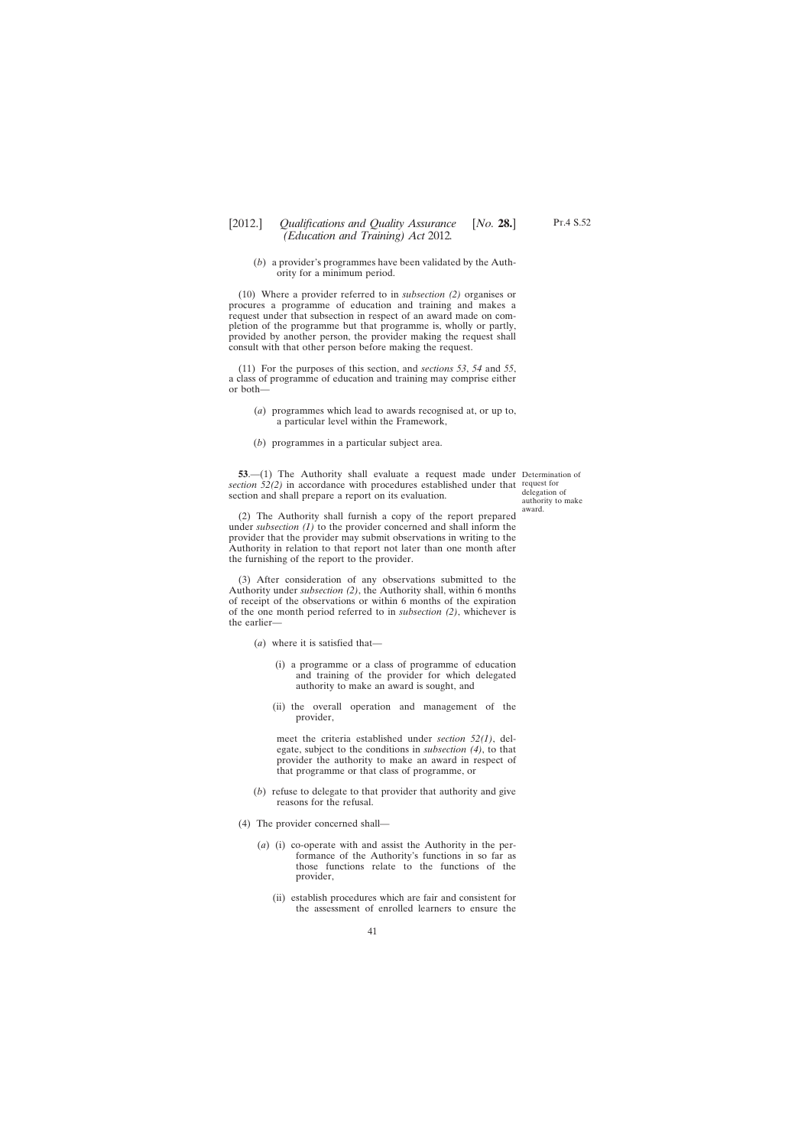(*b*) a provider's programmes have been validated by the Authority for a minimum period.

(10) Where a provider referred to in *subsection (2)* organises or procures a programme of education and training and makes a request under that subsection in respect of an award made on completion of the programme but that programme is, wholly or partly, provided by another person, the provider making the request shall consult with that other person before making the request.

(11) For the purposes of this section, and *sections 53*, *54* and *55*, a class of programme of education and training may comprise either or both—

- (*a*) programmes which lead to awards recognised at, or up to, a particular level within the Framework,
- (*b*) programmes in a particular subject area.

**53.**—(1) The Authority shall evaluate a request made under Determination of section 52(2) in accordance with procedures established under that request for section and shall prepare a report on its evaluation.

delegation of authority to make award.

(2) The Authority shall furnish a copy of the report prepared under *subsection (1)* to the provider concerned and shall inform the provider that the provider may submit observations in writing to the Authority in relation to that report not later than one month after the furnishing of the report to the provider.

(3) After consideration of any observations submitted to the Authority under *subsection (2)*, the Authority shall, within 6 months of receipt of the observations or within 6 months of the expiration of the one month period referred to in *subsection (2)*, whichever is the earlier—

- (*a*) where it is satisfied that—
	- (i) a programme or a class of programme of education and training of the provider for which delegated authority to make an award is sought, and
	- (ii) the overall operation and management of the provider,

meet the criteria established under *section 52(1)*, delegate, subject to the conditions in *subsection (4)*, to that provider the authority to make an award in respect of that programme or that class of programme, or

- (*b*) refuse to delegate to that provider that authority and give reasons for the refusal.
- (4) The provider concerned shall—
	- (*a*) (i) co-operate with and assist the Authority in the performance of the Authority's functions in so far as those functions relate to the functions of the provider,
		- (ii) establish procedures which are fair and consistent for the assessment of enrolled learners to ensure the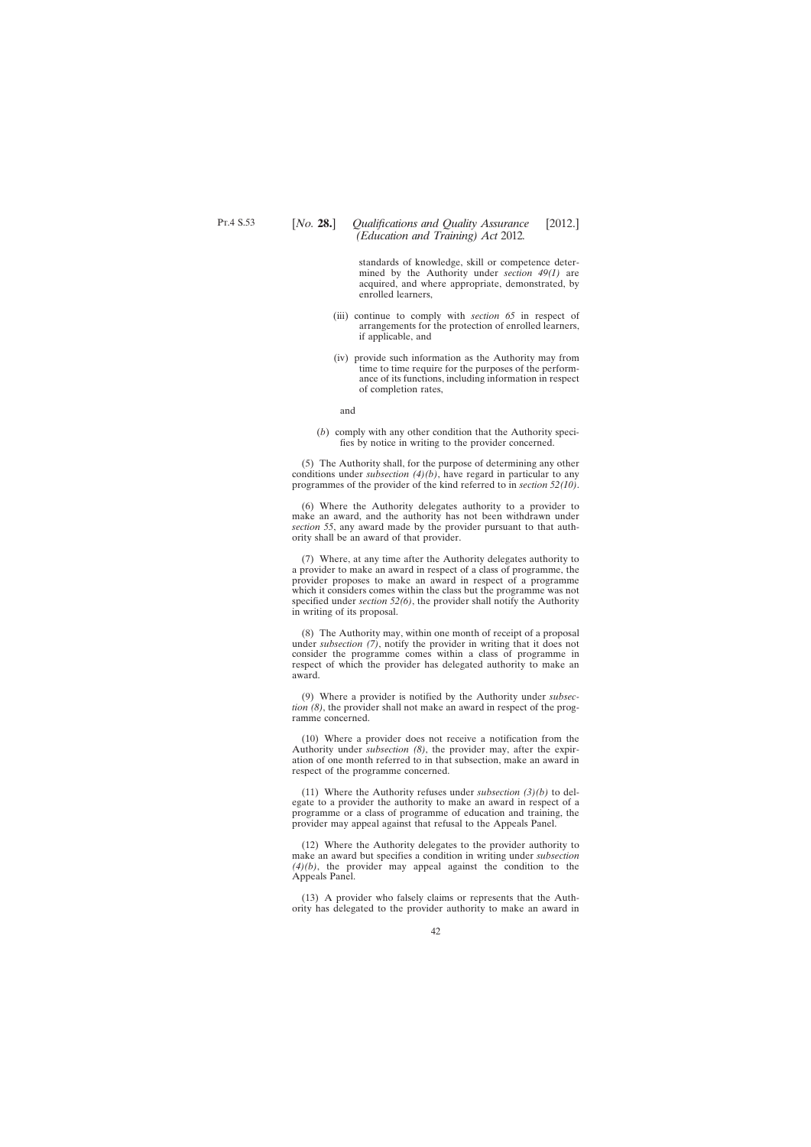standards of knowledge, skill or competence determined by the Authority under *section 49(1)* are acquired, and where appropriate, demonstrated, by enrolled learners,

- (iii) continue to comply with *section 65* in respect of arrangements for the protection of enrolled learners, if applicable, and
- (iv) provide such information as the Authority may from time to time require for the purposes of the performance of its functions, including information in respect of completion rates,

and

(*b*) comply with any other condition that the Authority specifies by notice in writing to the provider concerned.

(5) The Authority shall, for the purpose of determining any other conditions under *subsection (4)(b)*, have regard in particular to any programmes of the provider of the kind referred to in *section 52(10)*.

(6) Where the Authority delegates authority to a provider to make an award, and the authority has not been withdrawn under *section 55*, any award made by the provider pursuant to that authority shall be an award of that provider.

(7) Where, at any time after the Authority delegates authority to a provider to make an award in respect of a class of programme, the provider proposes to make an award in respect of a programme which it considers comes within the class but the programme was not specified under *section 52(6)*, the provider shall notify the Authority in writing of its proposal.

(8) The Authority may, within one month of receipt of a proposal under *subsection (7)*, notify the provider in writing that it does not consider the programme comes within a class of programme in respect of which the provider has delegated authority to make an award.

(9) Where a provider is notified by the Authority under *subsection (8)*, the provider shall not make an award in respect of the programme concerned.

(10) Where a provider does not receive a notification from the Authority under *subsection (8)*, the provider may, after the expiration of one month referred to in that subsection, make an award in respect of the programme concerned.

(11) Where the Authority refuses under *subsection (3)(b)* to delegate to a provider the authority to make an award in respect of a programme or a class of programme of education and training, the provider may appeal against that refusal to the Appeals Panel.

(12) Where the Authority delegates to the provider authority to make an award but specifies a condition in writing under *subsection (4)(b)*, the provider may appeal against the condition to the Appeals Panel.

(13) A provider who falsely claims or represents that the Authority has delegated to the provider authority to make an award in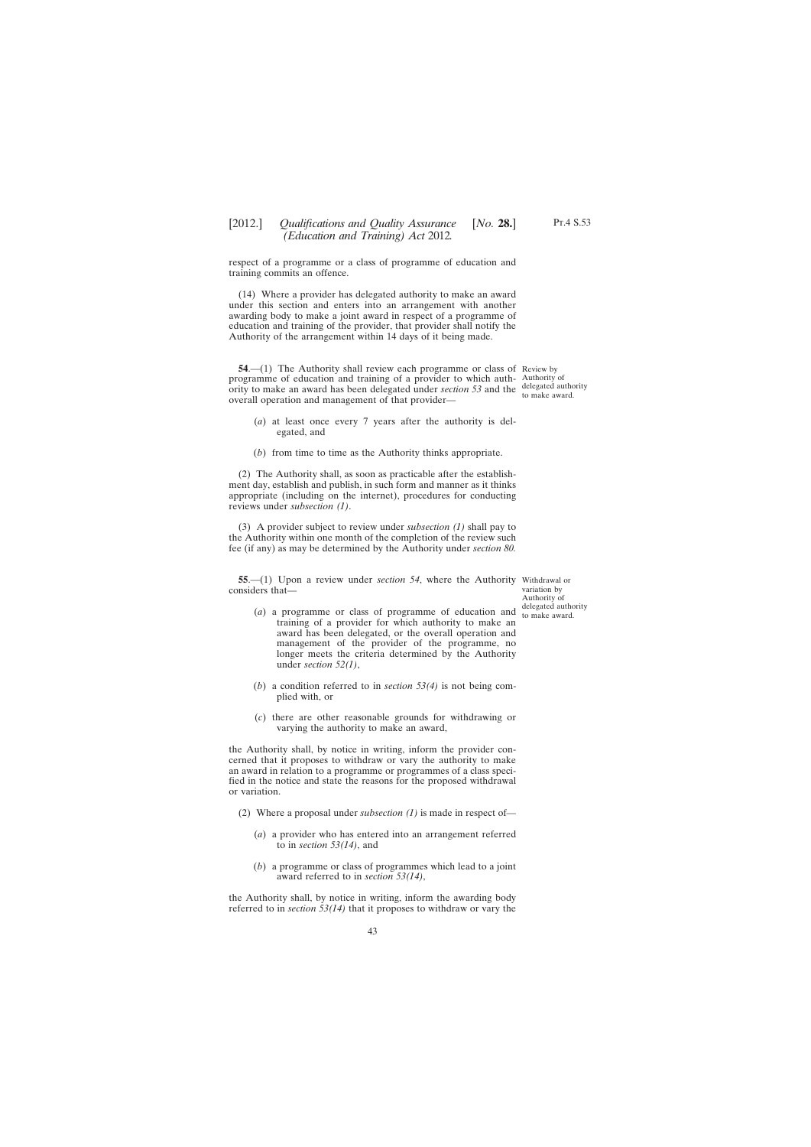respect of a programme or a class of programme of education and training commits an offence.

(14) Where a provider has delegated authority to make an award under this section and enters into an arrangement with another awarding body to make a joint award in respect of a programme of education and training of the provider, that provider shall notify the Authority of the arrangement within 14 days of it being made.

**54.**—(1) The Authority shall review each programme or class of Review by programme of education and training of a provider to which auth-Authority of ority to make an award has been delegated under *section* 53 and the  $\frac{\text{delegated authority}}{\text{to make a word}}$ overall operation and management of that provider—

- (*a*) at least once every 7 years after the authority is delegated, and
- (*b*) from time to time as the Authority thinks appropriate.

(2) The Authority shall, as soon as practicable after the establishment day, establish and publish, in such form and manner as it thinks appropriate (including on the internet), procedures for conducting reviews under *subsection (1)*.

(3) A provider subject to review under *subsection (1)* shall pay to the Authority within one month of the completion of the review such fee (if any) as may be determined by the Authority under *section 80.*

**55**.—(1) Upon a review under *section 54*, where the Authority Withdrawal or considers that—

- (*a*) a programme or class of programme of education and training of a provider for which authority to make an award has been delegated, or the overall operation and management of the provider of the programme, no longer meets the criteria determined by the Authority under *section 52(1)*,
- (*b*) a condition referred to in *section 53(4)* is not being complied with, or
- (*c*) there are other reasonable grounds for withdrawing or varying the authority to make an award,

the Authority shall, by notice in writing, inform the provider concerned that it proposes to withdraw or vary the authority to make an award in relation to a programme or programmes of a class specified in the notice and state the reasons for the proposed withdrawal or variation.

- (2) Where a proposal under *subsection (1)* is made in respect of—
	- (*a*) a provider who has entered into an arrangement referred to in *section 53(14)*, and
	- (*b*) a programme or class of programmes which lead to a joint award referred to in *section 53(14)*,

the Authority shall, by notice in writing, inform the awarding body referred to in *section 53(14)* that it proposes to withdraw or vary the

to make award.

variation by Authority of delegated authority to make award.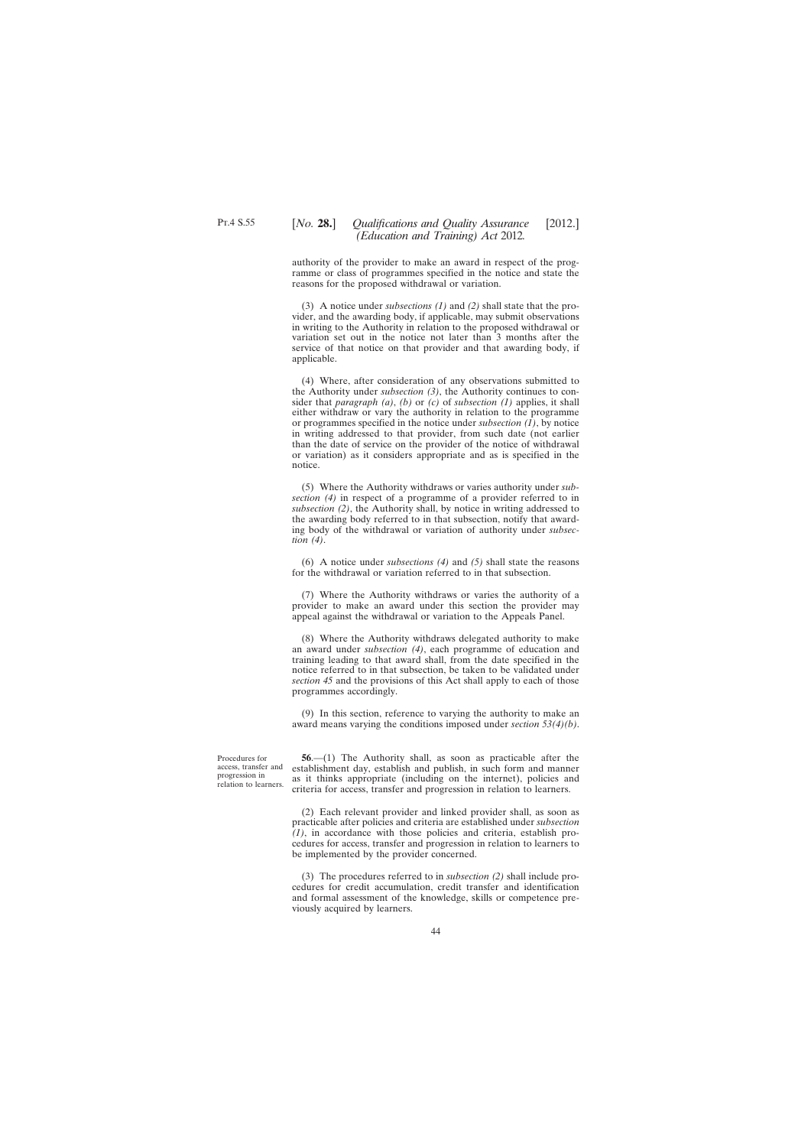authority of the provider to make an award in respect of the programme or class of programmes specified in the notice and state the reasons for the proposed withdrawal or variation.

(3) A notice under *subsections (1)* and *(2)* shall state that the provider, and the awarding body, if applicable, may submit observations in writing to the Authority in relation to the proposed withdrawal or variation set out in the notice not later than 3 months after the service of that notice on that provider and that awarding body, if applicable.

(4) Where, after consideration of any observations submitted to the Authority under *subsection (3)*, the Authority continues to consider that *paragraph (a)*, *(b)* or *(c)* of *subsection (1)* applies, it shall either withdraw or vary the authority in relation to the programme or programmes specified in the notice under *subsection (1)*, by notice in writing addressed to that provider, from such date (not earlier than the date of service on the provider of the notice of withdrawal or variation) as it considers appropriate and as is specified in the notice.

(5) Where the Authority withdraws or varies authority under *subsection (4)* in respect of a programme of a provider referred to in *subsection (2)*, the Authority shall, by notice in writing addressed to the awarding body referred to in that subsection, notify that awarding body of the withdrawal or variation of authority under *subsection (4)*.

(6) A notice under *subsections (4)* and *(5)* shall state the reasons for the withdrawal or variation referred to in that subsection.

(7) Where the Authority withdraws or varies the authority of a provider to make an award under this section the provider may appeal against the withdrawal or variation to the Appeals Panel.

(8) Where the Authority withdraws delegated authority to make an award under *subsection (4)*, each programme of education and training leading to that award shall, from the date specified in the notice referred to in that subsection, be taken to be validated under *section 45* and the provisions of this Act shall apply to each of those programmes accordingly.

(9) In this section, reference to varying the authority to make an award means varying the conditions imposed under *section 53(4)(b)*.

Procedures for access, transfer and progression in relation to learners.

**56**.—(1) The Authority shall, as soon as practicable after the establishment day, establish and publish, in such form and manner as it thinks appropriate (including on the internet), policies and criteria for access, transfer and progression in relation to learners.

(2) Each relevant provider and linked provider shall, as soon as practicable after policies and criteria are established under *subsection (1)*, in accordance with those policies and criteria, establish procedures for access, transfer and progression in relation to learners to be implemented by the provider concerned.

(3) The procedures referred to in *subsection (2)* shall include procedures for credit accumulation, credit transfer and identification and formal assessment of the knowledge, skills or competence previously acquired by learners.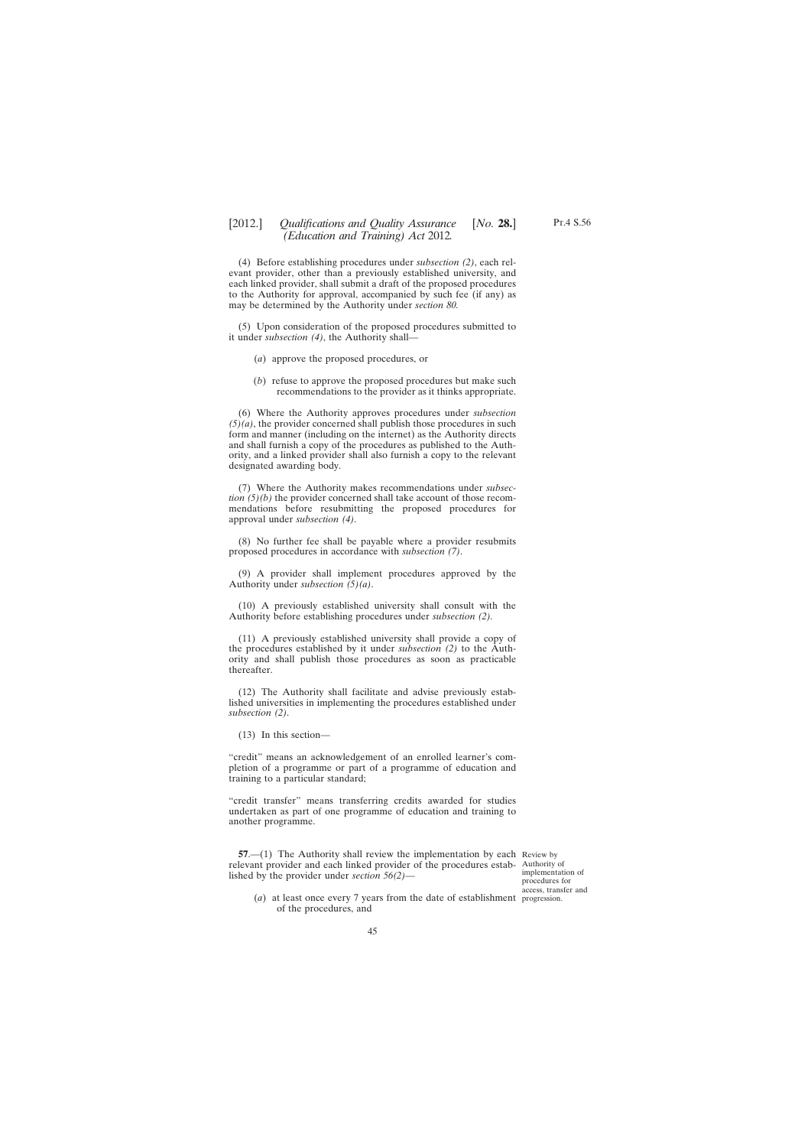(4) Before establishing procedures under *subsection (2)*, each relevant provider, other than a previously established university, and each linked provider, shall submit a draft of the proposed procedures to the Authority for approval, accompanied by such fee (if any) as may be determined by the Authority under *section 80.*

(5) Upon consideration of the proposed procedures submitted to it under *subsection (4)*, the Authority shall—

- (*a*) approve the proposed procedures, or
- (*b*) refuse to approve the proposed procedures but make such recommendations to the provider as it thinks appropriate.

(6) Where the Authority approves procedures under *subsection*  $(5)(a)$ , the provider concerned shall publish those procedures in such form and manner (including on the internet) as the Authority directs and shall furnish a copy of the procedures as published to the Authority, and a linked provider shall also furnish a copy to the relevant designated awarding body.

(7) Where the Authority makes recommendations under *subsection (5)(b)* the provider concerned shall take account of those recommendations before resubmitting the proposed procedures for approval under *subsection (4)*.

(8) No further fee shall be payable where a provider resubmits proposed procedures in accordance with *subsection (7)*.

(9) A provider shall implement procedures approved by the Authority under *subsection (5)(a)*.

(10) A previously established university shall consult with the Authority before establishing procedures under *subsection (2).*

(11) A previously established university shall provide a copy of the procedures established by it under *subsection (2)* to the Authority and shall publish those procedures as soon as practicable thereafter.

(12) The Authority shall facilitate and advise previously established universities in implementing the procedures established under *subsection (2)*.

(13) In this section—

"credit" means an acknowledgement of an enrolled learner's completion of a programme or part of a programme of education and training to a particular standard;

"credit transfer" means transferring credits awarded for studies undertaken as part of one programme of education and training to another programme.

**57.**—(1) The Authority shall review the implementation by each Review by relevant provider and each linked provider of the procedures estab-Authority of lished by the provider under *section 56(2)*—

(*a*) at least once every 7 years from the date of establishment progression.implementation of procedures for access, transfer and

Pt.4 S.56

of the procedures, and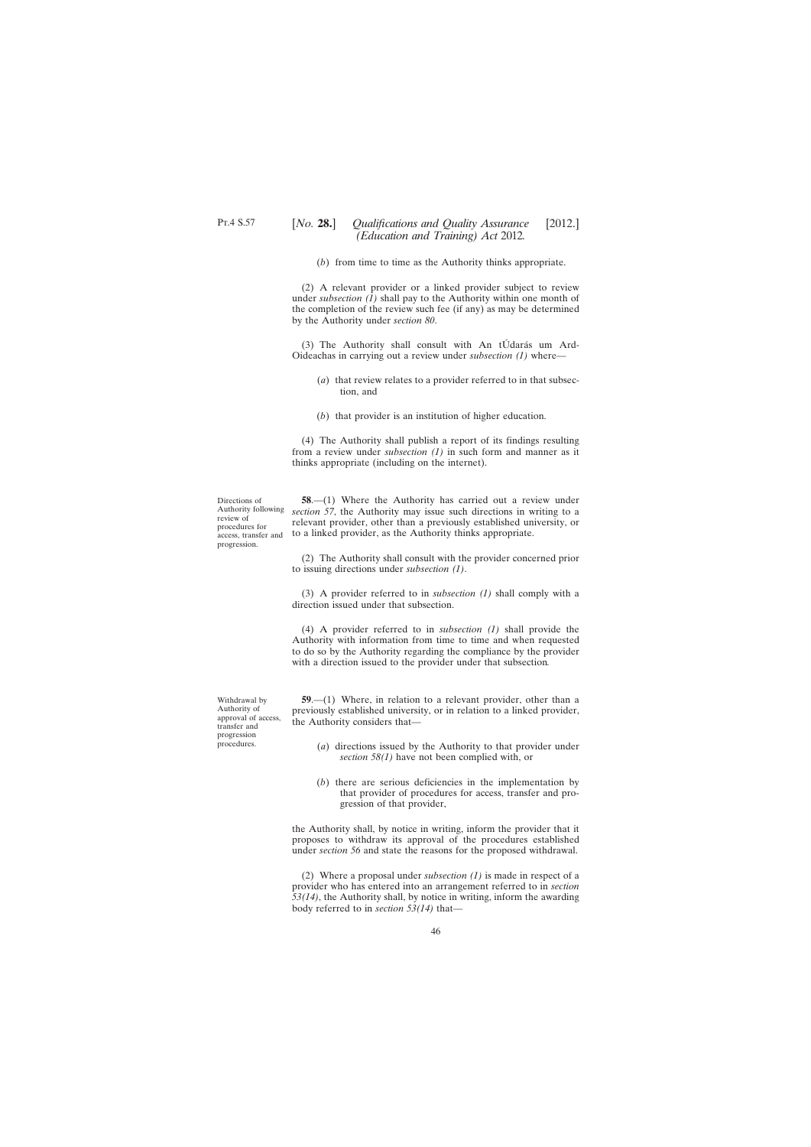(*b*) from time to time as the Authority thinks appropriate.

(2) A relevant provider or a linked provider subject to review under *subsection (1)* shall pay to the Authority within one month of the completion of the review such fee (if any) as may be determined by the Authority under *section 80*.

(3) The Authority shall consult with An tÚdarás um Ard-Oideachas in carrying out a review under *subsection (1)* where—

- (*a*) that review relates to a provider referred to in that subsection, and
- (*b*) that provider is an institution of higher education.

(4) The Authority shall publish a report of its findings resulting from a review under *subsection (1)* in such form and manner as it thinks appropriate (including on the internet).

Directions of Authority following review of procedures for progression.

access, transfer and to a linked provider, as the Authority thinks appropriate. **58**.—(1) Where the Authority has carried out a review under *section 57*, the Authority may issue such directions in writing to a relevant provider, other than a previously established university, or

> (2) The Authority shall consult with the provider concerned prior to issuing directions under *subsection (1)*.

> (3) A provider referred to in *subsection (1)* shall comply with a direction issued under that subsection.

> (4) A provider referred to in *subsection (1)* shall provide the Authority with information from time to time and when requested to do so by the Authority regarding the compliance by the provider with a direction issued to the provider under that subsection*.*

Withdrawal by Authority of approval of access, transfer and progression procedures.

**59**.—(1) Where, in relation to a relevant provider, other than a previously established university, or in relation to a linked provider, the Authority considers that—

- (*a*) directions issued by the Authority to that provider under *section 58(1)* have not been complied with, or
- (*b*) there are serious deficiencies in the implementation by that provider of procedures for access, transfer and progression of that provider,

the Authority shall, by notice in writing, inform the provider that it proposes to withdraw its approval of the procedures established under *section 56* and state the reasons for the proposed withdrawal.

(2) Where a proposal under *subsection (1)* is made in respect of a provider who has entered into an arrangement referred to in *section 53(14)*, the Authority shall, by notice in writing, inform the awarding body referred to in *section 53(14)* that—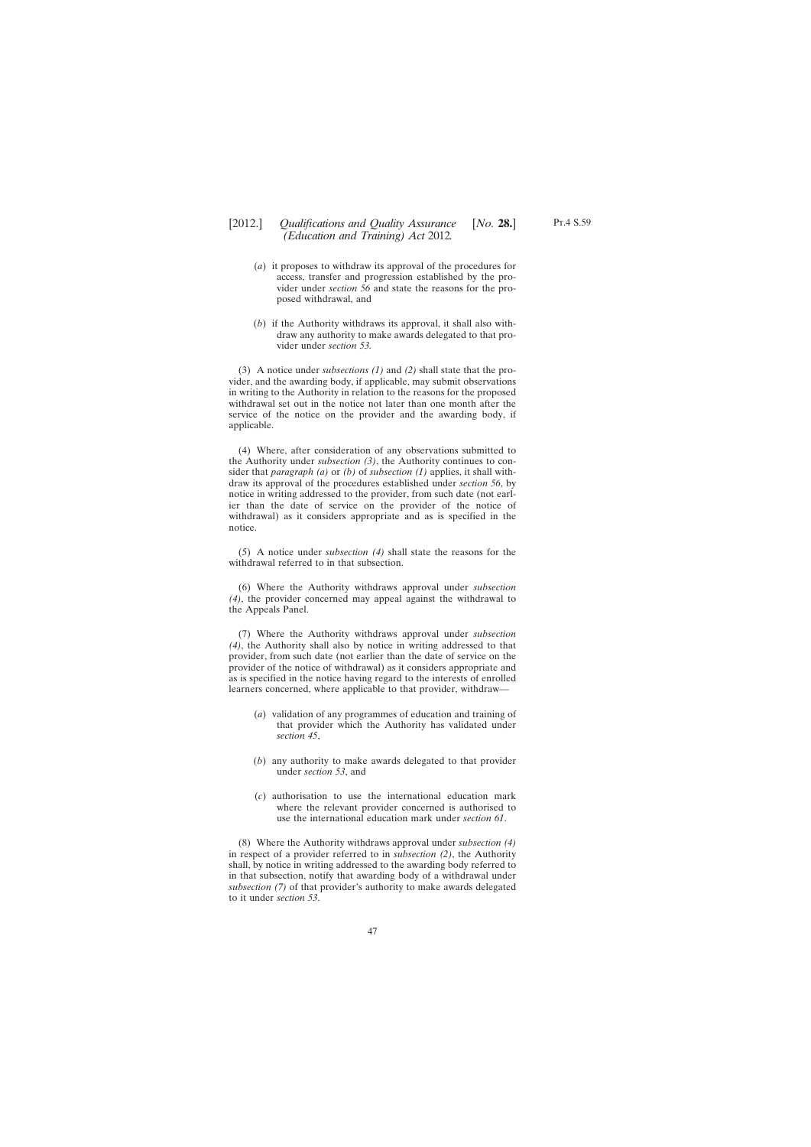- (*a*) it proposes to withdraw its approval of the procedures for access, transfer and progression established by the provider under *section 56* and state the reasons for the proposed withdrawal, and
- (*b*) if the Authority withdraws its approval, it shall also withdraw any authority to make awards delegated to that provider under *section 53.*

(3) A notice under *subsections (1)* and *(2)* shall state that the provider, and the awarding body, if applicable, may submit observations in writing to the Authority in relation to the reasons for the proposed withdrawal set out in the notice not later than one month after the service of the notice on the provider and the awarding body, if applicable.

(4) Where, after consideration of any observations submitted to the Authority under *subsection (3)*, the Authority continues to consider that *paragraph (a)* or *(b)* of *subsection (1)* applies, it shall withdraw its approval of the procedures established under *section 56*, by notice in writing addressed to the provider, from such date (not earlier than the date of service on the provider of the notice of withdrawal) as it considers appropriate and as is specified in the notice.

(5) A notice under *subsection (4)* shall state the reasons for the withdrawal referred to in that subsection.

(6) Where the Authority withdraws approval under *subsection (4)*, the provider concerned may appeal against the withdrawal to the Appeals Panel.

(7) Where the Authority withdraws approval under *subsection (4)*, the Authority shall also by notice in writing addressed to that provider, from such date (not earlier than the date of service on the provider of the notice of withdrawal) as it considers appropriate and as is specified in the notice having regard to the interests of enrolled learners concerned, where applicable to that provider, withdraw—

- (*a*) validation of any programmes of education and training of that provider which the Authority has validated under *section 45*,
- (*b*) any authority to make awards delegated to that provider under *section 53*, and
- (*c*) authorisation to use the international education mark where the relevant provider concerned is authorised to use the international education mark under *section 61*.

(8) Where the Authority withdraws approval under *subsection (4)* in respect of a provider referred to in *subsection (2)*, the Authority shall, by notice in writing addressed to the awarding body referred to in that subsection, notify that awarding body of a withdrawal under *subsection (7)* of that provider's authority to make awards delegated to it under *section 53*.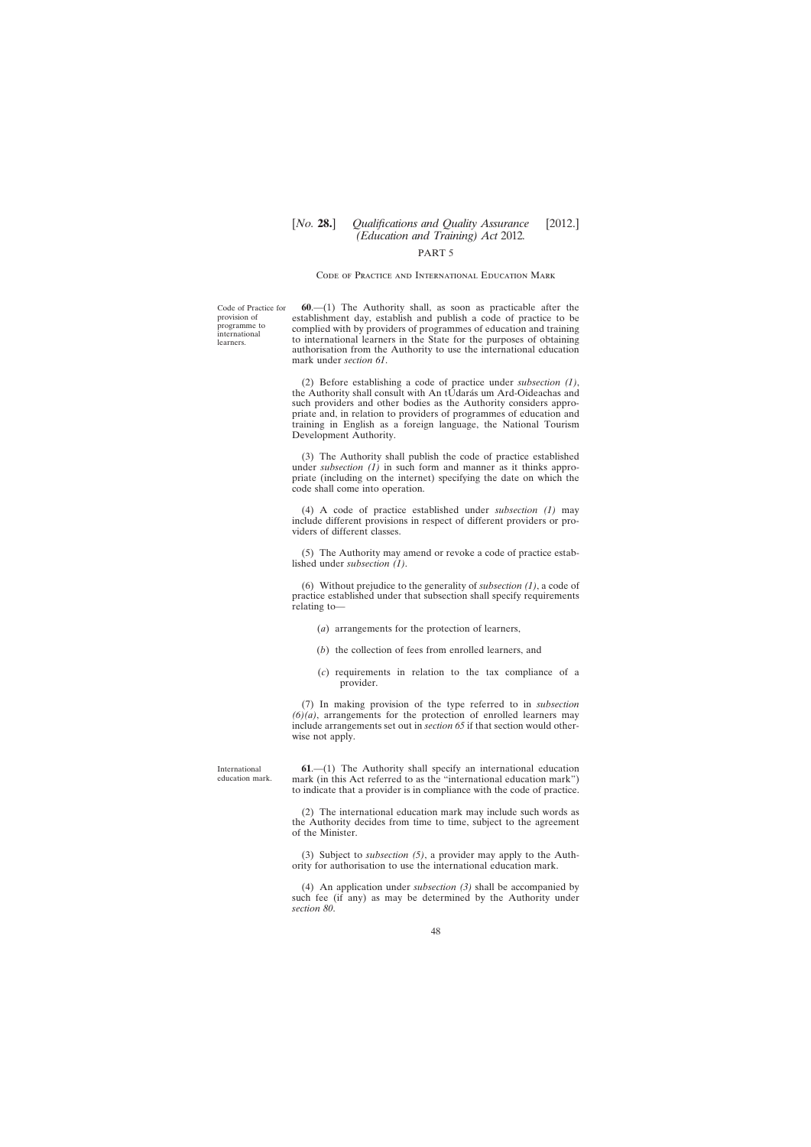# [*No.* **28.**] *Qualifications and Quality Assurance* [2012.] *(Education and Training) Act* 2012*.*

### PART 5

### Code of Practice and International Education Mark

Code of Practice for provision of programme to international learners.

**60**.—(1) The Authority shall, as soon as practicable after the establishment day, establish and publish a code of practice to be complied with by providers of programmes of education and training to international learners in the State for the purposes of obtaining authorisation from the Authority to use the international education mark under *section 61*.

(2) Before establishing a code of practice under *subsection (1)*, the Authority shall consult with An tÚdarás um Ard-Oideachas and such providers and other bodies as the Authority considers appropriate and, in relation to providers of programmes of education and training in English as a foreign language, the National Tourism Development Authority.

(3) The Authority shall publish the code of practice established under *subsection (1)* in such form and manner as it thinks appropriate (including on the internet) specifying the date on which the code shall come into operation.

(4) A code of practice established under *subsection (1)* may include different provisions in respect of different providers or providers of different classes.

(5) The Authority may amend or revoke a code of practice established under *subsection (1)*.

(6) Without prejudice to the generality of *subsection (1)*, a code of practice established under that subsection shall specify requirements relating to—

- (*a*) arrangements for the protection of learners,
- (*b*) the collection of fees from enrolled learners, and
- (*c*) requirements in relation to the tax compliance of a provider.

(7) In making provision of the type referred to in *subsection (6)(a)*, arrangements for the protection of enrolled learners may include arrangements set out in *section 65* if that section would otherwise not apply.

International education mark.

**61**.—(1) The Authority shall specify an international education mark (in this Act referred to as the "international education mark") to indicate that a provider is in compliance with the code of practice.

(2) The international education mark may include such words as the Authority decides from time to time, subject to the agreement of the Minister.

(3) Subject to *subsection (5)*, a provider may apply to the Authority for authorisation to use the international education mark.

(4) An application under *subsection (3)* shall be accompanied by such fee (if any) as may be determined by the Authority under *section 80*.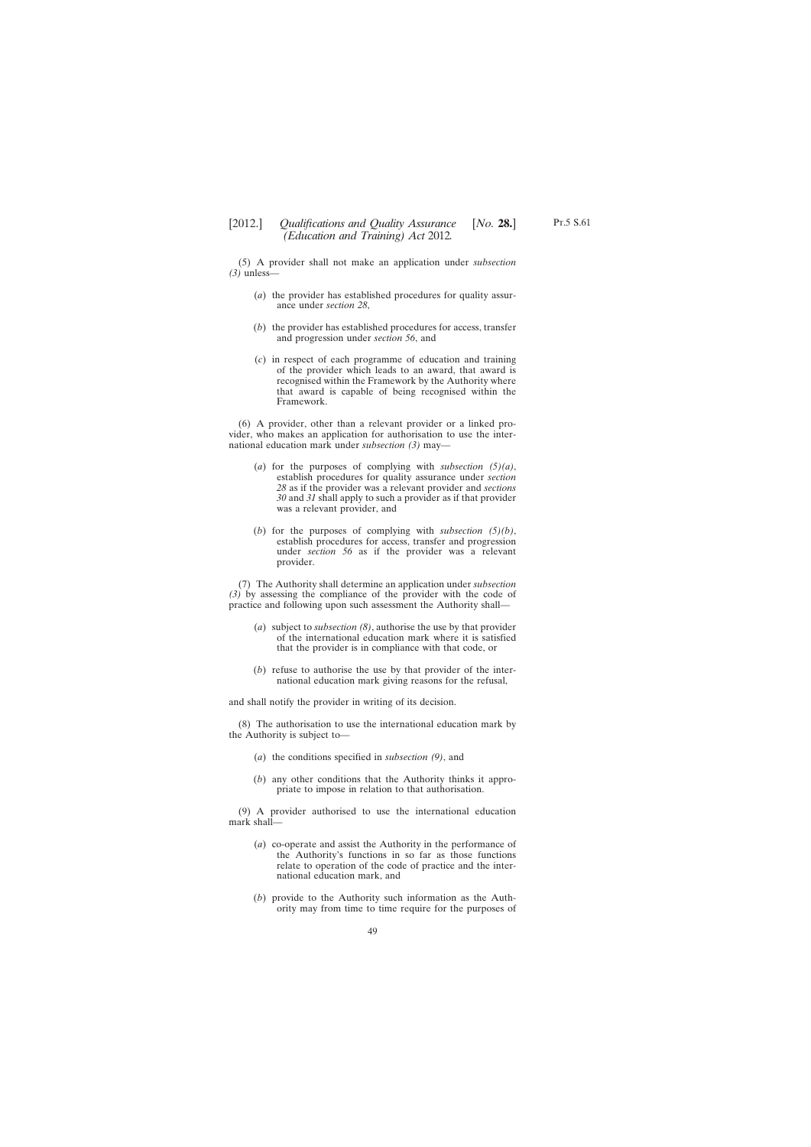(5) A provider shall not make an application under *subsection (3)* unless—

- (*a*) the provider has established procedures for quality assurance under *section 28*,
- (*b*) the provider has established procedures for access, transfer and progression under *section 56*, and
- (*c*) in respect of each programme of education and training of the provider which leads to an award, that award is recognised within the Framework by the Authority where that award is capable of being recognised within the Framework.

(6) A provider, other than a relevant provider or a linked provider, who makes an application for authorisation to use the international education mark under *subsection (3)* may—

- (*a*) for the purposes of complying with *subsection (5)(a)*, establish procedures for quality assurance under *section 28* as if the provider was a relevant provider and *sections 30* and *31* shall apply to such a provider as if that provider was a relevant provider, and
- (*b*) for the purposes of complying with *subsection (5)(b)*, establish procedures for access, transfer and progression under *section 56* as if the provider was a relevant provider.

(7) The Authority shall determine an application under *subsection (3)* by assessing the compliance of the provider with the code of practice and following upon such assessment the Authority shall—

- (*a*) subject to *subsection (8)*, authorise the use by that provider of the international education mark where it is satisfied that the provider is in compliance with that code, or
- (*b*) refuse to authorise the use by that provider of the international education mark giving reasons for the refusal,

and shall notify the provider in writing of its decision.

(8) The authorisation to use the international education mark by the Authority is subject to—

- (*a*) the conditions specified in *subsection (9)*, and
- (*b*) any other conditions that the Authority thinks it appropriate to impose in relation to that authorisation.

(9) A provider authorised to use the international education mark shall—

- (*a*) co-operate and assist the Authority in the performance of the Authority's functions in so far as those functions relate to operation of the code of practice and the international education mark, and
- (*b*) provide to the Authority such information as the Authority may from time to time require for the purposes of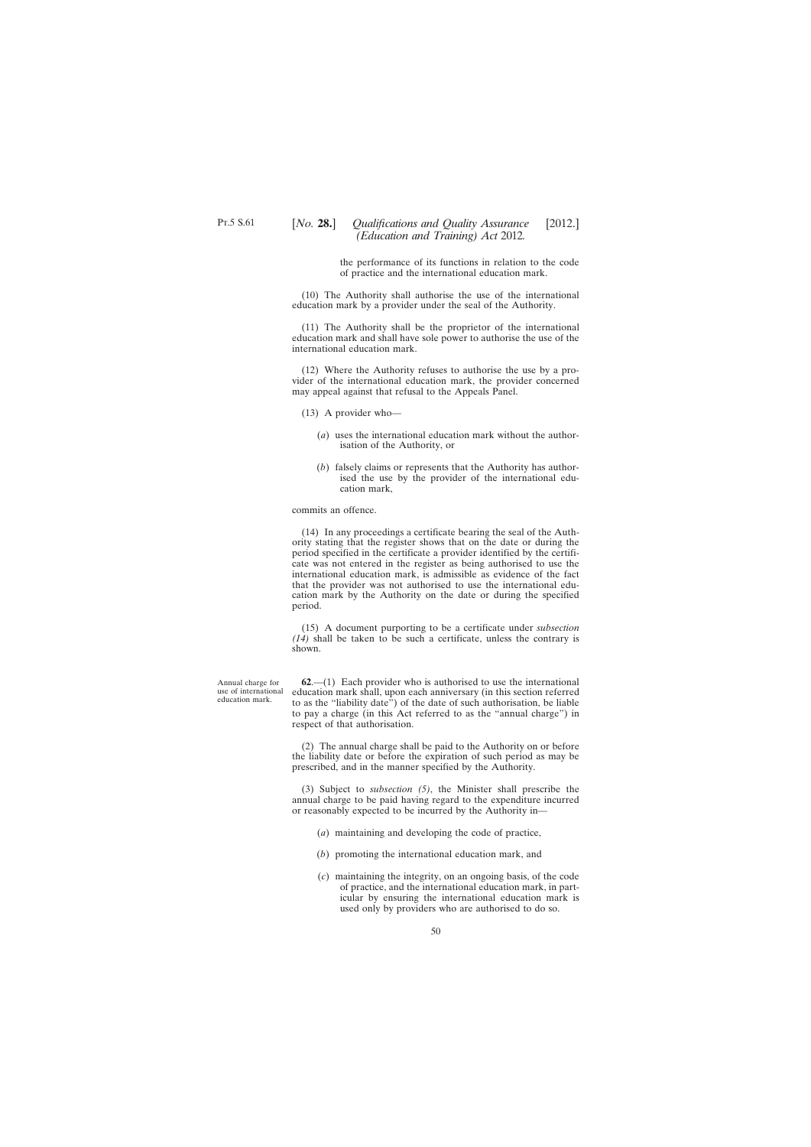the performance of its functions in relation to the code of practice and the international education mark.

(10) The Authority shall authorise the use of the international education mark by a provider under the seal of the Authority.

(11) The Authority shall be the proprietor of the international education mark and shall have sole power to authorise the use of the international education mark.

(12) Where the Authority refuses to authorise the use by a provider of the international education mark, the provider concerned may appeal against that refusal to the Appeals Panel.

- (13) A provider who—
	- (*a*) uses the international education mark without the authorisation of the Authority, or
	- (*b*) falsely claims or represents that the Authority has authorised the use by the provider of the international education mark,

commits an offence.

(14) In any proceedings a certificate bearing the seal of the Authority stating that the register shows that on the date or during the period specified in the certificate a provider identified by the certificate was not entered in the register as being authorised to use the international education mark, is admissible as evidence of the fact that the provider was not authorised to use the international education mark by the Authority on the date or during the specified period.

(15) A document purporting to be a certificate under *subsection (14)* shall be taken to be such a certificate, unless the contrary is shown.

**62**.—(1) Each provider who is authorised to use the international education mark shall, upon each anniversary (in this section referred to as the "liability date") of the date of such authorisation, be liable to pay a charge (in this Act referred to as the "annual charge") in respect of that authorisation.

(2) The annual charge shall be paid to the Authority on or before the liability date or before the expiration of such period as may be prescribed, and in the manner specified by the Authority.

(3) Subject to *subsection (5)*, the Minister shall prescribe the annual charge to be paid having regard to the expenditure incurred or reasonably expected to be incurred by the Authority in—

- (*a*) maintaining and developing the code of practice,
- (*b*) promoting the international education mark, and
- (*c*) maintaining the integrity, on an ongoing basis, of the code of practice, and the international education mark, in particular by ensuring the international education mark is used only by providers who are authorised to do so.

Annual charge for use of international education mark.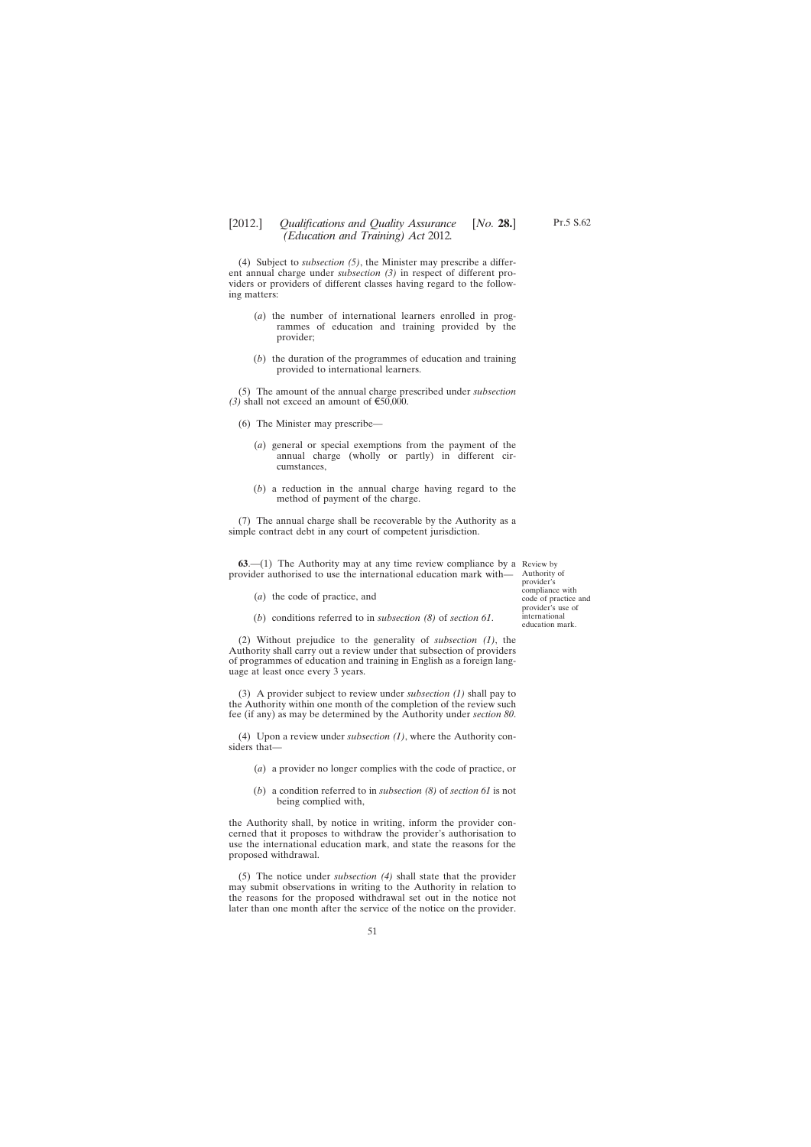(4) Subject to *subsection (5)*, the Minister may prescribe a different annual charge under *subsection (3)* in respect of different providers or providers of different classes having regard to the following matters:

- (*a*) the number of international learners enrolled in programmes of education and training provided by the provider;
- (*b*) the duration of the programmes of education and training provided to international learners.

(5) The amount of the annual charge prescribed under *subsection (3)* shall not exceed an amount of  $\epsilon$ 50,000.

- (6) The Minister may prescribe—
	- (*a*) general or special exemptions from the payment of the annual charge (wholly or partly) in different circumstances,
	- (*b*) a reduction in the annual charge having regard to the method of payment of the charge.

(7) The annual charge shall be recoverable by the Authority as a simple contract debt in any court of competent jurisdiction.

**63.**—(1) The Authority may at any time review compliance by a Review by provider authorised to use the international education mark with—

- (*a*) the code of practice, and
- (*b*) conditions referred to in *subsection (8)* of *section 61*.

(2) Without prejudice to the generality of *subsection (1)*, the Authority shall carry out a review under that subsection of providers of programmes of education and training in English as a foreign language at least once every 3 years.

(3) A provider subject to review under *subsection (1)* shall pay to the Authority within one month of the completion of the review such fee (if any) as may be determined by the Authority under *section 80*.

(4) Upon a review under *subsection (1)*, where the Authority considers that—

- (*a*) a provider no longer complies with the code of practice, or
- (*b*) a condition referred to in *subsection (8)* of *section 61* is not being complied with,

the Authority shall, by notice in writing, inform the provider concerned that it proposes to withdraw the provider's authorisation to use the international education mark, and state the reasons for the proposed withdrawal.

(5) The notice under *subsection (4)* shall state that the provider may submit observations in writing to the Authority in relation to the reasons for the proposed withdrawal set out in the notice not later than one month after the service of the notice on the provider.

Authority of provider's compliance with code of practice and provider's use of international education mark.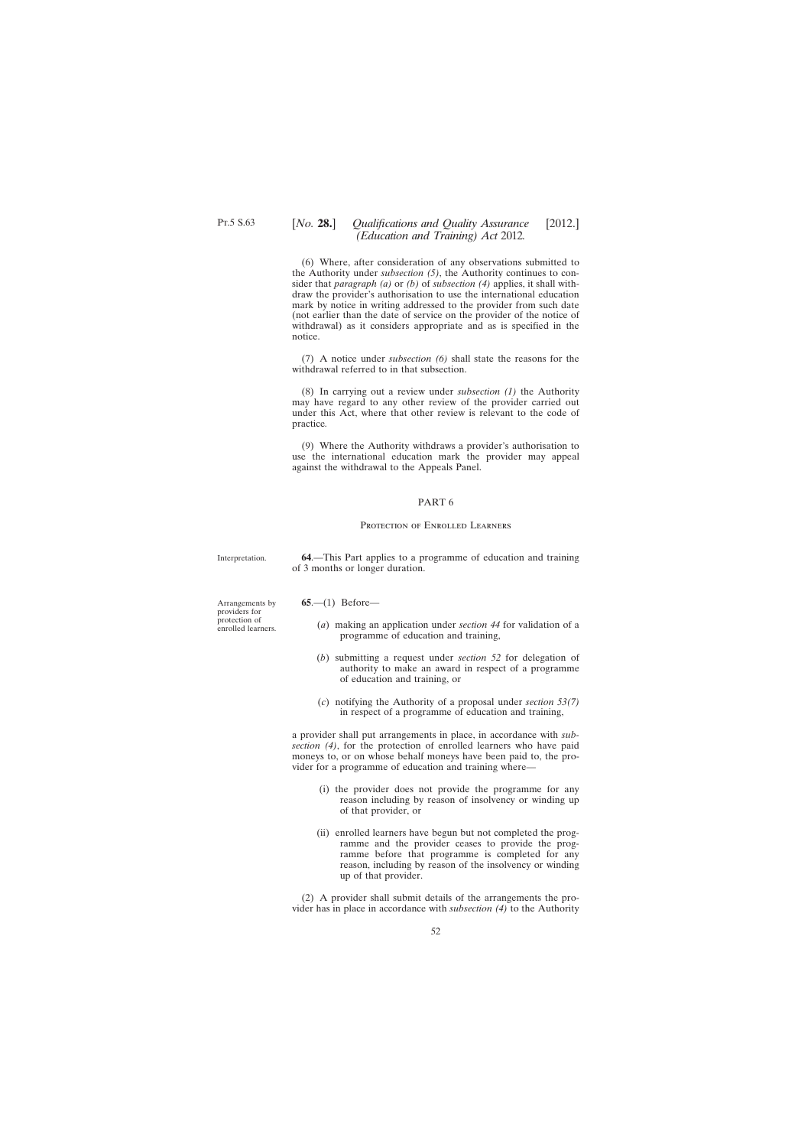# [*No.* **28.**] *Qualifications and Quality Assurance* [2012.] *(Education and Training) Act* 2012*.*

(6) Where, after consideration of any observations submitted to the Authority under *subsection (5)*, the Authority continues to consider that *paragraph (a)* or *(b)* of *subsection (4)* applies, it shall withdraw the provider's authorisation to use the international education mark by notice in writing addressed to the provider from such date (not earlier than the date of service on the provider of the notice of withdrawal) as it considers appropriate and as is specified in the notice.

(7) A notice under *subsection (6)* shall state the reasons for the withdrawal referred to in that subsection.

(8) In carrying out a review under *subsection (1)* the Authority may have regard to any other review of the provider carried out under this Act, where that other review is relevant to the code of practice*.*

(9) Where the Authority withdraws a provider's authorisation to use the international education mark the provider may appeal against the withdrawal to the Appeals Panel.

### PART 6

### Protection of Enrolled Learners

Interpretation.

**64**.—This Part applies to a programme of education and training of 3 months or longer duration.

Arrangements by providers for protection of enrolled learners. **65**.—(1) Before—

- (*a*) making an application under *section 44* for validation of a programme of education and training,
- (*b*) submitting a request under *section 52* for delegation of authority to make an award in respect of a programme of education and training, or
- (*c*) notifying the Authority of a proposal under *section 53(7)* in respect of a programme of education and training,

a provider shall put arrangements in place, in accordance with *subsection (4)*, for the protection of enrolled learners who have paid moneys to, or on whose behalf moneys have been paid to, the provider for a programme of education and training where—

- (i) the provider does not provide the programme for any reason including by reason of insolvency or winding up of that provider, or
- (ii) enrolled learners have begun but not completed the programme and the provider ceases to provide the programme before that programme is completed for any reason, including by reason of the insolvency or winding up of that provider.

(2) A provider shall submit details of the arrangements the provider has in place in accordance with *subsection (4)* to the Authority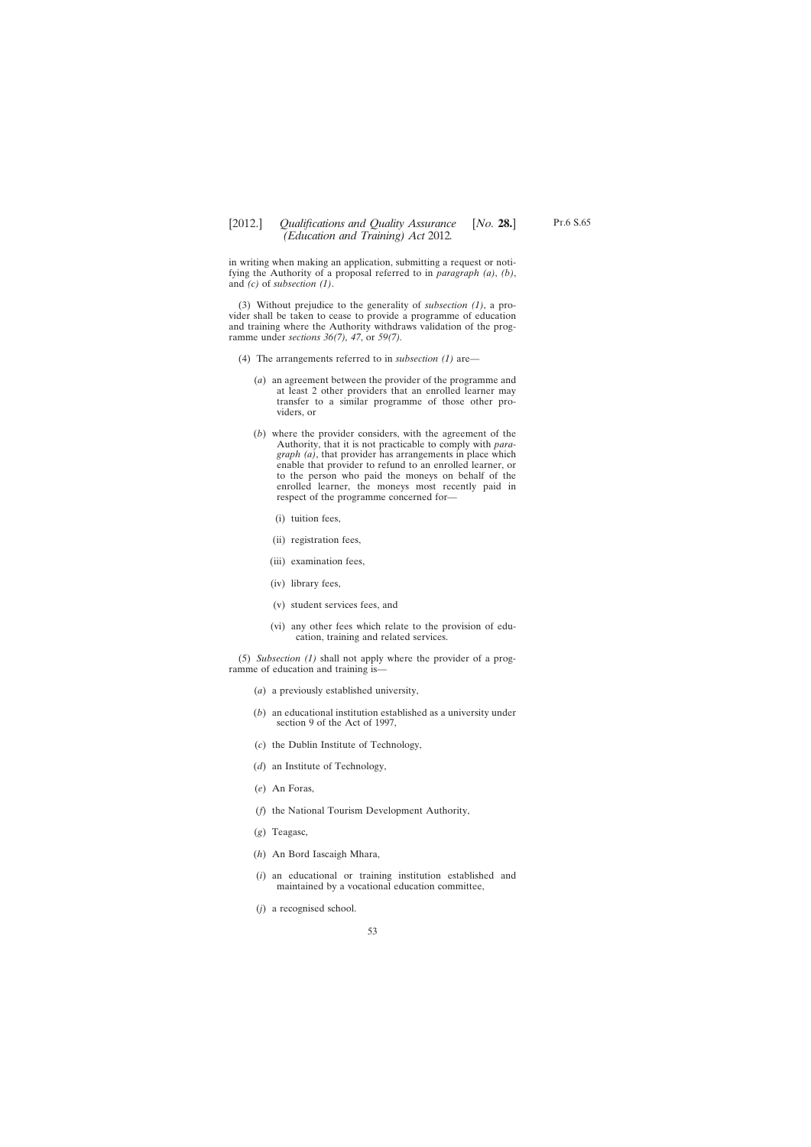in writing when making an application, submitting a request or notifying the Authority of a proposal referred to in *paragraph (a)*, *(b)*, and *(c)* of *subsection (1)*.

(3) Without prejudice to the generality of *subsection (1)*, a provider shall be taken to cease to provide a programme of education and training where the Authority withdraws validation of the programme under *sections 36(7), 47*, or *59(7).*

- (4) The arrangements referred to in *subsection (1)* are—
	- (*a*) an agreement between the provider of the programme and at least 2 other providers that an enrolled learner may transfer to a similar programme of those other providers, or
	- (*b*) where the provider considers, with the agreement of the Authority, that it is not practicable to comply with *paragraph (a)*, that provider has arrangements in place which enable that provider to refund to an enrolled learner, or to the person who paid the moneys on behalf of the enrolled learner, the moneys most recently paid in respect of the programme concerned for—
		- (i) tuition fees,
		- (ii) registration fees,
		- (iii) examination fees,
		- (iv) library fees,
		- (v) student services fees, and
		- (vi) any other fees which relate to the provision of education, training and related services.

(5) *Subsection (1)* shall not apply where the provider of a programme of education and training is—

- (*a*) a previously established university,
- (*b*) an educational institution established as a university under section 9 of the Act of 1997,
- (*c*) the Dublin Institute of Technology,
- (*d*) an Institute of Technology,
- (*e*) An Foras,
- (*f*) the National Tourism Development Authority,
- (*g*) Teagasc,
- (*h*) An Bord Iascaigh Mhara,
- (*i*) an educational or training institution established and maintained by a vocational education committee,
- (*j*) a recognised school.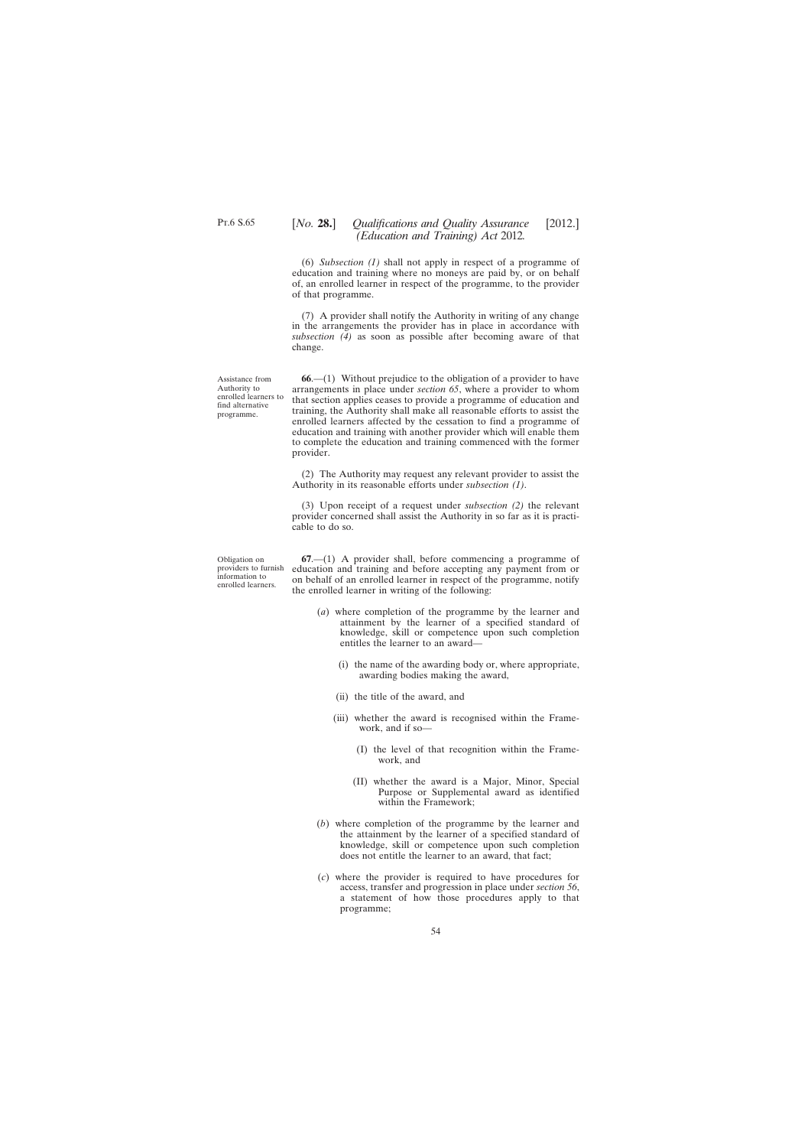Assistance from Authority to enrolled learners to find alternative programme.

(6) *Subsection (1)* shall not apply in respect of a programme of education and training where no moneys are paid by, or on behalf of, an enrolled learner in respect of the programme, to the provider of that programme.

(7) A provider shall notify the Authority in writing of any change in the arrangements the provider has in place in accordance with *subsection (4)* as soon as possible after becoming aware of that change.

**66**.—(1) Without prejudice to the obligation of a provider to have arrangements in place under *section 65*, where a provider to whom that section applies ceases to provide a programme of education and training, the Authority shall make all reasonable efforts to assist the enrolled learners affected by the cessation to find a programme of education and training with another provider which will enable them to complete the education and training commenced with the former provider.

(2) The Authority may request any relevant provider to assist the Authority in its reasonable efforts under *subsection (1)*.

(3) Upon receipt of a request under *subsection (2)* the relevant provider concerned shall assist the Authority in so far as it is practicable to do so.

Obligation on providers to furnish information to enrolled learners.

**67**.—(1) A provider shall, before commencing a programme of education and training and before accepting any payment from or on behalf of an enrolled learner in respect of the programme, notify the enrolled learner in writing of the following:

- (*a*) where completion of the programme by the learner and attainment by the learner of a specified standard of knowledge, skill or competence upon such completion entitles the learner to an award—
	- (i) the name of the awarding body or, where appropriate, awarding bodies making the award,
	- (ii) the title of the award, and
	- (iii) whether the award is recognised within the Framework, and if so—
		- (I) the level of that recognition within the Framework, and
		- (II) whether the award is a Major, Minor, Special Purpose or Supplemental award as identified within the Framework;
- (*b*) where completion of the programme by the learner and the attainment by the learner of a specified standard of knowledge, skill or competence upon such completion does not entitle the learner to an award, that fact;
- (*c*) where the provider is required to have procedures for access, transfer and progression in place under *section 56*, a statement of how those procedures apply to that programme;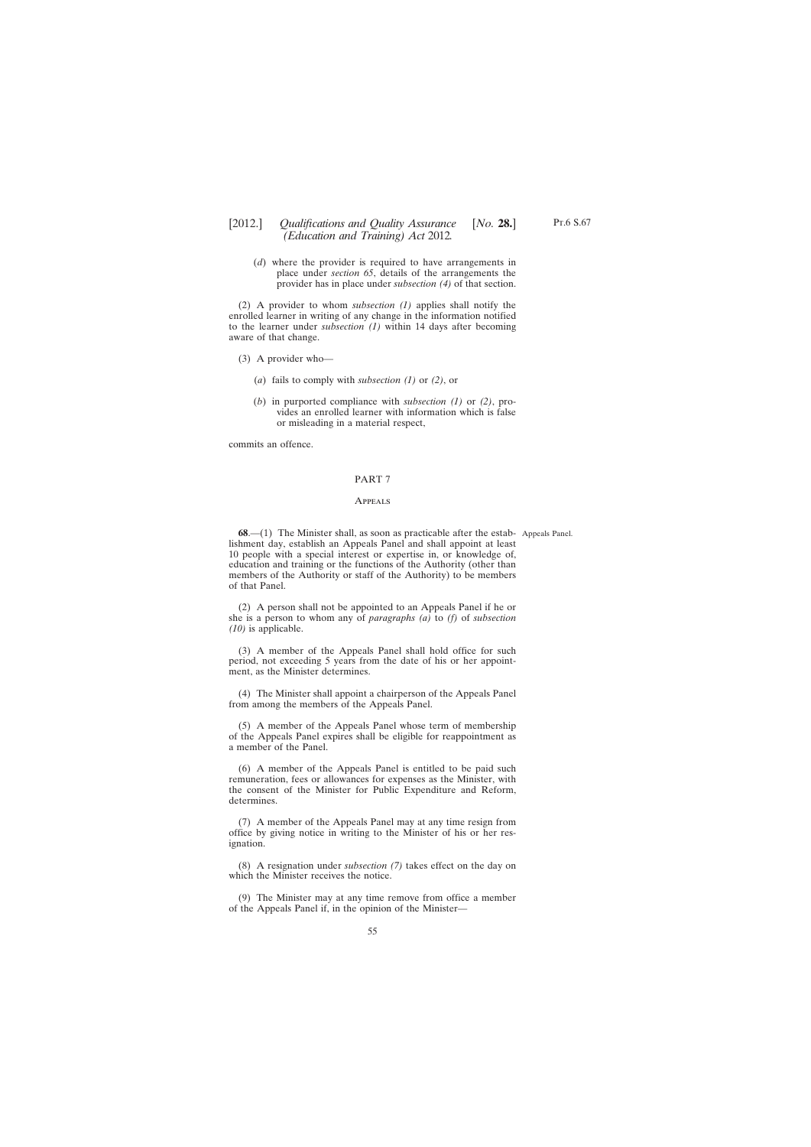(*d*) where the provider is required to have arrangements in place under *section 65*, details of the arrangements the provider has in place under *subsection (4)* of that section.

(2) A provider to whom *subsection (1)* applies shall notify the enrolled learner in writing of any change in the information notified to the learner under *subsection (1)* within 14 days after becoming aware of that change.

- (3) A provider who—
	- (*a*) fails to comply with *subsection (1)* or *(2)*, or
	- (*b*) in purported compliance with *subsection (1)* or *(2)*, provides an enrolled learner with information which is false or misleading in a material respect,

commits an offence.

#### PART 7

#### **APPEALS**

**68.**—(1) The Minister shall, as soon as practicable after the estab- Appeals Panel. lishment day, establish an Appeals Panel and shall appoint at least 10 people with a special interest or expertise in, or knowledge of, education and training or the functions of the Authority (other than members of the Authority or staff of the Authority) to be members of that Panel.

(2) A person shall not be appointed to an Appeals Panel if he or she is a person to whom any of *paragraphs (a)* to *(f)* of *subsection (10)* is applicable.

(3) A member of the Appeals Panel shall hold office for such period, not exceeding 5 years from the date of his or her appointment, as the Minister determines.

(4) The Minister shall appoint a chairperson of the Appeals Panel from among the members of the Appeals Panel.

(5) A member of the Appeals Panel whose term of membership of the Appeals Panel expires shall be eligible for reappointment as a member of the Panel.

(6) A member of the Appeals Panel is entitled to be paid such remuneration, fees or allowances for expenses as the Minister, with the consent of the Minister for Public Expenditure and Reform, determines.

(7) A member of the Appeals Panel may at any time resign from office by giving notice in writing to the Minister of his or her resignation.

(8) A resignation under *subsection (7)* takes effect on the day on which the Minister receives the notice.

(9) The Minister may at any time remove from office a member of the Appeals Panel if, in the opinion of the Minister—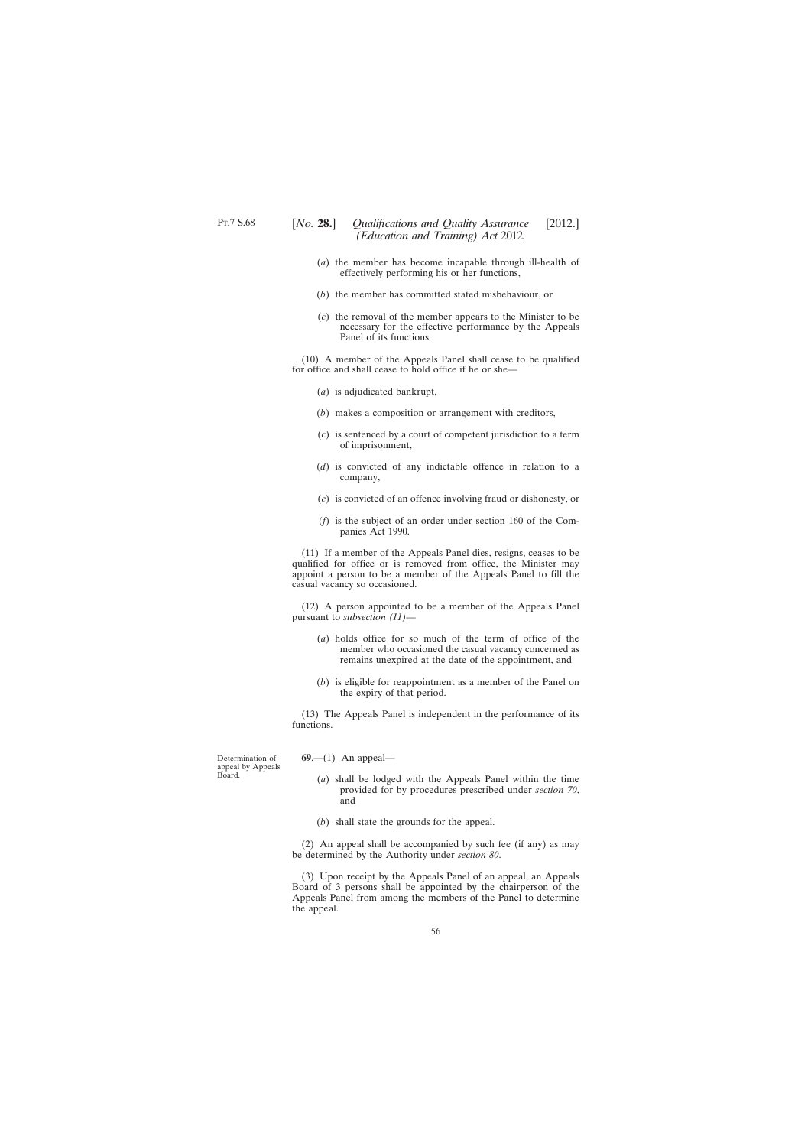- (*a*) the member has become incapable through ill-health of effectively performing his or her functions,
- (*b*) the member has committed stated misbehaviour, or
- (*c*) the removal of the member appears to the Minister to be necessary for the effective performance by the Appeals Panel of its functions.

(10) A member of the Appeals Panel shall cease to be qualified for office and shall cease to hold office if he or she—

- (*a*) is adjudicated bankrupt,
- (*b*) makes a composition or arrangement with creditors,
- (*c*) is sentenced by a court of competent jurisdiction to a term of imprisonment,
- (*d*) is convicted of any indictable offence in relation to a company,
- (*e*) is convicted of an offence involving fraud or dishonesty, or
- (*f*) is the subject of an order under section 160 of the Companies Act 1990.

(11) If a member of the Appeals Panel dies, resigns, ceases to be qualified for office or is removed from office, the Minister may appoint a person to be a member of the Appeals Panel to fill the casual vacancy so occasioned.

(12) A person appointed to be a member of the Appeals Panel pursuant to *subsection (11)*—

- (*a*) holds office for so much of the term of office of the member who occasioned the casual vacancy concerned as remains unexpired at the date of the appointment, and
- (*b*) is eligible for reappointment as a member of the Panel on the expiry of that period.

(13) The Appeals Panel is independent in the performance of its functions.

Determination of appeal by Appeals Board.

**69**.—(1) An appeal—

- (*a*) shall be lodged with the Appeals Panel within the time provided for by procedures prescribed under *section 70*, and
- (*b*) shall state the grounds for the appeal.

(2) An appeal shall be accompanied by such fee (if any) as may be determined by the Authority under *section 80*.

(3) Upon receipt by the Appeals Panel of an appeal, an Appeals Board of 3 persons shall be appointed by the chairperson of the Appeals Panel from among the members of the Panel to determine the appeal.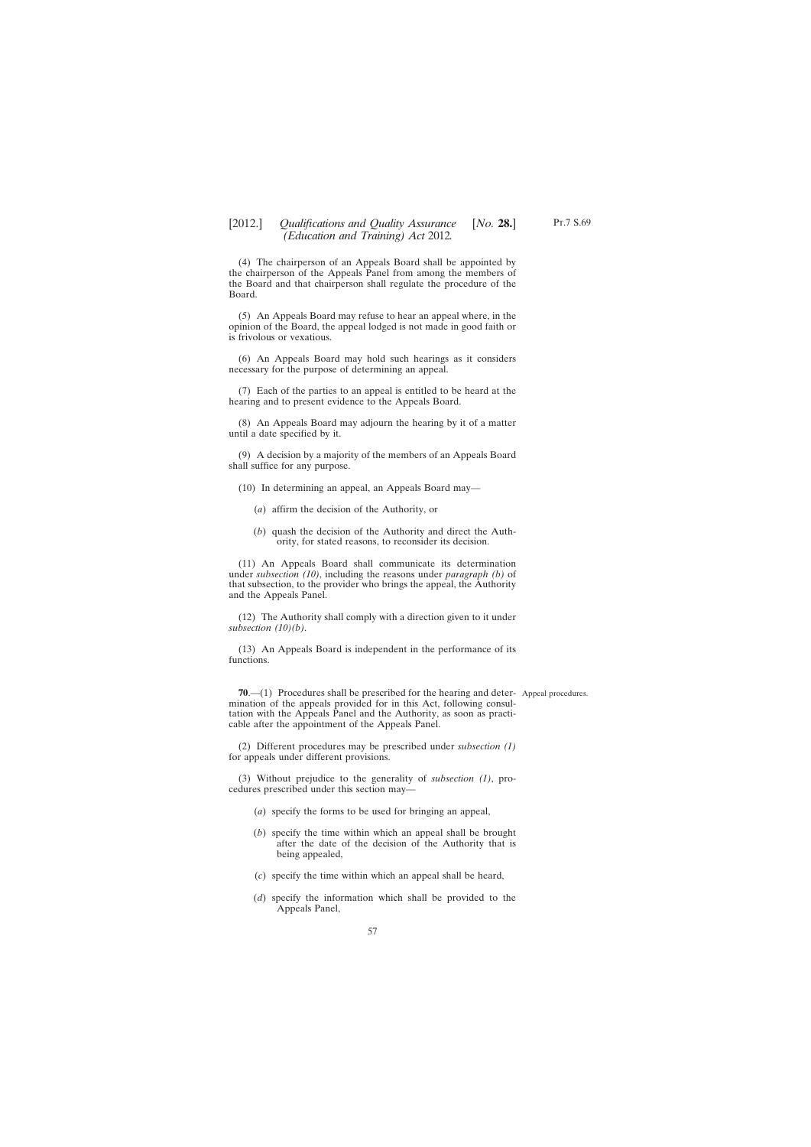(4) The chairperson of an Appeals Board shall be appointed by the chairperson of the Appeals Panel from among the members of the Board and that chairperson shall regulate the procedure of the Board.

(5) An Appeals Board may refuse to hear an appeal where, in the opinion of the Board, the appeal lodged is not made in good faith or is frivolous or vexatious.

(6) An Appeals Board may hold such hearings as it considers necessary for the purpose of determining an appeal.

(7) Each of the parties to an appeal is entitled to be heard at the hearing and to present evidence to the Appeals Board.

(8) An Appeals Board may adjourn the hearing by it of a matter until a date specified by it.

(9) A decision by a majority of the members of an Appeals Board shall suffice for any purpose.

(10) In determining an appeal, an Appeals Board may—

- (*a*) affirm the decision of the Authority, or
- (*b*) quash the decision of the Authority and direct the Authority, for stated reasons, to reconsider its decision.

(11) An Appeals Board shall communicate its determination under *subsection (10)*, including the reasons under *paragraph (b)* of that subsection, to the provider who brings the appeal, the Authority and the Appeals Panel.

(12) The Authority shall comply with a direction given to it under *subsection (10)(b)*.

(13) An Appeals Board is independent in the performance of its functions.

**70.**—(1) Procedures shall be prescribed for the hearing and deter- Appeal procedures. mination of the appeals provided for in this Act, following consultation with the Appeals Panel and the Authority, as soon as practicable after the appointment of the Appeals Panel.

(2) Different procedures may be prescribed under *subsection (1)* for appeals under different provisions.

(3) Without prejudice to the generality of *subsection (1)*, procedures prescribed under this section may—

- (*a*) specify the forms to be used for bringing an appeal,
- (*b*) specify the time within which an appeal shall be brought after the date of the decision of the Authority that is being appealed,
- (*c*) specify the time within which an appeal shall be heard,
- (*d*) specify the information which shall be provided to the Appeals Panel,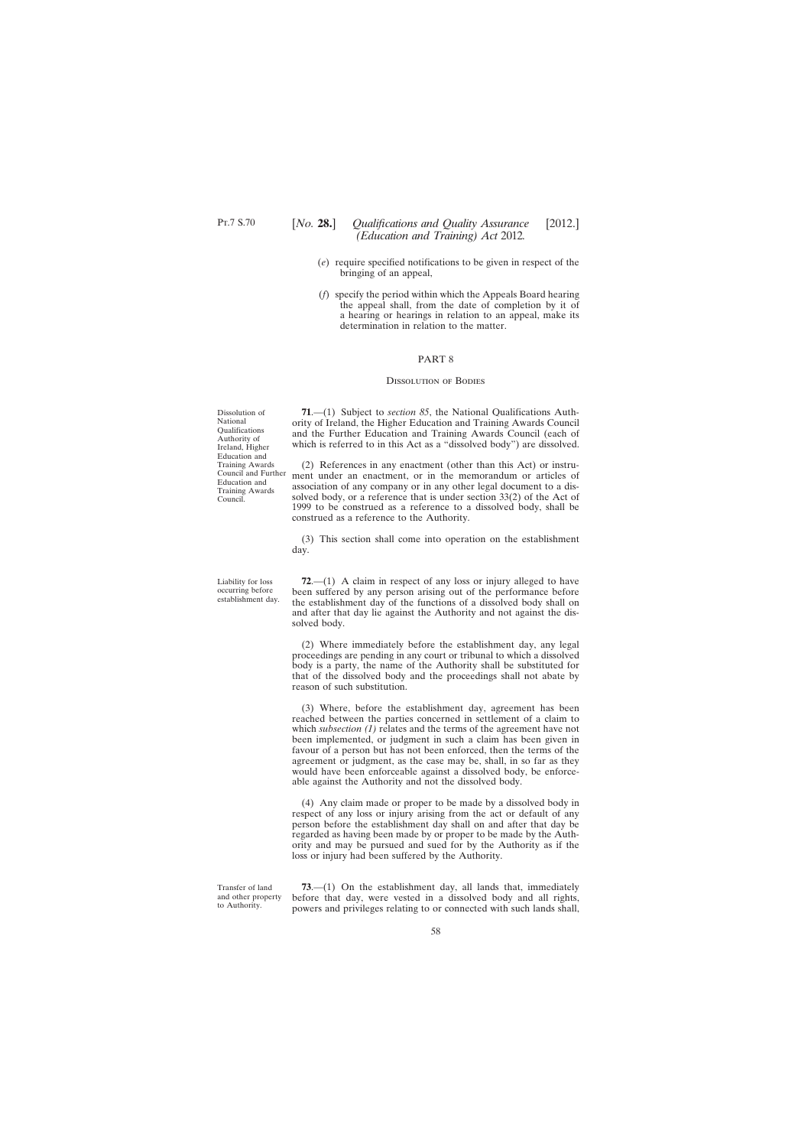- (*e*) require specified notifications to be given in respect of the bringing of an appeal,
- (*f*) specify the period within which the Appeals Board hearing the appeal shall, from the date of completion by it of a hearing or hearings in relation to an appeal, make its determination in relation to the matter.

#### PART 8

#### Dissolution of Bodies

**71**.—(1) Subject to *section 85*, the National Qualifications Authority of Ireland, the Higher Education and Training Awards Council and the Further Education and Training Awards Council (each of which is referred to in this Act as a "dissolved body") are dissolved.

(2) References in any enactment (other than this Act) or instrument under an enactment, or in the memorandum or articles of association of any company or in any other legal document to a dissolved body, or a reference that is under section 33(2) of the Act of 1999 to be construed as a reference to a dissolved body, shall be construed as a reference to the Authority.

(3) This section shall come into operation on the establishment day.

**72**.—(1) A claim in respect of any loss or injury alleged to have been suffered by any person arising out of the performance before the establishment day of the functions of a dissolved body shall on and after that day lie against the Authority and not against the dissolved body.

(2) Where immediately before the establishment day, any legal proceedings are pending in any court or tribunal to which a dissolved body is a party, the name of the Authority shall be substituted for that of the dissolved body and the proceedings shall not abate by reason of such substitution.

(3) Where, before the establishment day, agreement has been reached between the parties concerned in settlement of a claim to which *subsection (1)* relates and the terms of the agreement have not been implemented, or judgment in such a claim has been given in favour of a person but has not been enforced, then the terms of the agreement or judgment, as the case may be, shall, in so far as they would have been enforceable against a dissolved body, be enforceable against the Authority and not the dissolved body.

(4) Any claim made or proper to be made by a dissolved body in respect of any loss or injury arising from the act or default of any person before the establishment day shall on and after that day be regarded as having been made by or proper to be made by the Authority and may be pursued and sued for by the Authority as if the loss or injury had been suffered by the Authority.

Transfer of land and other property to Authority.

**73**.—(1) On the establishment day, all lands that, immediately before that day, were vested in a dissolved body and all rights, powers and privileges relating to or connected with such lands shall,

Dissolution of National Qualifications Authority of Ireland, Higher Education and Training Awards Council and Further Education and Training Awards Council.

Liability for loss occurring before establishment day.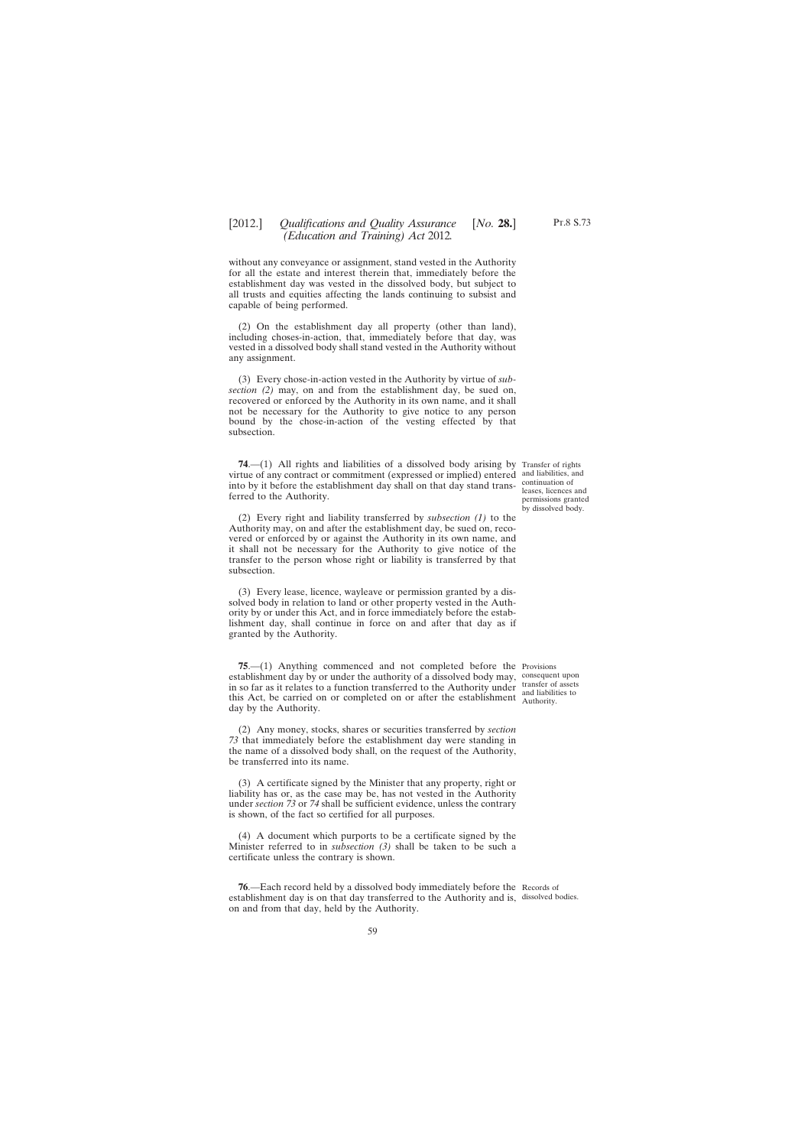without any conveyance or assignment, stand vested in the Authority for all the estate and interest therein that, immediately before the establishment day was vested in the dissolved body, but subject to all trusts and equities affecting the lands continuing to subsist and capable of being performed.

(2) On the establishment day all property (other than land), including choses-in-action, that, immediately before that day, was vested in a dissolved body shall stand vested in the Authority without any assignment.

(3) Every chose-in-action vested in the Authority by virtue of *subsection (2)* may, on and from the establishment day, be sued on, recovered or enforced by the Authority in its own name, and it shall not be necessary for the Authority to give notice to any person bound by the chose-in-action of the vesting effected by that subsection.

**74.**—(1) All rights and liabilities of a dissolved body arising by Transfer of rights virtue of any contract or commitment (expressed or implied) entered and liabilities, and into by it before the establishment day shall on that day stand transferred to the Authority.

(2) Every right and liability transferred by *subsection (1)* to the Authority may, on and after the establishment day, be sued on, recovered or enforced by or against the Authority in its own name, and it shall not be necessary for the Authority to give notice of the transfer to the person whose right or liability is transferred by that subsection.

(3) Every lease, licence, wayleave or permission granted by a dissolved body in relation to land or other property vested in the Authority by or under this Act, and in force immediately before the establishment day, shall continue in force on and after that day as if granted by the Authority.

**75**.—(1) Anything commenced and not completed before the Provisions establishment day by or under the authority of a dissolved body may, consequent upon in so far as it relates to a function transferred to the Authority under transfer of assets this Act, be carried on or completed on or after the establishment and liabilities to day by the Authority.

(2) Any money, stocks, shares or securities transferred by *section 73* that immediately before the establishment day were standing in the name of a dissolved body shall, on the request of the Authority, be transferred into its name.

(3) A certificate signed by the Minister that any property, right or liability has or, as the case may be, has not vested in the Authority under *section 73* or *74* shall be sufficient evidence, unless the contrary is shown, of the fact so certified for all purposes.

(4) A document which purports to be a certificate signed by the Minister referred to in *subsection (3)* shall be taken to be such a certificate unless the contrary is shown.

**76.**—Each record held by a dissolved body immediately before the Records of establishment day is on that day transferred to the Authority and is, dissolved bodies.on and from that day, held by the Authority.

continuation of leases, licences and permissions granted by dissolved body.

Authority.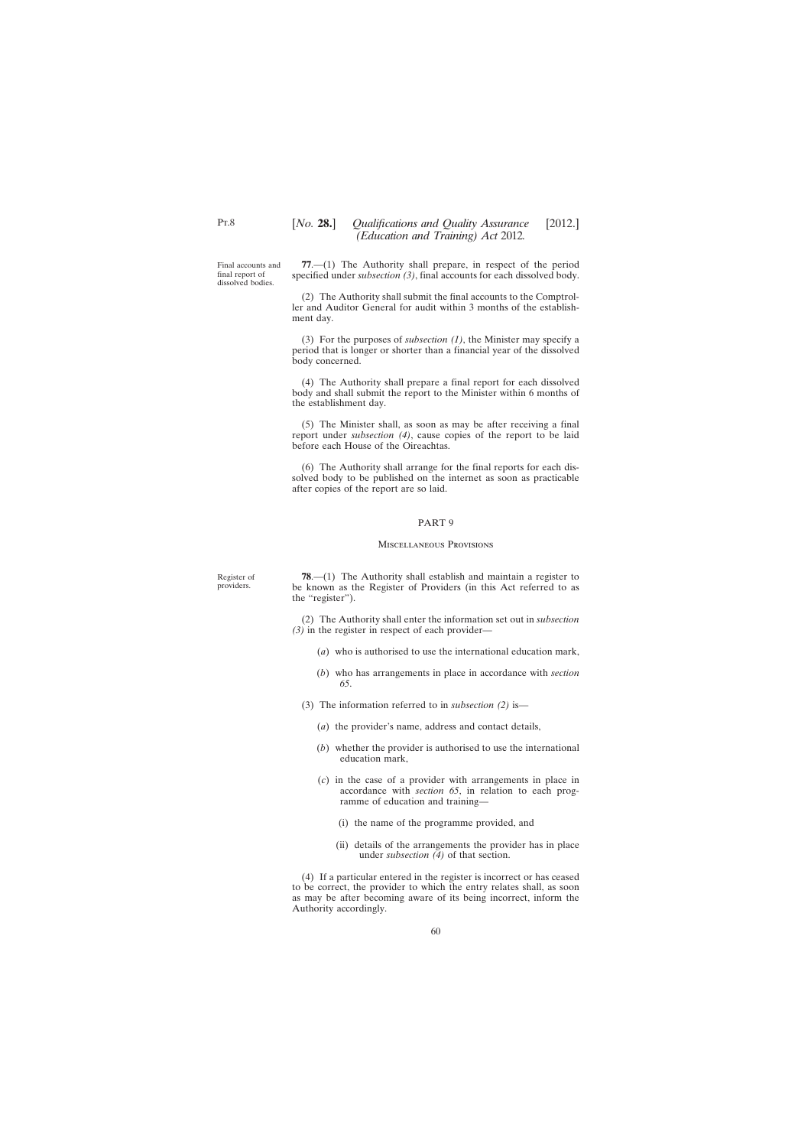Final accounts and final report of dissolved bodies.

**77**.—(1) The Authority shall prepare, in respect of the period specified under *subsection (3)*, final accounts for each dissolved body.

(2) The Authority shall submit the final accounts to the Comptroller and Auditor General for audit within 3 months of the establishment day.

(3) For the purposes of *subsection (1)*, the Minister may specify a period that is longer or shorter than a financial year of the dissolved body concerned.

(4) The Authority shall prepare a final report for each dissolved body and shall submit the report to the Minister within 6 months of the establishment day.

(5) The Minister shall, as soon as may be after receiving a final report under *subsection (4)*, cause copies of the report to be laid before each House of the Oireachtas.

(6) The Authority shall arrange for the final reports for each dissolved body to be published on the internet as soon as practicable after copies of the report are so laid.

### PART 9

### Miscellaneous Provisions

Register of providers.

**78**.—(1) The Authority shall establish and maintain a register to be known as the Register of Providers (in this Act referred to as the "register").

(2) The Authority shall enter the information set out in *subsection (3)* in the register in respect of each provider—

- (*a*) who is authorised to use the international education mark,
- (*b*) who has arrangements in place in accordance with *section 65*.
- (3) The information referred to in *subsection (2)* is—
	- (*a*) the provider's name, address and contact details,
	- (*b*) whether the provider is authorised to use the international education mark,
	- (*c*) in the case of a provider with arrangements in place in accordance with *section 65*, in relation to each programme of education and training—
		- (i) the name of the programme provided, and
		- (ii) details of the arrangements the provider has in place under *subsection (4)* of that section.

(4) If a particular entered in the register is incorrect or has ceased to be correct, the provider to which the entry relates shall, as soon as may be after becoming aware of its being incorrect, inform the Authority accordingly.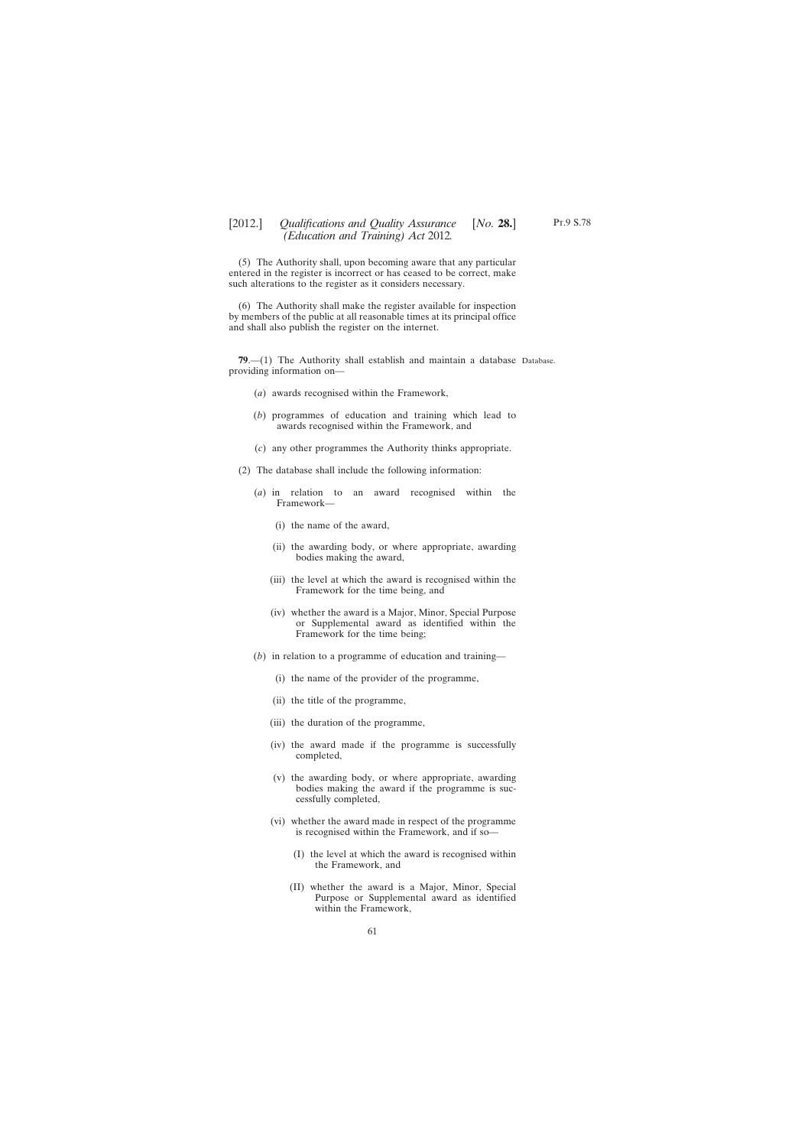(5) The Authority shall, upon becoming aware that any particular entered in the register is incorrect or has ceased to be correct, make such alterations to the register as it considers necessary.

(6) The Authority shall make the register available for inspection by members of the public at all reasonable times at its principal office and shall also publish the register on the internet.

**79**.—(1) The Authority shall establish and maintain a database Database.providing information on—

- (*a*) awards recognised within the Framework,
- (*b*) programmes of education and training which lead to awards recognised within the Framework, and
- (*c*) any other programmes the Authority thinks appropriate.
- (2) The database shall include the following information:
	- (*a*) in relation to an award recognised within the Framework—
		- (i) the name of the award,
		- (ii) the awarding body, or where appropriate, awarding bodies making the award,
		- (iii) the level at which the award is recognised within the Framework for the time being, and
		- (iv) whether the award is a Major, Minor, Special Purpose or Supplemental award as identified within the Framework for the time being;
	- (*b*) in relation to a programme of education and training—
		- (i) the name of the provider of the programme,
		- (ii) the title of the programme,
		- (iii) the duration of the programme,
		- (iv) the award made if the programme is successfully completed,
		- (v) the awarding body, or where appropriate, awarding bodies making the award if the programme is successfully completed,
		- (vi) whether the award made in respect of the programme is recognised within the Framework, and if so—
			- (I) the level at which the award is recognised within the Framework, and
			- (II) whether the award is a Major, Minor, Special Purpose or Supplemental award as identified within the Framework,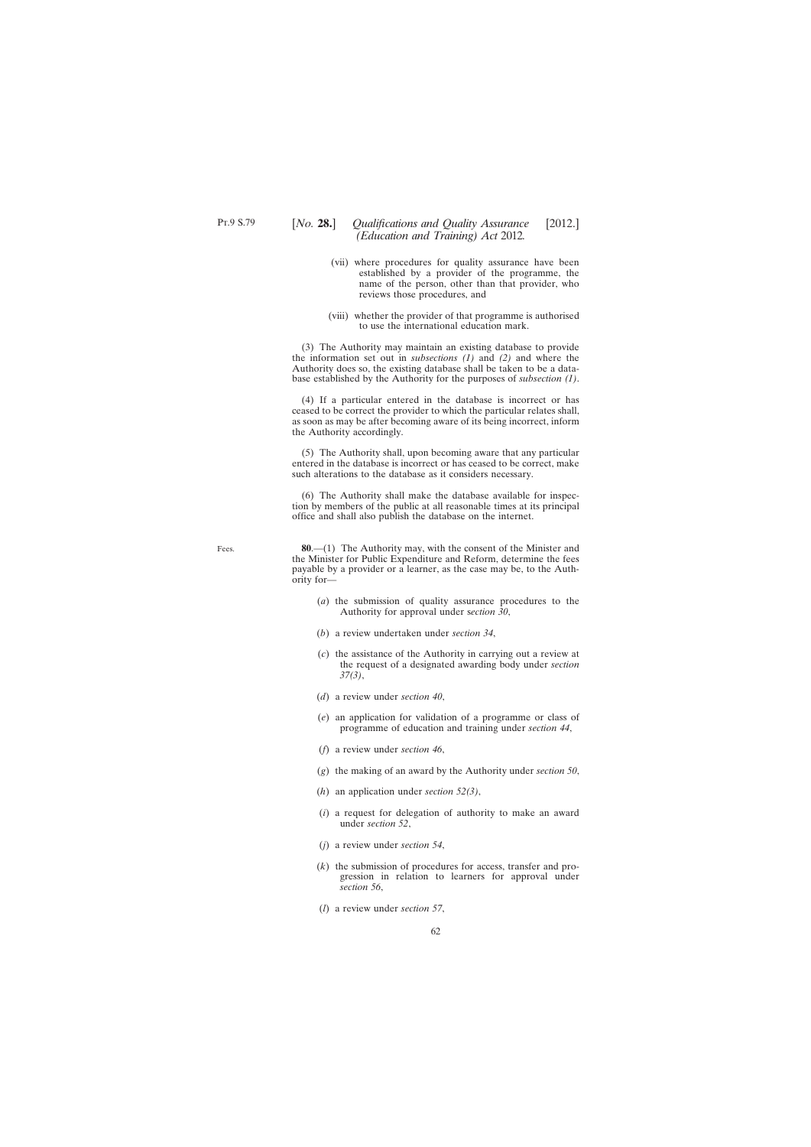Fees.

- (vii) where procedures for quality assurance have been established by a provider of the programme, the name of the person, other than that provider, who reviews those procedures, and
- (viii) whether the provider of that programme is authorised to use the international education mark.

(3) The Authority may maintain an existing database to provide the information set out in *subsections (1)* and *(2)* and where the Authority does so, the existing database shall be taken to be a database established by the Authority for the purposes of *subsection (1)*.

(4) If a particular entered in the database is incorrect or has ceased to be correct the provider to which the particular relates shall, as soon as may be after becoming aware of its being incorrect, inform the Authority accordingly.

(5) The Authority shall, upon becoming aware that any particular entered in the database is incorrect or has ceased to be correct, make such alterations to the database as it considers necessary.

(6) The Authority shall make the database available for inspection by members of the public at all reasonable times at its principal office and shall also publish the database on the internet.

**80**.—(1) The Authority may, with the consent of the Minister and the Minister for Public Expenditure and Reform, determine the fees payable by a provider or a learner, as the case may be, to the Authority for—

- (*a*) the submission of quality assurance procedures to the Authority for approval under s*ection 30*,
- (*b*) a review undertaken under *section 34*,
- (*c*) the assistance of the Authority in carrying out a review at the request of a designated awarding body under *section 37(3)*,
- (*d*) a review under *section 40*,
- (*e*) an application for validation of a programme or class of programme of education and training under *section 44*,
- (*f*) a review under *section 46*,
- (*g*) the making of an award by the Authority under *section 50*,
- (*h*) an application under *section 52(3)*,
- (*i*) a request for delegation of authority to make an award under *section 52*,
- (*j*) a review under *section 54*,
- (*k*) the submission of procedures for access, transfer and progression in relation to learners for approval under *section 56*,
- (*l*) a review under *section 57*,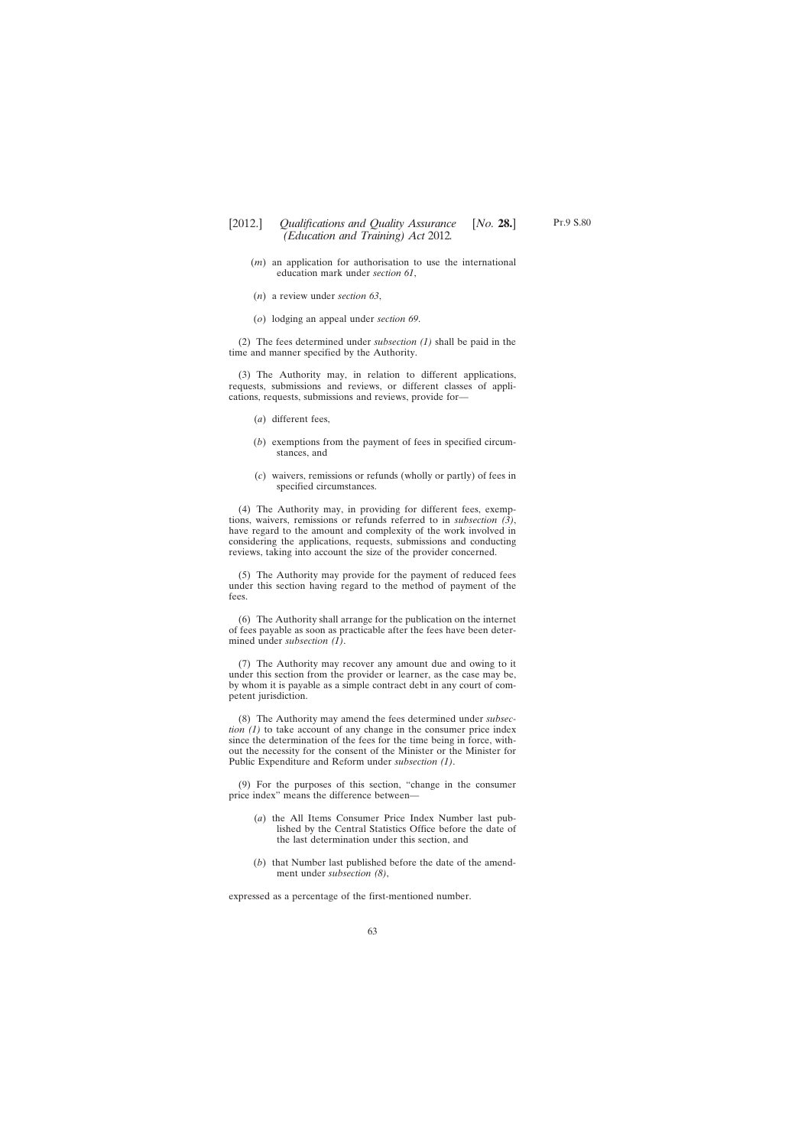- (*m*) an application for authorisation to use the international education mark under *section 61*,
- (*n*) a review under *section 63*,
- (*o*) lodging an appeal under *section 69*.

(2) The fees determined under *subsection (1)* shall be paid in the time and manner specified by the Authority.

(3) The Authority may, in relation to different applications, requests, submissions and reviews, or different classes of applications, requests, submissions and reviews, provide for—

- (*a*) different fees,
- (*b*) exemptions from the payment of fees in specified circumstances, and
- (*c*) waivers, remissions or refunds (wholly or partly) of fees in specified circumstances.

(4) The Authority may, in providing for different fees, exemptions, waivers, remissions or refunds referred to in *subsection (3)*, have regard to the amount and complexity of the work involved in considering the applications, requests, submissions and conducting reviews, taking into account the size of the provider concerned.

(5) The Authority may provide for the payment of reduced fees under this section having regard to the method of payment of the fees.

(6) The Authority shall arrange for the publication on the internet of fees payable as soon as practicable after the fees have been determined under *subsection (1)*.

(7) The Authority may recover any amount due and owing to it under this section from the provider or learner, as the case may be, by whom it is payable as a simple contract debt in any court of competent jurisdiction.

(8) The Authority may amend the fees determined under *subsection (1)* to take account of any change in the consumer price index since the determination of the fees for the time being in force, without the necessity for the consent of the Minister or the Minister for Public Expenditure and Reform under *subsection (1)*.

(9) For the purposes of this section, "change in the consumer price index" means the difference between—

- (*a*) the All Items Consumer Price Index Number last published by the Central Statistics Office before the date of the last determination under this section, and
- (*b*) that Number last published before the date of the amendment under *subsection (8)*,

expressed as a percentage of the first-mentioned number.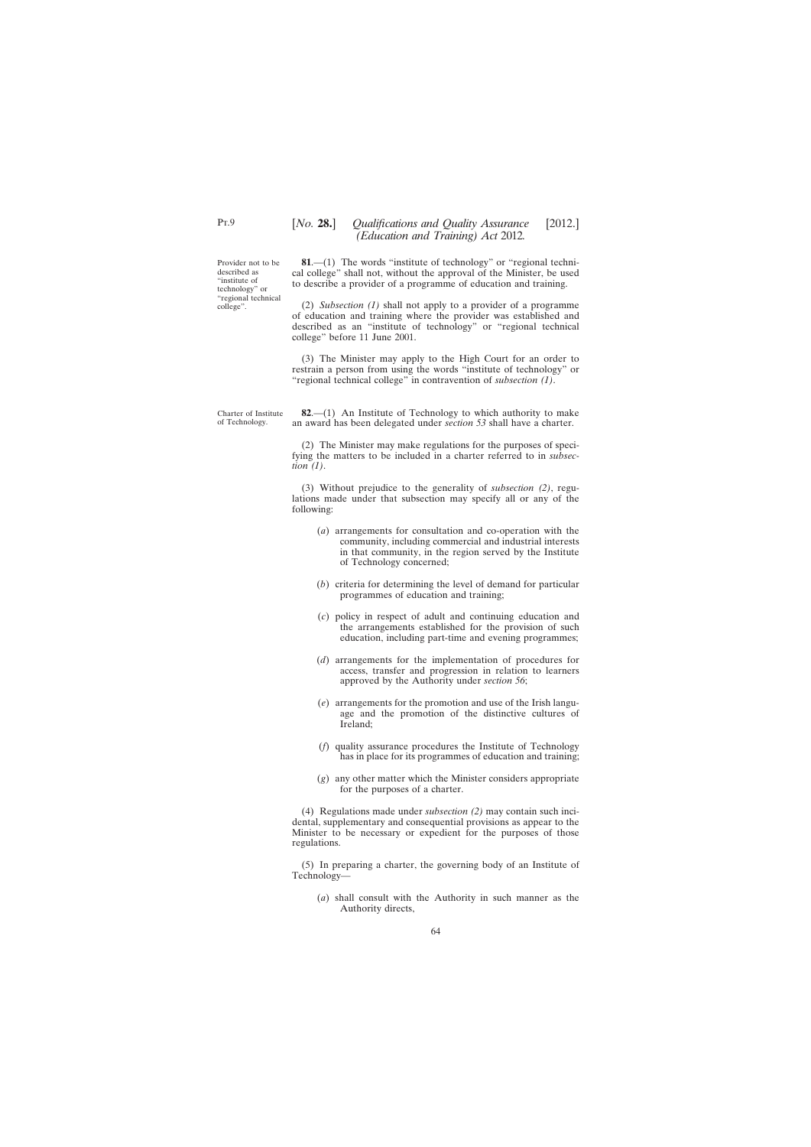Provider not to be described as "institute of technology" or "regional technical college".

**81**.—(1) The words "institute of technology" or "regional technical college" shall not, without the approval of the Minister, be used to describe a provider of a programme of education and training.

(2) *Subsection (1)* shall not apply to a provider of a programme of education and training where the provider was established and described as an "institute of technology" or "regional technical college" before 11 June 2001.

(3) The Minister may apply to the High Court for an order to restrain a person from using the words "institute of technology" or "regional technical college" in contravention of *subsection (1)*.

Charter of Institute of Technology.

**82**.—(1) An Institute of Technology to which authority to make an award has been delegated under *section 53* shall have a charter.

(2) The Minister may make regulations for the purposes of specifying the matters to be included in a charter referred to in *subsection (1)*.

(3) Without prejudice to the generality of *subsection (2)*, regulations made under that subsection may specify all or any of the following:

- (*a*) arrangements for consultation and co-operation with the community, including commercial and industrial interests in that community, in the region served by the Institute of Technology concerned;
- (*b*) criteria for determining the level of demand for particular programmes of education and training;
- (*c*) policy in respect of adult and continuing education and the arrangements established for the provision of such education, including part-time and evening programmes;
- (*d*) arrangements for the implementation of procedures for access, transfer and progression in relation to learners approved by the Authority under *section 56*;
- (*e*) arrangements for the promotion and use of the Irish language and the promotion of the distinctive cultures of Ireland;
- (*f*) quality assurance procedures the Institute of Technology has in place for its programmes of education and training;
- (*g*) any other matter which the Minister considers appropriate for the purposes of a charter.

(4) Regulations made under *subsection (2)* may contain such incidental, supplementary and consequential provisions as appear to the Minister to be necessary or expedient for the purposes of those regulations.

(5) In preparing a charter, the governing body of an Institute of Technology—

(*a*) shall consult with the Authority in such manner as the Authority directs,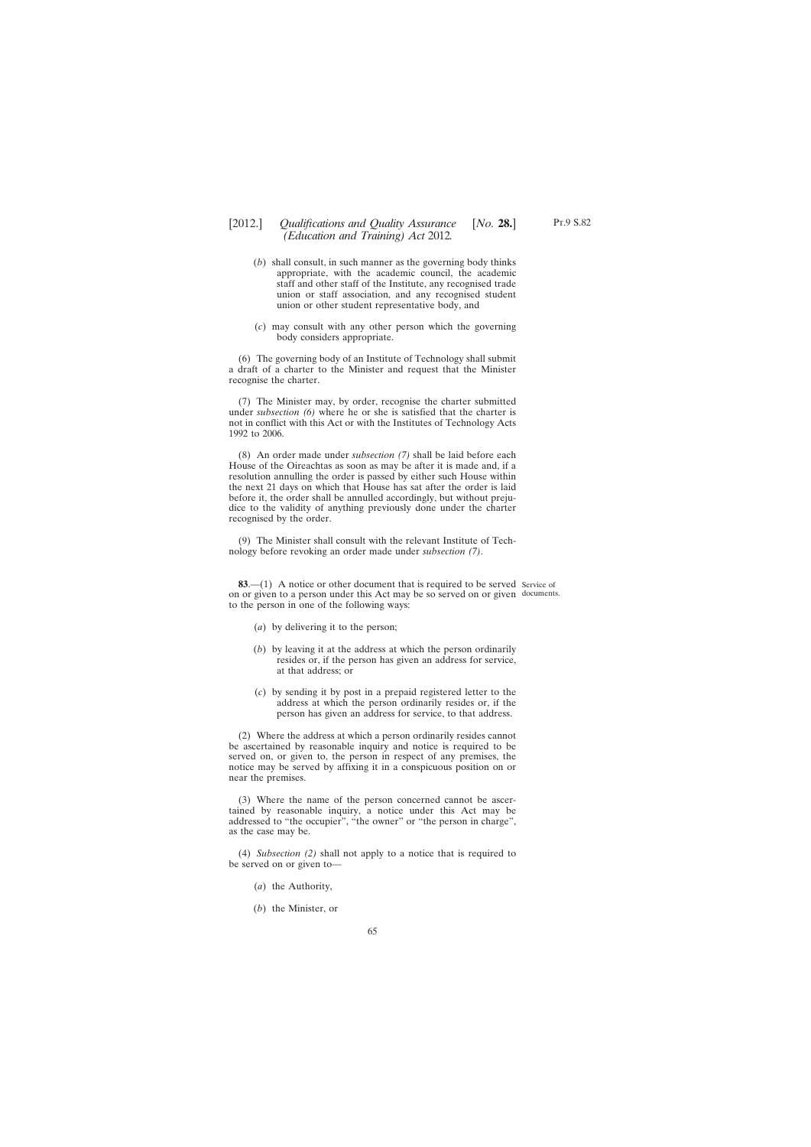- (*b*) shall consult, in such manner as the governing body thinks appropriate, with the academic council, the academic staff and other staff of the Institute, any recognised trade union or staff association, and any recognised student union or other student representative body, and
- (*c*) may consult with any other person which the governing body considers appropriate.

(6) The governing body of an Institute of Technology shall submit a draft of a charter to the Minister and request that the Minister recognise the charter.

(7) The Minister may, by order, recognise the charter submitted under *subsection (6)* where he or she is satisfied that the charter is not in conflict with this Act or with the Institutes of Technology Acts 1992 to 2006.

(8) An order made under *subsection (7)* shall be laid before each House of the Oireachtas as soon as may be after it is made and, if a resolution annulling the order is passed by either such House within the next 21 days on which that House has sat after the order is laid before it, the order shall be annulled accordingly, but without prejudice to the validity of anything previously done under the charter recognised by the order.

(9) The Minister shall consult with the relevant Institute of Technology before revoking an order made under *subsection (7)*.

**83.**—(1) A notice or other document that is required to be served Service of on or given to a person under this Act may be so served on or given documents.to the person in one of the following ways:

- (*a*) by delivering it to the person;
- (*b*) by leaving it at the address at which the person ordinarily resides or, if the person has given an address for service, at that address; or
- (*c*) by sending it by post in a prepaid registered letter to the address at which the person ordinarily resides or, if the person has given an address for service, to that address.

(2) Where the address at which a person ordinarily resides cannot be ascertained by reasonable inquiry and notice is required to be served on, or given to, the person in respect of any premises, the notice may be served by affixing it in a conspicuous position on or near the premises.

(3) Where the name of the person concerned cannot be ascertained by reasonable inquiry, a notice under this Act may be addressed to "the occupier", "the owner" or "the person in charge", as the case may be.

(4) *Subsection (2)* shall not apply to a notice that is required to be served on or given to—

65

- (*a*) the Authority,
- (*b*) the Minister, or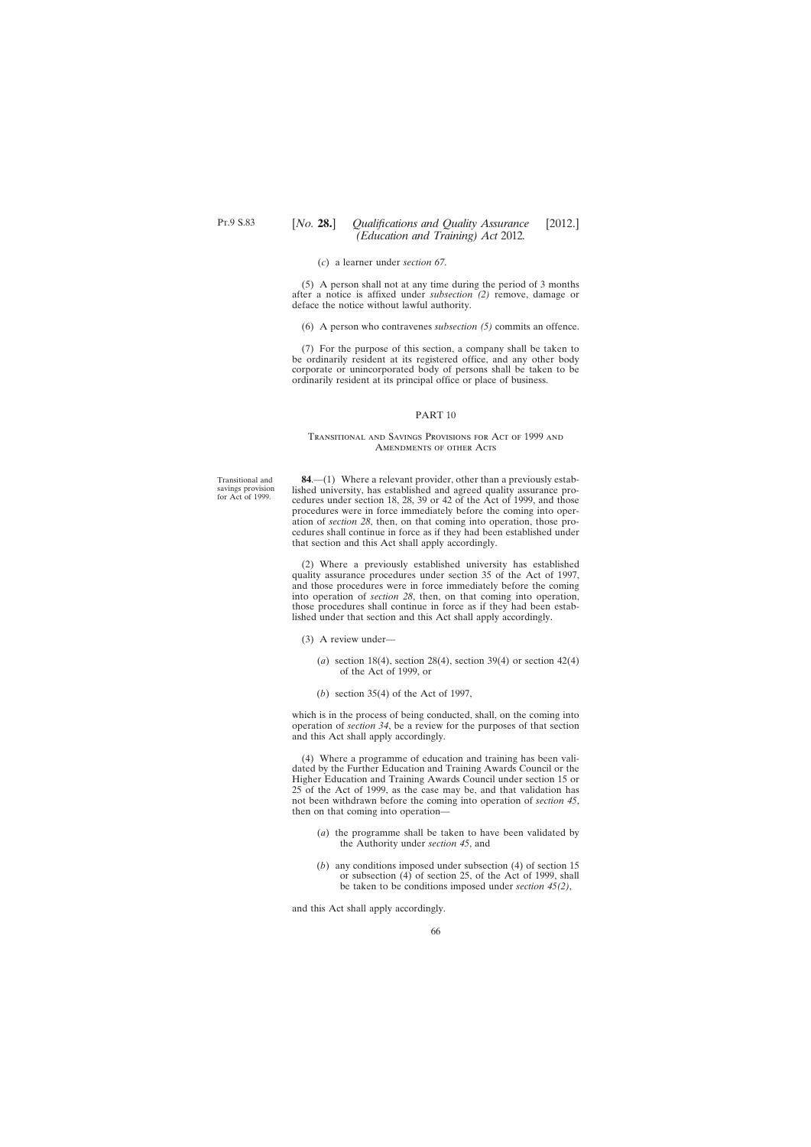(*c*) a learner under *section 67*.

(5) A person shall not at any time during the period of 3 months after a notice is affixed under *subsection (2)* remove, damage or deface the notice without lawful authority.

(6) A person who contravenes *subsection (5)* commits an offence.

(7) For the purpose of this section, a company shall be taken to be ordinarily resident at its registered office, and any other body corporate or unincorporated body of persons shall be taken to be ordinarily resident at its principal office or place of business.

### PART 10

### Transitional and Savings Provisions for Act of 1999 and Amendments of other Acts

Transitional and savings provision for Act of 1999.

**84**.—(1) Where a relevant provider, other than a previously established university, has established and agreed quality assurance procedures under section 18, 28, 39 or 42 of the Act of 1999, and those procedures were in force immediately before the coming into operation of *section 28*, then, on that coming into operation, those procedures shall continue in force as if they had been established under that section and this Act shall apply accordingly.

(2) Where a previously established university has established quality assurance procedures under section 35 of the Act of 1997, and those procedures were in force immediately before the coming into operation of *section 28*, then, on that coming into operation, those procedures shall continue in force as if they had been established under that section and this Act shall apply accordingly.

- (3) A review under—
	- (*a*) section 18(4), section 28(4), section 39(4) or section 42(4) of the Act of 1999, or
	- (*b*) section 35(4) of the Act of 1997,

which is in the process of being conducted, shall, on the coming into operation of *section 34*, be a review for the purposes of that section and this Act shall apply accordingly.

(4) Where a programme of education and training has been validated by the Further Education and Training Awards Council or the Higher Education and Training Awards Council under section 15 or 25 of the Act of 1999, as the case may be, and that validation has not been withdrawn before the coming into operation of *section 45*, then on that coming into operation—

- (*a*) the programme shall be taken to have been validated by the Authority under *section 45*, and
- (*b*) any conditions imposed under subsection (4) of section 15 or subsection (4) of section 25, of the Act of 1999, shall be taken to be conditions imposed under *section 45(2)*,

and this Act shall apply accordingly.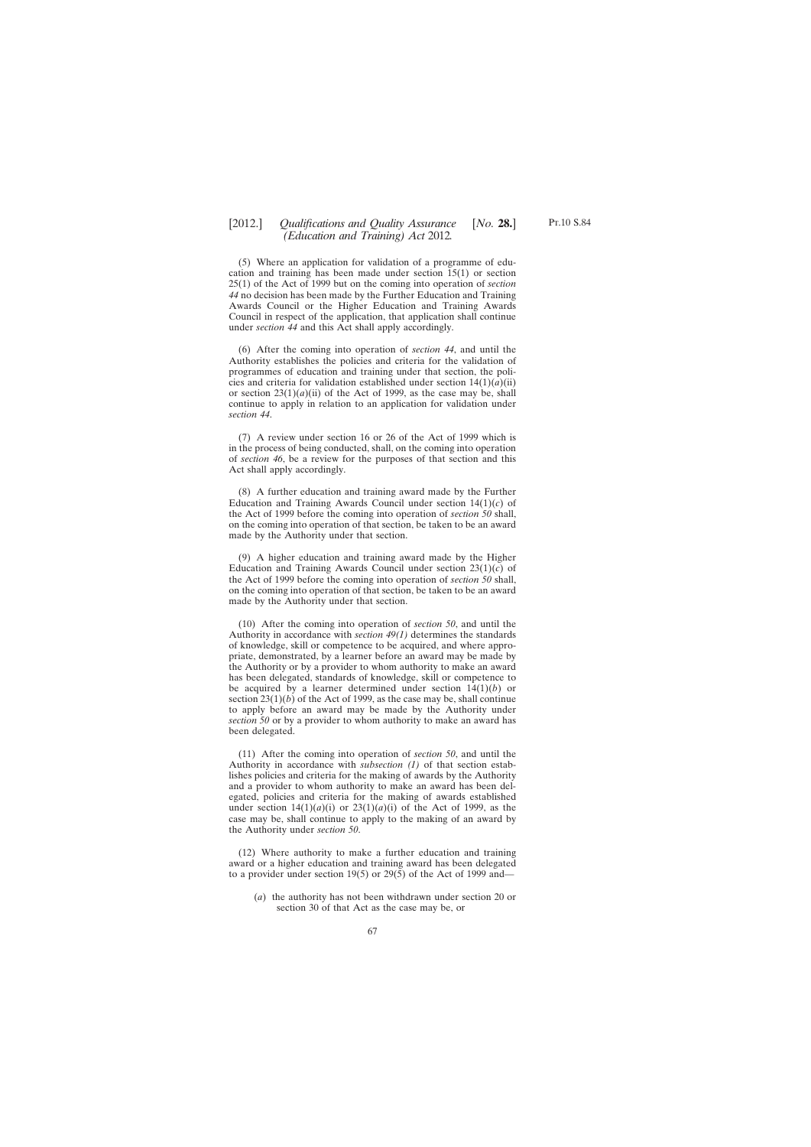(5) Where an application for validation of a programme of education and training has been made under section 15(1) or section 25(1) of the Act of 1999 but on the coming into operation of *section 44* no decision has been made by the Further Education and Training Awards Council or the Higher Education and Training Awards Council in respect of the application, that application shall continue under *section 44* and this Act shall apply accordingly.

(6) After the coming into operation of *section 44*, and until the Authority establishes the policies and criteria for the validation of programmes of education and training under that section, the policies and criteria for validation established under section  $14(1)(a)(ii)$ or section  $23(1)(a)(ii)$  of the Act of 1999, as the case may be, shall continue to apply in relation to an application for validation under *section 44*.

(7) A review under section 16 or 26 of the Act of 1999 which is in the process of being conducted, shall, on the coming into operation of *section 46*, be a review for the purposes of that section and this Act shall apply accordingly.

(8) A further education and training award made by the Further Education and Training Awards Council under section 14(1)(*c*) of the Act of 1999 before the coming into operation of *section 50* shall, on the coming into operation of that section, be taken to be an award made by the Authority under that section.

(9) A higher education and training award made by the Higher Education and Training Awards Council under section 23(1)(*c*) of the Act of 1999 before the coming into operation of *section 50* shall, on the coming into operation of that section, be taken to be an award made by the Authority under that section.

(10) After the coming into operation of *section 50*, and until the Authority in accordance with *section 49(1)* determines the standards of knowledge, skill or competence to be acquired, and where appropriate, demonstrated, by a learner before an award may be made by the Authority or by a provider to whom authority to make an award has been delegated, standards of knowledge, skill or competence to be acquired by a learner determined under section 14(1)(*b*) or section  $23(1)(b)$  of the Act of 1999, as the case may be, shall continue to apply before an award may be made by the Authority under *section 50* or by a provider to whom authority to make an award has been delegated.

(11) After the coming into operation of *section 50*, and until the Authority in accordance with *subsection (1)* of that section establishes policies and criteria for the making of awards by the Authority and a provider to whom authority to make an award has been delegated, policies and criteria for the making of awards established under section  $14(1)(a)(i)$  or  $23(1)(a)(i)$  of the Act of 1999, as the case may be, shall continue to apply to the making of an award by the Authority under *section 50*.

(12) Where authority to make a further education and training award or a higher education and training award has been delegated to a provider under section 19(5) or 29(5) of the Act of 1999 and—

(*a*) the authority has not been withdrawn under section 20 or section 30 of that Act as the case may be, or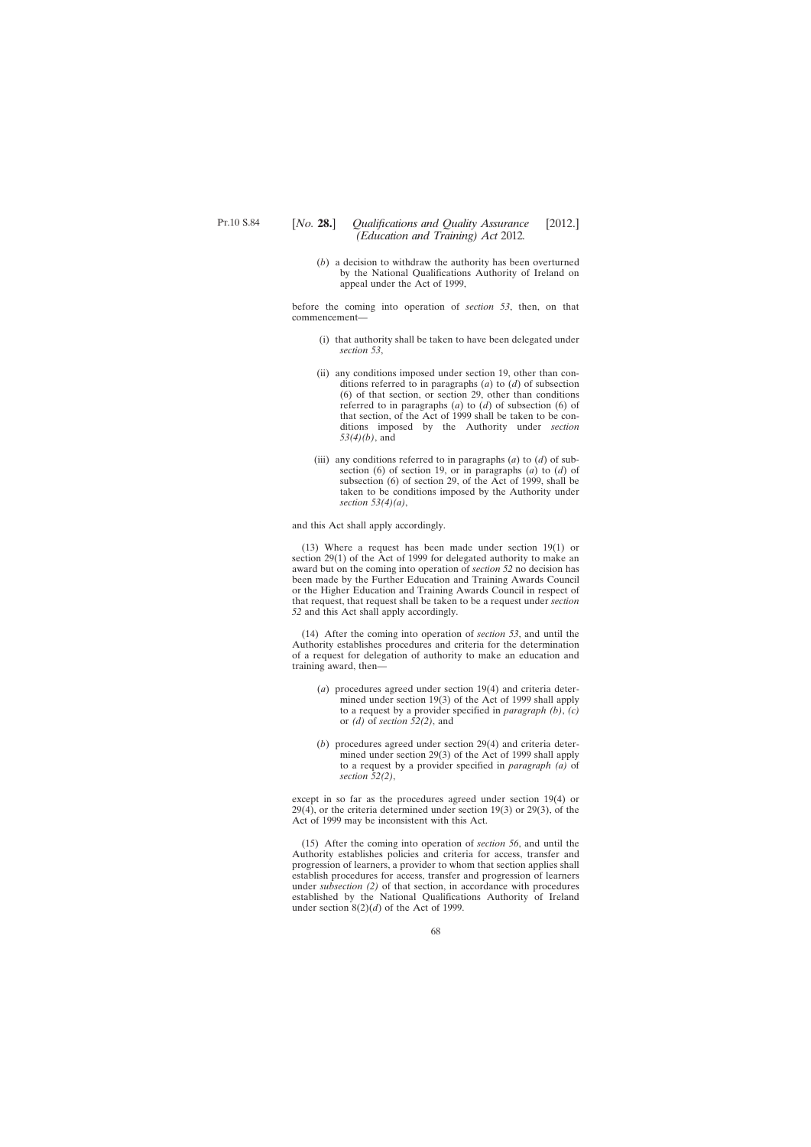(*b*) a decision to withdraw the authority has been overturned by the National Qualifications Authority of Ireland on appeal under the Act of 1999,

before the coming into operation of *section 53*, then, on that commencement—

- (i) that authority shall be taken to have been delegated under *section 53*,
- (ii) any conditions imposed under section 19, other than conditions referred to in paragraphs (*a*) to (*d*) of subsection (6) of that section, or section 29, other than conditions referred to in paragraphs (*a*) to (*d*) of subsection (6) of that section, of the Act of 1999 shall be taken to be conditions imposed by the Authority under *section 53(4)(b)*, and
- (iii) any conditions referred to in paragraphs (*a*) to (*d*) of subsection (6) of section 19, or in paragraphs (*a*) to (*d*) of subsection (6) of section 29, of the Act of 1999, shall be taken to be conditions imposed by the Authority under *section 53(4)(a)*,

and this Act shall apply accordingly.

(13) Where a request has been made under section 19(1) or section 29(1) of the Act of 1999 for delegated authority to make an award but on the coming into operation of *section 52* no decision has been made by the Further Education and Training Awards Council or the Higher Education and Training Awards Council in respect of that request, that request shall be taken to be a request under *section 52* and this Act shall apply accordingly.

(14) After the coming into operation of *section 53*, and until the Authority establishes procedures and criteria for the determination of a request for delegation of authority to make an education and training award, then—

- (*a*) procedures agreed under section 19(4) and criteria determined under section 19(3) of the Act of 1999 shall apply to a request by a provider specified in *paragraph (b)*, *(c)* or *(d)* of *section 52(2)*, and
- (*b*) procedures agreed under section 29(4) and criteria determined under section 29(3) of the Act of 1999 shall apply to a request by a provider specified in *paragraph (a)* of *section 52(2)*,

except in so far as the procedures agreed under section 19(4) or 29(4), or the criteria determined under section 19(3) or 29(3), of the Act of 1999 may be inconsistent with this Act.

(15) After the coming into operation of *section 56*, and until the Authority establishes policies and criteria for access, transfer and progression of learners, a provider to whom that section applies shall establish procedures for access, transfer and progression of learners under *subsection (2)* of that section, in accordance with procedures established by the National Qualifications Authority of Ireland under section  $8(2)(d)$  of the Act of 1999.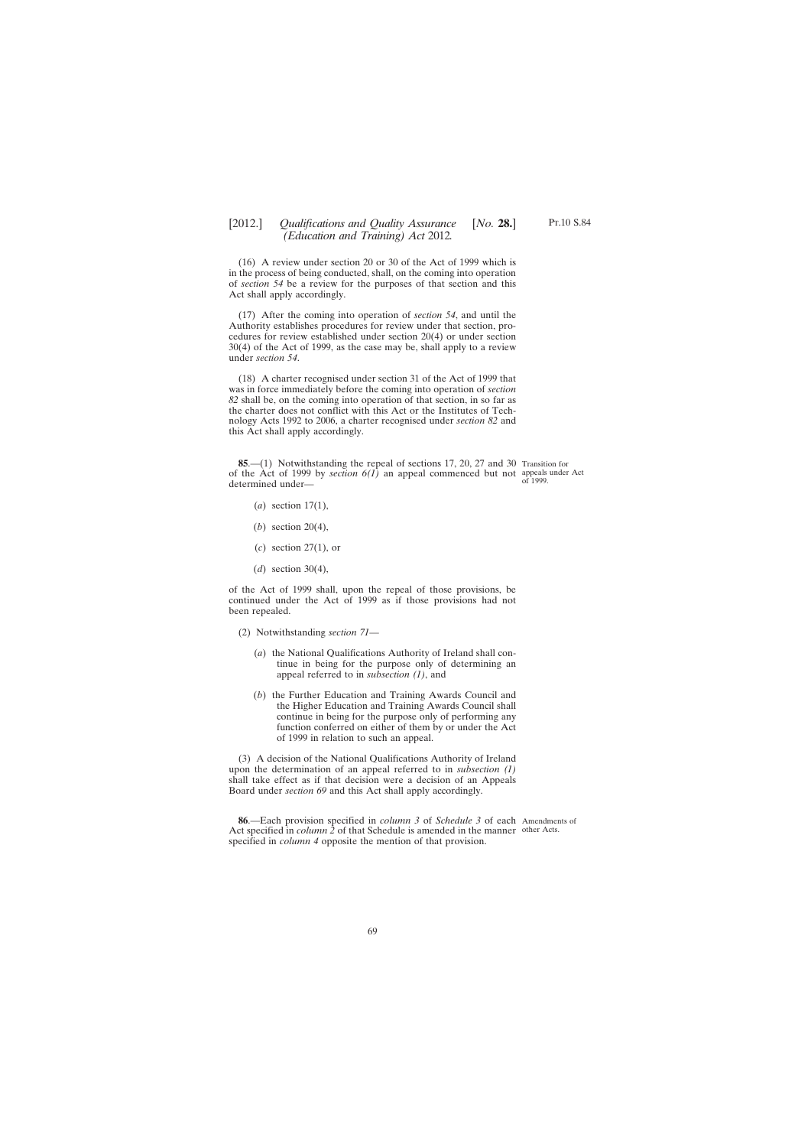(16) A review under section 20 or 30 of the Act of 1999 which is in the process of being conducted, shall, on the coming into operation of *section 54* be a review for the purposes of that section and this Act shall apply accordingly.

(17) After the coming into operation of *section 54*, and until the Authority establishes procedures for review under that section, procedures for review established under section 20(4) or under section 30(4) of the Act of 1999, as the case may be, shall apply to a review under *section 54*.

(18) A charter recognised under section 31 of the Act of 1999 that was in force immediately before the coming into operation of *section 82* shall be, on the coming into operation of that section, in so far as the charter does not conflict with this Act or the Institutes of Technology Acts 1992 to 2006, a charter recognised under *section 82* and this Act shall apply accordingly.

**85.**—(1) Notwithstanding the repeal of sections 17, 20, 27 and 30 Transition for of the Act of 1999 by *section 6(1)* an appeal commenced but not appeals under Act determined under—

of 1999.

- (*a*) section 17(1),
- (*b*) section 20(4),
- (*c*) section 27(1), or
- (*d*) section 30(4),

of the Act of 1999 shall, upon the repeal of those provisions, be continued under the Act of 1999 as if those provisions had not been repealed.

- (2) Notwithstanding *section 71*
	- (*a*) the National Qualifications Authority of Ireland shall continue in being for the purpose only of determining an appeal referred to in *subsection (1)*, and
	- (*b*) the Further Education and Training Awards Council and the Higher Education and Training Awards Council shall continue in being for the purpose only of performing any function conferred on either of them by or under the Act of 1999 in relation to such an appeal.

(3) A decision of the National Qualifications Authority of Ireland upon the determination of an appeal referred to in *subsection (1)* shall take effect as if that decision were a decision of an Appeals Board under *section 69* and this Act shall apply accordingly.

**86**.—Each provision specified in *column 3* of *Schedule 3* of each Amendments of Act specified in *column* 2 of that Schedule is amended in the manner other Acts. specified in *column 4* opposite the mention of that provision.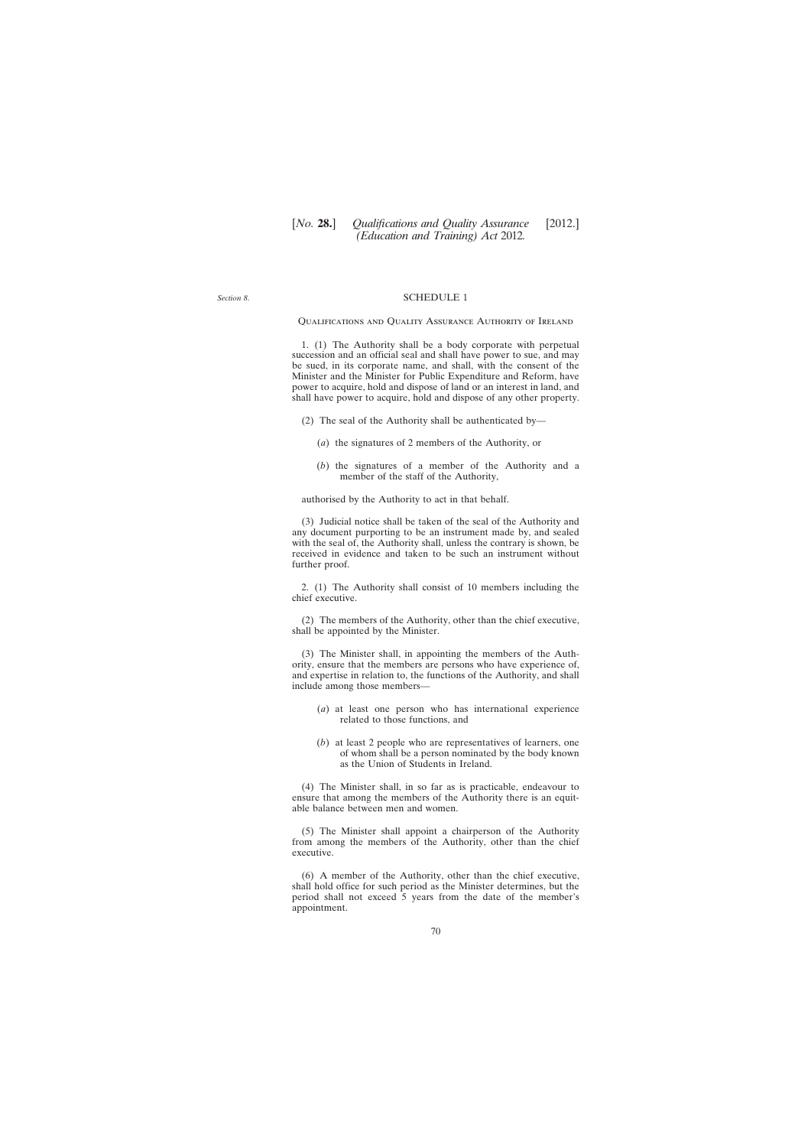*Section 8*.

#### SCHEDULE 1

Qualifications and Quality Assurance Authority of Ireland

1. (1) The Authority shall be a body corporate with perpetual succession and an official seal and shall have power to sue, and may be sued, in its corporate name, and shall, with the consent of the Minister and the Minister for Public Expenditure and Reform, have power to acquire, hold and dispose of land or an interest in land, and shall have power to acquire, hold and dispose of any other property.

(2) The seal of the Authority shall be authenticated by—

- (*a*) the signatures of 2 members of the Authority, or
- (*b*) the signatures of a member of the Authority and a member of the staff of the Authority,

authorised by the Authority to act in that behalf.

(3) Judicial notice shall be taken of the seal of the Authority and any document purporting to be an instrument made by, and sealed with the seal of, the Authority shall, unless the contrary is shown, be received in evidence and taken to be such an instrument without further proof.

2. (1) The Authority shall consist of 10 members including the chief executive.

(2) The members of the Authority, other than the chief executive, shall be appointed by the Minister.

(3) The Minister shall, in appointing the members of the Authority, ensure that the members are persons who have experience of, and expertise in relation to, the functions of the Authority, and shall include among those members—

- (*a*) at least one person who has international experience related to those functions, and
- (*b*) at least 2 people who are representatives of learners, one of whom shall be a person nominated by the body known as the Union of Students in Ireland.

(4) The Minister shall, in so far as is practicable, endeavour to ensure that among the members of the Authority there is an equitable balance between men and women.

(5) The Minister shall appoint a chairperson of the Authority from among the members of the Authority, other than the chief executive.

(6) A member of the Authority, other than the chief executive, shall hold office for such period as the Minister determines, but the period shall not exceed 5 years from the date of the member's appointment.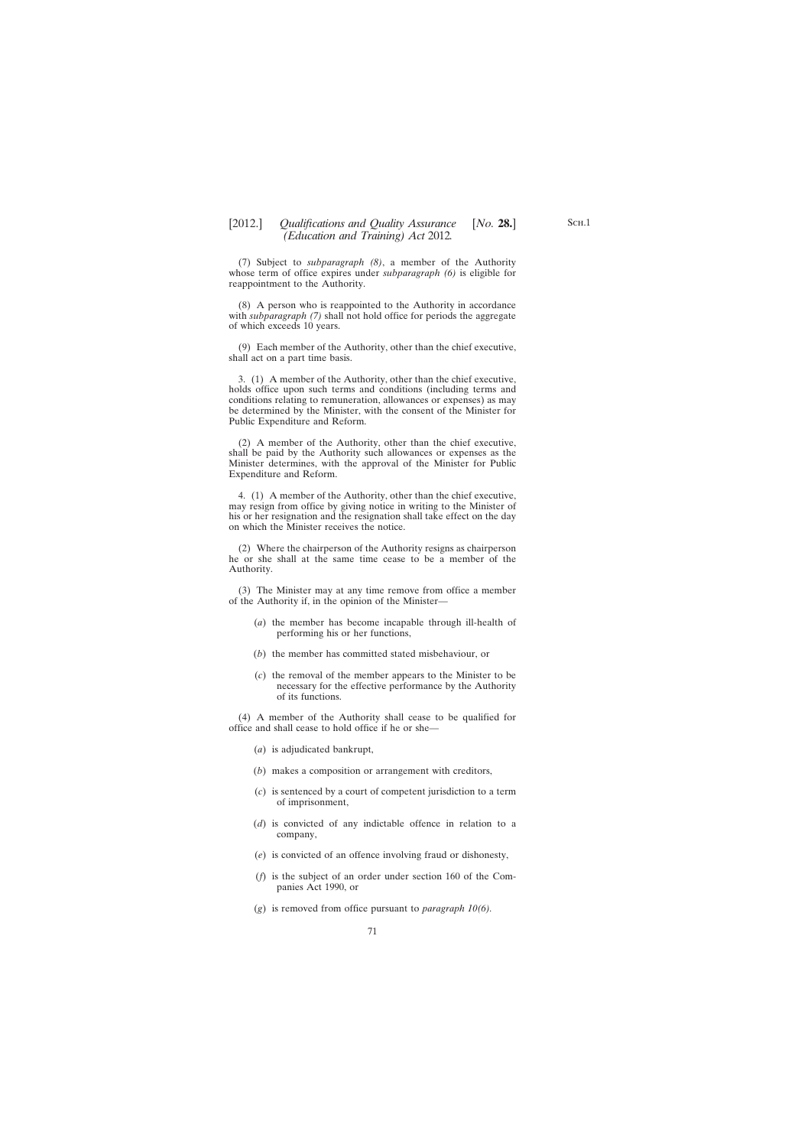(7) Subject to *subparagraph (8)*, a member of the Authority whose term of office expires under *subparagraph (6)* is eligible for reappointment to the Authority.

(8) A person who is reappointed to the Authority in accordance with *subparagraph (7)* shall not hold office for periods the aggregate of which exceeds 10 years.

(9) Each member of the Authority, other than the chief executive, shall act on a part time basis.

3. (1) A member of the Authority, other than the chief executive, holds office upon such terms and conditions (including terms and conditions relating to remuneration, allowances or expenses) as may be determined by the Minister, with the consent of the Minister for Public Expenditure and Reform.

(2) A member of the Authority, other than the chief executive, shall be paid by the Authority such allowances or expenses as the Minister determines, with the approval of the Minister for Public Expenditure and Reform.

4. (1) A member of the Authority, other than the chief executive, may resign from office by giving notice in writing to the Minister of his or her resignation and the resignation shall take effect on the day on which the Minister receives the notice.

(2) Where the chairperson of the Authority resigns as chairperson he or she shall at the same time cease to be a member of the Authority.

(3) The Minister may at any time remove from office a member of the Authority if, in the opinion of the Minister—

- (*a*) the member has become incapable through ill-health of performing his or her functions,
- (*b*) the member has committed stated misbehaviour, or
- (*c*) the removal of the member appears to the Minister to be necessary for the effective performance by the Authority of its functions.

(4) A member of the Authority shall cease to be qualified for office and shall cease to hold office if he or she—

- (*a*) is adjudicated bankrupt,
- (*b*) makes a composition or arrangement with creditors,
- (*c*) is sentenced by a court of competent jurisdiction to a term of imprisonment,
- (*d*) is convicted of any indictable offence in relation to a company,
- (*e*) is convicted of an offence involving fraud or dishonesty,
- (*f*) is the subject of an order under section 160 of the Companies Act 1990, or
- (*g*) is removed from office pursuant to *paragraph 10(6).*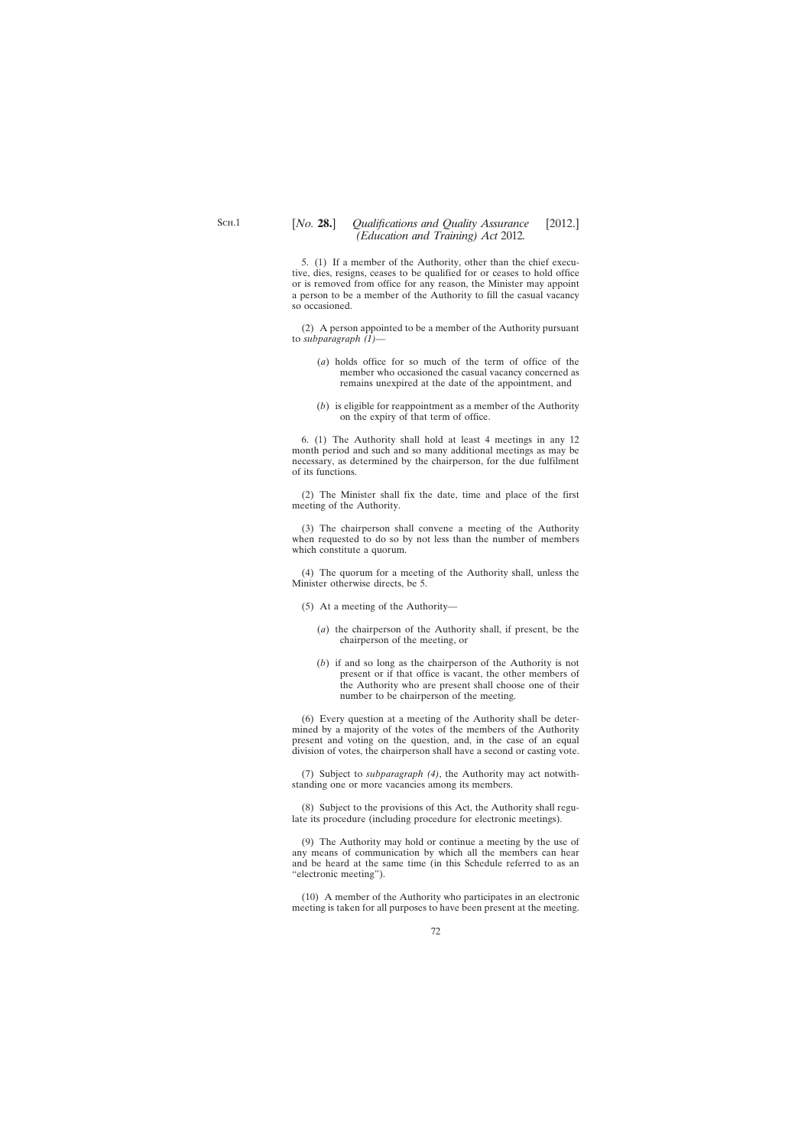5. (1) If a member of the Authority, other than the chief executive, dies, resigns, ceases to be qualified for or ceases to hold office or is removed from office for any reason, the Minister may appoint a person to be a member of the Authority to fill the casual vacancy so occasioned.

(2) A person appointed to be a member of the Authority pursuant to *subparagraph (1)*—

- (*a*) holds office for so much of the term of office of the member who occasioned the casual vacancy concerned as remains unexpired at the date of the appointment, and
- (*b*) is eligible for reappointment as a member of the Authority on the expiry of that term of office.

6. (1) The Authority shall hold at least 4 meetings in any 12 month period and such and so many additional meetings as may be necessary, as determined by the chairperson, for the due fulfilment of its functions.

(2) The Minister shall fix the date, time and place of the first meeting of the Authority.

(3) The chairperson shall convene a meeting of the Authority when requested to do so by not less than the number of members which constitute a quorum.

(4) The quorum for a meeting of the Authority shall, unless the Minister otherwise directs, be 5.

- (5) At a meeting of the Authority—
	- (*a*) the chairperson of the Authority shall, if present, be the chairperson of the meeting, or
	- (*b*) if and so long as the chairperson of the Authority is not present or if that office is vacant, the other members of the Authority who are present shall choose one of their number to be chairperson of the meeting.

(6) Every question at a meeting of the Authority shall be determined by a majority of the votes of the members of the Authority present and voting on the question, and, in the case of an equal division of votes, the chairperson shall have a second or casting vote.

(7) Subject to *subparagraph (4)*, the Authority may act notwithstanding one or more vacancies among its members.

(8) Subject to the provisions of this Act, the Authority shall regulate its procedure (including procedure for electronic meetings).

(9) The Authority may hold or continue a meeting by the use of any means of communication by which all the members can hear and be heard at the same time (in this Schedule referred to as an "electronic meeting").

(10) A member of the Authority who participates in an electronic meeting is taken for all purposes to have been present at the meeting.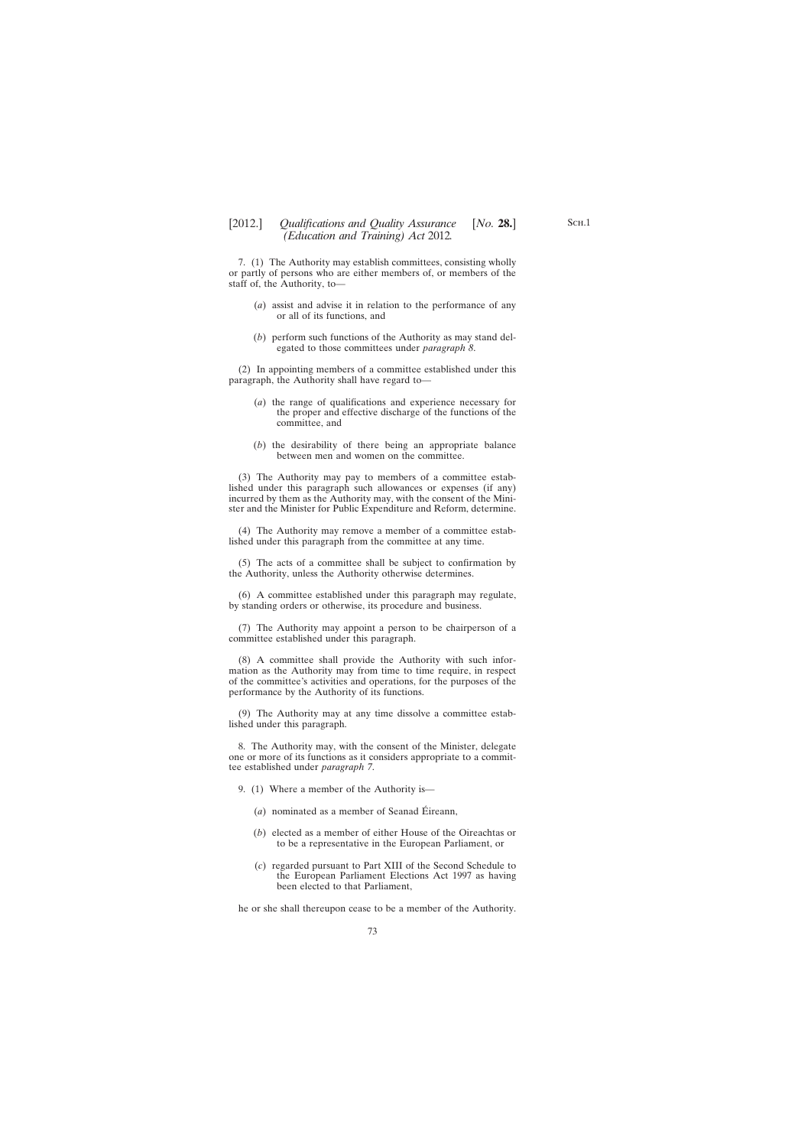## [2012.] [ *Qualifications and Quality Assurance No.* **28.**] *(Education and Training) Act* 2012*.*

7. (1) The Authority may establish committees, consisting wholly or partly of persons who are either members of, or members of the staff of, the Authority, to—

- (*a*) assist and advise it in relation to the performance of any or all of its functions, and
- (*b*) perform such functions of the Authority as may stand delegated to those committees under *paragraph 8*.

(2) In appointing members of a committee established under this paragraph, the Authority shall have regard to—

- (*a*) the range of qualifications and experience necessary for the proper and effective discharge of the functions of the committee, and
- (*b*) the desirability of there being an appropriate balance between men and women on the committee.

(3) The Authority may pay to members of a committee established under this paragraph such allowances or expenses (if any) incurred by them as the Authority may, with the consent of the Minister and the Minister for Public Expenditure and Reform, determine.

(4) The Authority may remove a member of a committee established under this paragraph from the committee at any time.

(5) The acts of a committee shall be subject to confirmation by the Authority, unless the Authority otherwise determines.

(6) A committee established under this paragraph may regulate, by standing orders or otherwise, its procedure and business.

(7) The Authority may appoint a person to be chairperson of a committee established under this paragraph.

(8) A committee shall provide the Authority with such information as the Authority may from time to time require, in respect of the committee's activities and operations, for the purposes of the performance by the Authority of its functions.

(9) The Authority may at any time dissolve a committee established under this paragraph.

8. The Authority may, with the consent of the Minister, delegate one or more of its functions as it considers appropriate to a committee established under *paragraph 7*.

9. (1) Where a member of the Authority is—

- (*a*) nominated as a member of Seanad Éireann,
- (*b*) elected as a member of either House of the Oireachtas or to be a representative in the European Parliament, or
- (*c*) regarded pursuant to Part XIII of the Second Schedule to the European Parliament Elections Act 1997 as having been elected to that Parliament,

he or she shall thereupon cease to be a member of the Authority.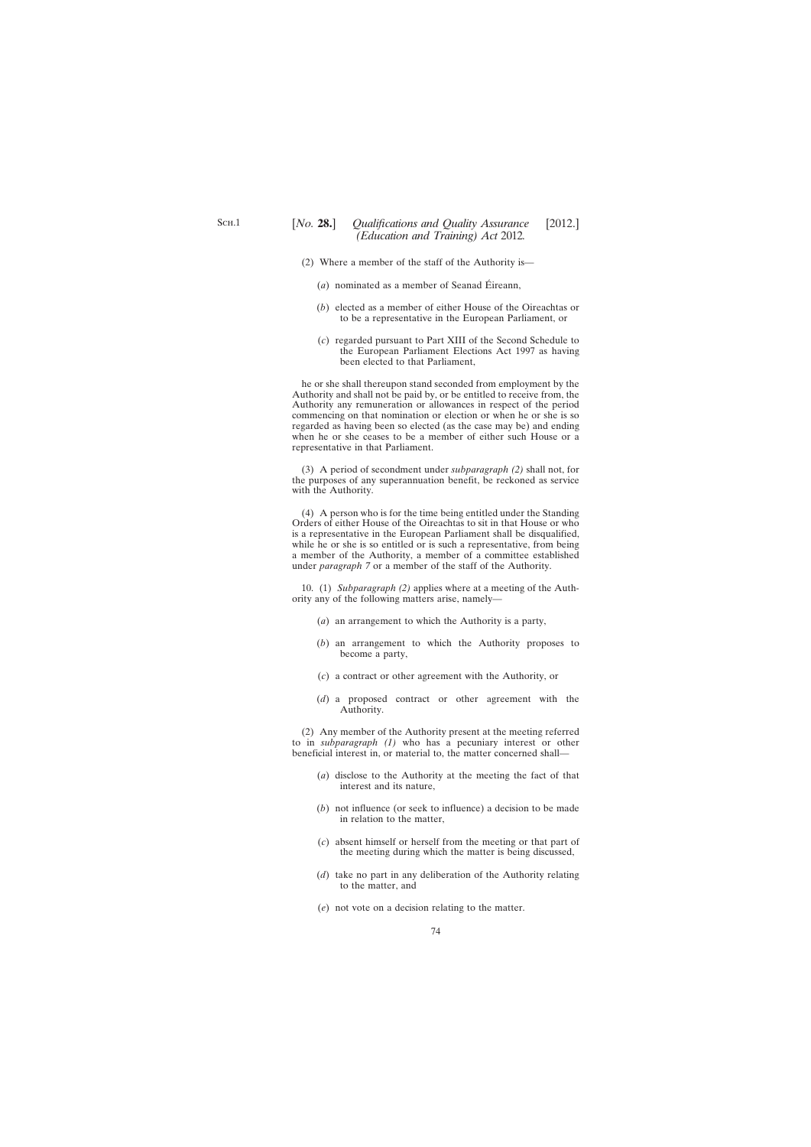- (2) Where a member of the staff of the Authority is—
	- (*a*) nominated as a member of Seanad Éireann,
	- (*b*) elected as a member of either House of the Oireachtas or to be a representative in the European Parliament, or
	- (*c*) regarded pursuant to Part XIII of the Second Schedule to the European Parliament Elections Act 1997 as having been elected to that Parliament,

he or she shall thereupon stand seconded from employment by the Authority and shall not be paid by, or be entitled to receive from, the Authority any remuneration or allowances in respect of the period commencing on that nomination or election or when he or she is so regarded as having been so elected (as the case may be) and ending when he or she ceases to be a member of either such House or a representative in that Parliament.

(3) A period of secondment under *subparagraph (2)* shall not, for the purposes of any superannuation benefit, be reckoned as service with the Authority.

(4) A person who is for the time being entitled under the Standing Orders of either House of the Oireachtas to sit in that House or who is a representative in the European Parliament shall be disqualified, while he or she is so entitled or is such a representative, from being a member of the Authority, a member of a committee established under *paragraph 7* or a member of the staff of the Authority.

10. (1) *Subparagraph (2)* applies where at a meeting of the Authority any of the following matters arise, namely—

- (*a*) an arrangement to which the Authority is a party,
- (*b*) an arrangement to which the Authority proposes to become a party,
- (*c*) a contract or other agreement with the Authority, or
- (*d*) a proposed contract or other agreement with the Authority.

(2) Any member of the Authority present at the meeting referred to in *subparagraph (1)* who has a pecuniary interest or other beneficial interest in, or material to, the matter concerned shall—

- (*a*) disclose to the Authority at the meeting the fact of that interest and its nature,
- (*b*) not influence (or seek to influence) a decision to be made in relation to the matter,
- (*c*) absent himself or herself from the meeting or that part of the meeting during which the matter is being discussed,
- (*d*) take no part in any deliberation of the Authority relating to the matter, and
- (*e*) not vote on a decision relating to the matter.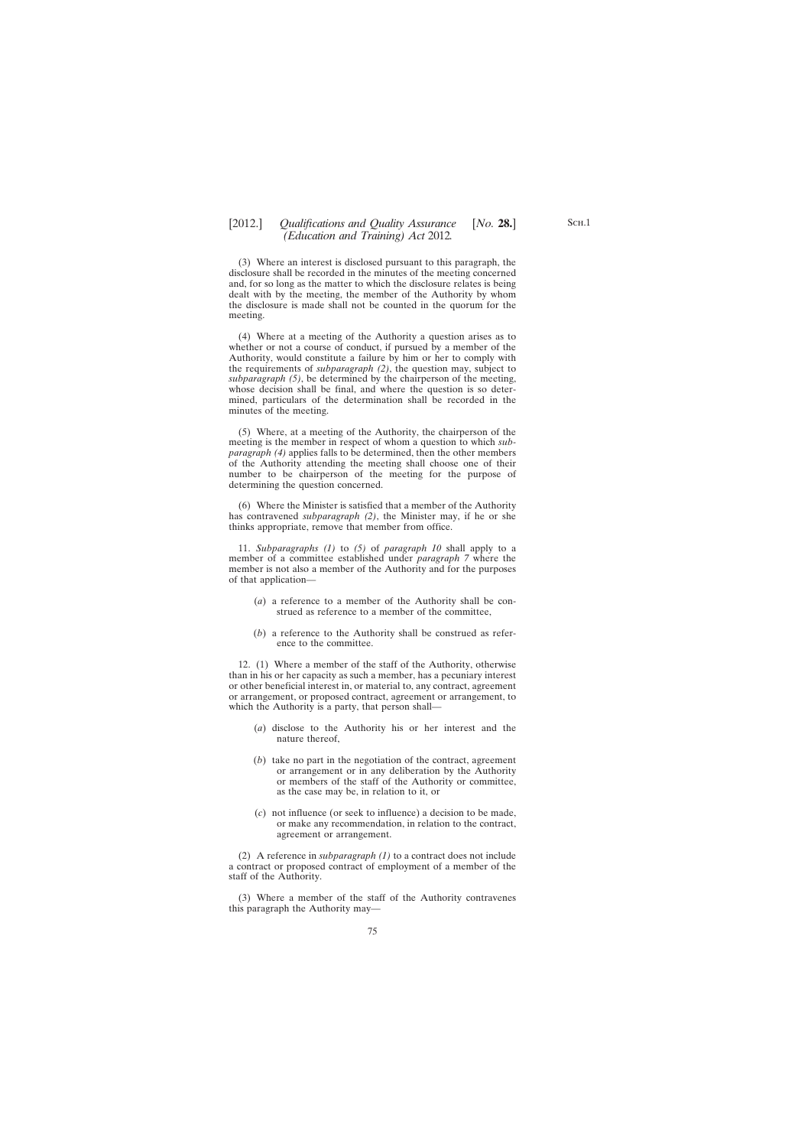(3) Where an interest is disclosed pursuant to this paragraph, the disclosure shall be recorded in the minutes of the meeting concerned and, for so long as the matter to which the disclosure relates is being dealt with by the meeting, the member of the Authority by whom the disclosure is made shall not be counted in the quorum for the meeting.

(4) Where at a meeting of the Authority a question arises as to whether or not a course of conduct, if pursued by a member of the Authority, would constitute a failure by him or her to comply with the requirements of *subparagraph (2)*, the question may, subject to *subparagraph (5)*, be determined by the chairperson of the meeting, whose decision shall be final, and where the question is so determined, particulars of the determination shall be recorded in the minutes of the meeting.

(5) Where, at a meeting of the Authority, the chairperson of the meeting is the member in respect of whom a question to which *subparagraph (4)* applies falls to be determined, then the other members of the Authority attending the meeting shall choose one of their number to be chairperson of the meeting for the purpose of determining the question concerned.

(6) Where the Minister is satisfied that a member of the Authority has contravened *subparagraph (2)*, the Minister may, if he or she thinks appropriate, remove that member from office.

11. *Subparagraphs (1)* to *(5)* of *paragraph 10* shall apply to a member of a committee established under *paragraph 7* where the member is not also a member of the Authority and for the purposes of that application—

- (*a*) a reference to a member of the Authority shall be construed as reference to a member of the committee,
- (*b*) a reference to the Authority shall be construed as reference to the committee.

12. (1) Where a member of the staff of the Authority, otherwise than in his or her capacity as such a member, has a pecuniary interest or other beneficial interest in, or material to, any contract, agreement or arrangement, or proposed contract, agreement or arrangement, to which the Authority is a party, that person shall—

- (*a*) disclose to the Authority his or her interest and the nature thereof,
- (*b*) take no part in the negotiation of the contract, agreement or arrangement or in any deliberation by the Authority or members of the staff of the Authority or committee, as the case may be, in relation to it, or
- (*c*) not influence (or seek to influence) a decision to be made, or make any recommendation, in relation to the contract, agreement or arrangement.

(2) A reference in *subparagraph (1)* to a contract does not include a contract or proposed contract of employment of a member of the staff of the Authority.

(3) Where a member of the staff of the Authority contravenes this paragraph the Authority may—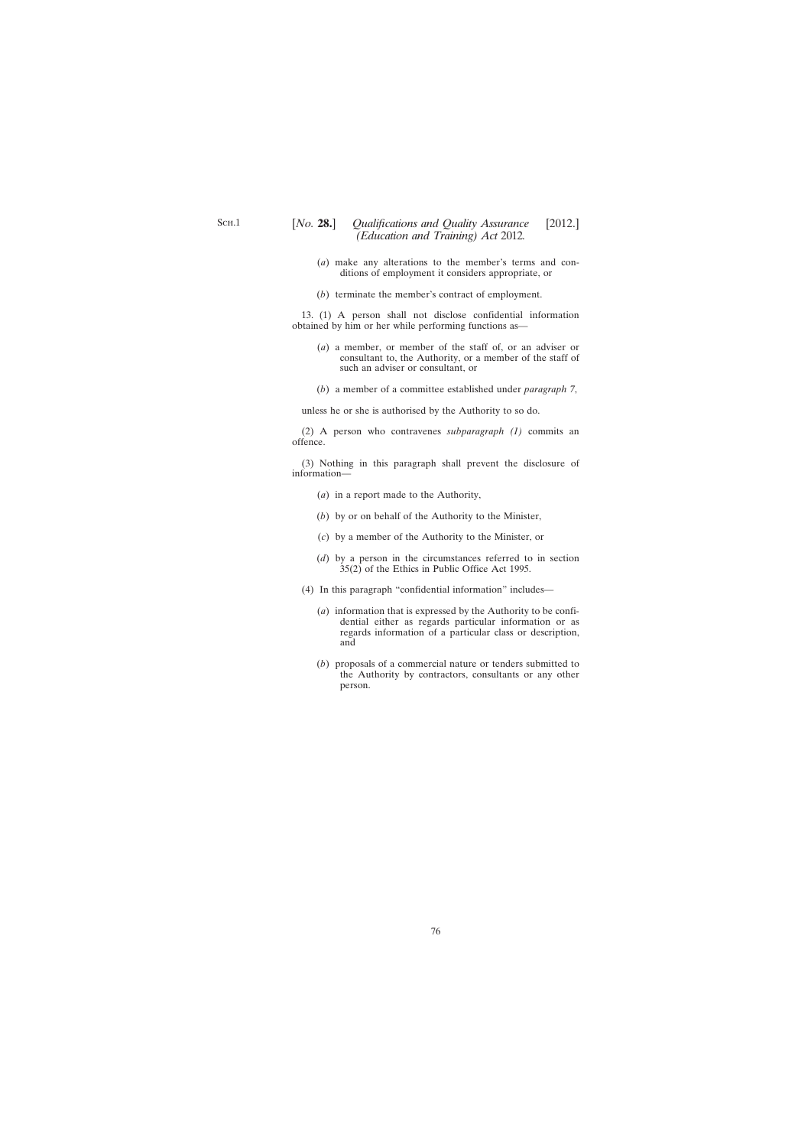- (*a*) make any alterations to the member's terms and conditions of employment it considers appropriate, or
- (*b*) terminate the member's contract of employment.

13. (1) A person shall not disclose confidential information obtained by him or her while performing functions as—

- (*a*) a member, or member of the staff of, or an adviser or consultant to, the Authority, or a member of the staff of such an adviser or consultant, or
- (*b*) a member of a committee established under *paragraph 7*,

unless he or she is authorised by the Authority to so do.

(2) A person who contravenes *subparagraph (1)* commits an offence.

(3) Nothing in this paragraph shall prevent the disclosure of information—

- (*a*) in a report made to the Authority,
- (*b*) by or on behalf of the Authority to the Minister,
- (*c*) by a member of the Authority to the Minister, or
- (*d*) by a person in the circumstances referred to in section 35(2) of the Ethics in Public Office Act 1995.
- (4) In this paragraph "confidential information" includes—
	- (*a*) information that is expressed by the Authority to be confidential either as regards particular information or as regards information of a particular class or description, and
	- (*b*) proposals of a commercial nature or tenders submitted to the Authority by contractors, consultants or any other person.

76

S<sub>CH.1</sub>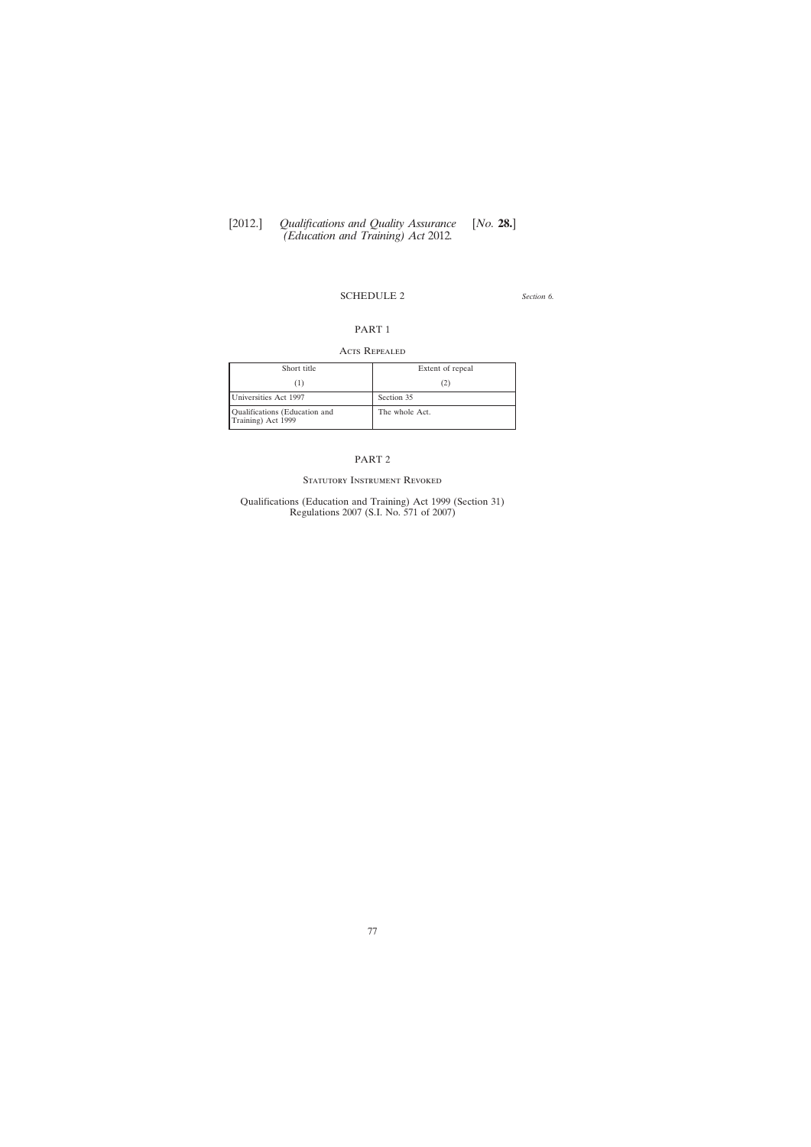#### SCHEDULE 2

*Section 6.*

# PART 1

#### ACTS REPEALED

| Short title                                         | Extent of repeal |
|-----------------------------------------------------|------------------|
| [1]                                                 | (2)              |
| Universities Act 1997                               | Section 35       |
| Qualifications (Education and<br>Training) Act 1999 | The whole Act.   |

## PART 2

#### STATUTORY INSTRUMENT REVOKED

Qualifications (Education and Training) Act 1999 (Section 31) Regulations 2007 (S.I. No. 571 of 2007)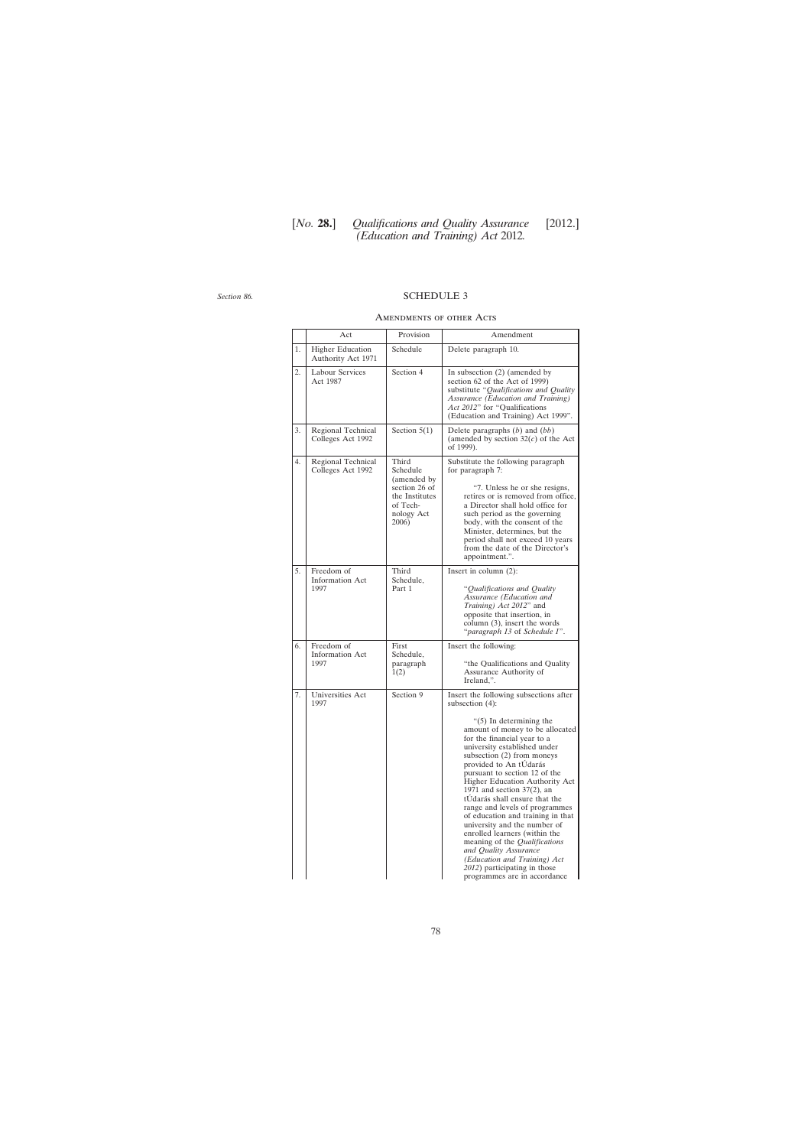# [*No.* **28.**] *Qualifications and Quality Assurance* [2012.] *(Education and Training) Act* 2012*.*

*Section 86.*

## SCHEDULE 3

#### Amendments of other Acts

|    | Act                                           | Provision                                                                                              | Amendment                                                                                                                                                                                                                                                                                                                                                                                                                                                                                                                                                                                                                                                                                          |
|----|-----------------------------------------------|--------------------------------------------------------------------------------------------------------|----------------------------------------------------------------------------------------------------------------------------------------------------------------------------------------------------------------------------------------------------------------------------------------------------------------------------------------------------------------------------------------------------------------------------------------------------------------------------------------------------------------------------------------------------------------------------------------------------------------------------------------------------------------------------------------------------|
| 1. | <b>Higher Education</b><br>Authority Act 1971 | Schedule                                                                                               | Delete paragraph 10.                                                                                                                                                                                                                                                                                                                                                                                                                                                                                                                                                                                                                                                                               |
| 2. | <b>Labour Services</b><br>Act 1987            | Section 4                                                                                              | In subsection $(2)$ (amended by<br>section 62 of the Act of 1999)<br>substitute "Qualifications and Quality<br>Assurance (Education and Training)<br>Act 2012" for "Qualifications<br>(Education and Training) Act 1999".                                                                                                                                                                                                                                                                                                                                                                                                                                                                          |
| 3. | Regional Technical<br>Colleges Act 1992       | Section $5(1)$                                                                                         | Delete paragraphs $(b)$ and $(bb)$<br>(amended by section $32(c)$ of the Act<br>of 1999).                                                                                                                                                                                                                                                                                                                                                                                                                                                                                                                                                                                                          |
| 4. | Regional Technical<br>Colleges Act 1992       | Third<br>Schedule<br>(amended by<br>section 26 of<br>the Institutes<br>of Tech-<br>nology Act<br>2006) | Substitute the following paragraph<br>for paragraph 7:<br>"7. Unless he or she resigns,<br>retires or is removed from office,<br>a Director shall hold office for<br>such period as the governing<br>body, with the consent of the<br>Minister, determines, but the<br>period shall not exceed 10 years<br>from the date of the Director's<br>appointment.".                                                                                                                                                                                                                                                                                                                                       |
| 5. | Freedom of<br><b>Information Act</b><br>1997  | Third<br>Schedule,<br>Part 1                                                                           | Insert in column $(2)$ :<br>"Qualifications and Quality<br>Assurance (Education and<br>Training) Act 2012" and<br>opposite that insertion, in<br>column (3), insert the words<br>"paragraph 13 of Schedule 1".                                                                                                                                                                                                                                                                                                                                                                                                                                                                                     |
| 6. | Freedom of<br><b>Information Act</b><br>1997  | First<br>Schedule,<br>paragraph<br>1(2)                                                                | Insert the following:<br>"the Qualifications and Quality<br>Assurance Authority of<br>Ireland,".                                                                                                                                                                                                                                                                                                                                                                                                                                                                                                                                                                                                   |
| 7. | Universities Act<br>1997                      | Section 9                                                                                              | Insert the following subsections after<br>subsection $(4)$ :<br>" $(5)$ In determining the<br>amount of money to be allocated<br>for the financial year to a<br>university established under<br>subsection (2) from moneys<br>provided to An tUdarás<br>pursuant to section 12 of the<br>Higher Education Authority Act<br>1971 and section $37(2)$ , an<br>tUdarás shall ensure that the<br>range and levels of programmes<br>of education and training in that<br>university and the number of<br>enrolled learners (within the<br>meaning of the <i>Qualifications</i><br>and Quality Assurance<br>(Education and Training) Act<br>2012) participating in those<br>programmes are in accordance |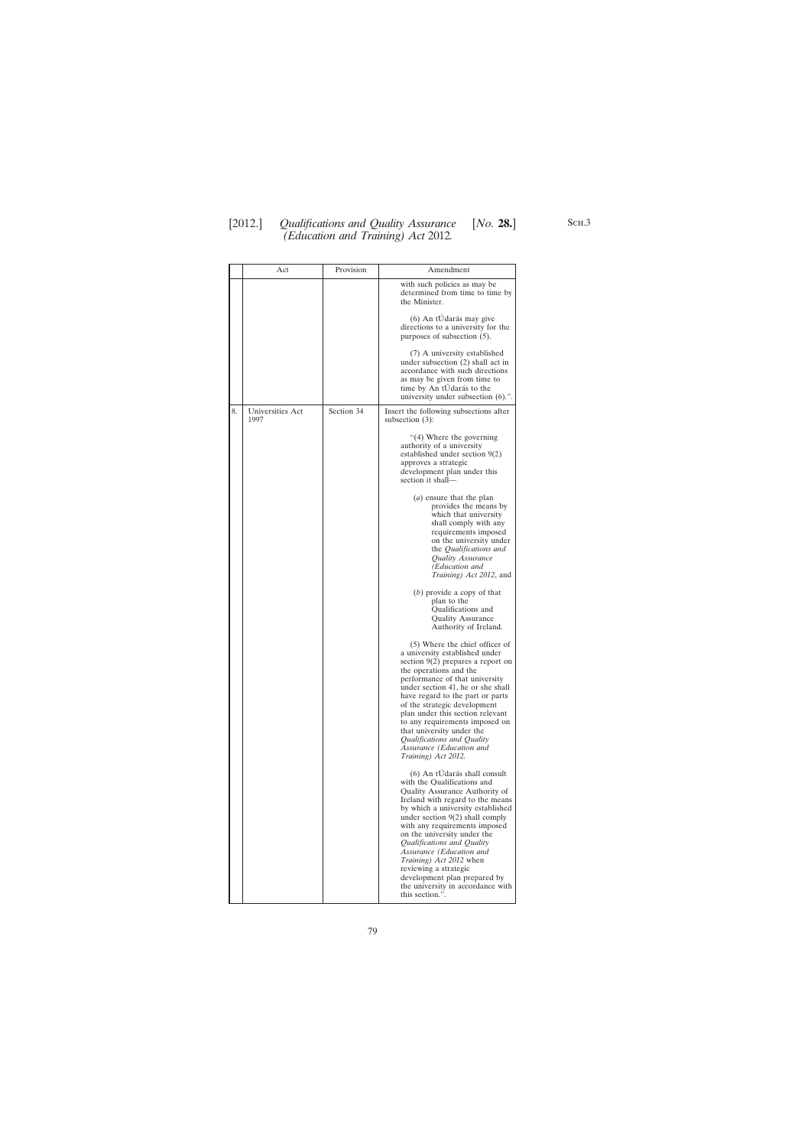# [2012.] [ *Qualifications and Quality Assurance No.* **28.**] *(Education and Training) Act* 2012*.*

|    | Act                      | Provision  | Amendment                                                                                                                                                                                                                                                                                                                                                                                                                                                                                               |
|----|--------------------------|------------|---------------------------------------------------------------------------------------------------------------------------------------------------------------------------------------------------------------------------------------------------------------------------------------------------------------------------------------------------------------------------------------------------------------------------------------------------------------------------------------------------------|
|    |                          |            | with such policies as may be<br>determined from time to time by<br>the Minister.                                                                                                                                                                                                                                                                                                                                                                                                                        |
|    |                          |            | (6) An tÚdarás may give<br>directions to a university for the<br>purposes of subsection (5).                                                                                                                                                                                                                                                                                                                                                                                                            |
|    |                          |            | (7) A university established<br>under subsection (2) shall act in<br>accordance with such directions<br>as may be given from time to<br>time by An tUdarás to the<br>university under subsection (6).".                                                                                                                                                                                                                                                                                                 |
| 8. | Universities Act<br>1997 | Section 34 | Insert the following subsections after<br>subsection $(3)$ :                                                                                                                                                                                                                                                                                                                                                                                                                                            |
|    |                          |            | "(4) Where the governing<br>authority of a university<br>established under section 9(2)<br>approves a strategic<br>development plan under this<br>section it shall-                                                                                                                                                                                                                                                                                                                                     |
|    |                          |            | $(a)$ ensure that the plan<br>provides the means by<br>which that university<br>shall comply with any<br>requirements imposed<br>on the university under<br>the <i>Qualifications</i> and<br>Quality Assurance<br>(Education and<br>Training) Act 2012, and                                                                                                                                                                                                                                             |
|    |                          |            | $(b)$ provide a copy of that<br>plan to the<br>Qualifications and<br><b>Quality Assurance</b><br>Authority of Ireland.                                                                                                                                                                                                                                                                                                                                                                                  |
|    |                          |            | (5) Where the chief officer of<br>a university established under<br>section $9(2)$ prepares a report on<br>the operations and the<br>performance of that university<br>under section 41, he or she shall<br>have regard to the part or parts<br>of the strategic development<br>plan under this section relevant<br>to any requirements imposed on<br>that university under the<br>Qualifications and Quality<br>Assurance (Education and<br>Training) Act 2012.                                        |
|    |                          |            | (6) An tUdarás shall consult<br>with the Qualifications and<br><b>Quality Assurance Authority of</b><br>Ireland with regard to the means<br>by which a university established<br>under section $9(2)$ shall comply<br>with any requirements imposed<br>on the university under the<br>Qualifications and Quality<br>Assurance (Education and<br><i>Training</i> ) <i>Act 2012</i> when<br>reviewing a strategic<br>development plan prepared by<br>the university in accordance with<br>this section.". |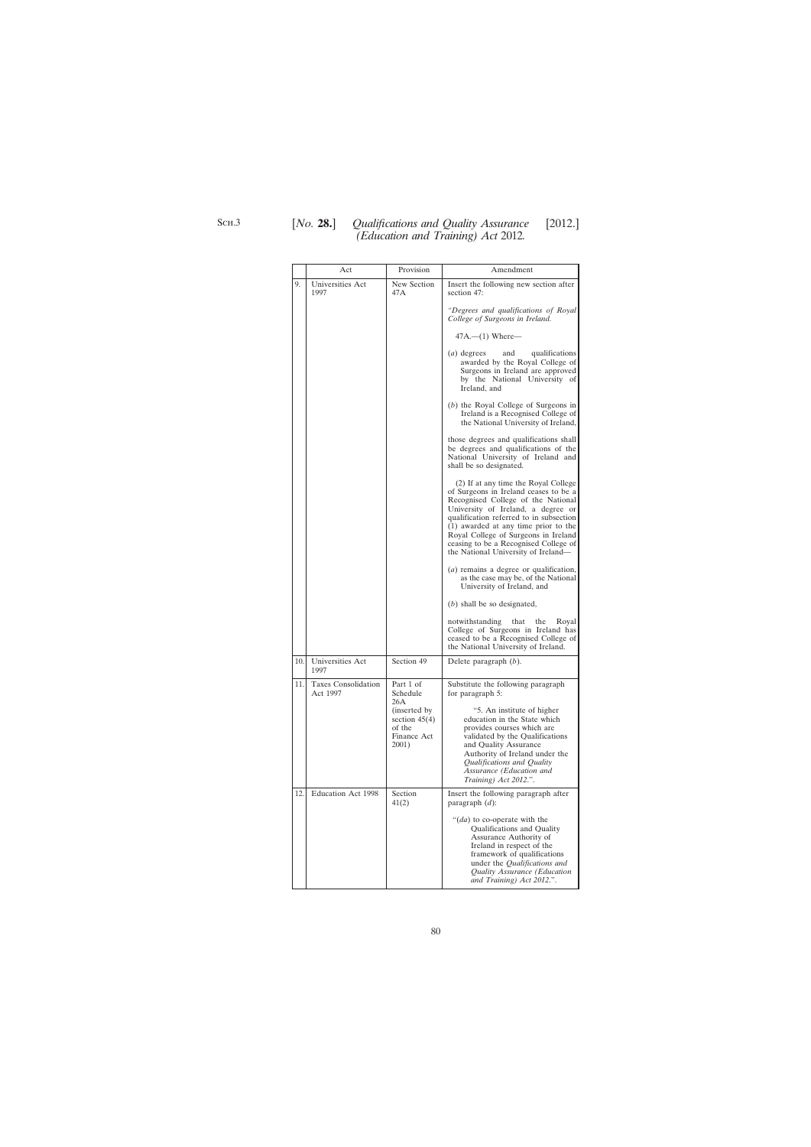|     | Act                                    | Provision                                                                 | Amendment                                                                                                                                                                                                                                                                                                                                                            |
|-----|----------------------------------------|---------------------------------------------------------------------------|----------------------------------------------------------------------------------------------------------------------------------------------------------------------------------------------------------------------------------------------------------------------------------------------------------------------------------------------------------------------|
| 9.  | Universities Act<br>1997               | New Section<br>47 A                                                       | Insert the following new section after<br>section 47:                                                                                                                                                                                                                                                                                                                |
|     |                                        |                                                                           | "Degrees and qualifications of Royal<br>College of Surgeons in Ireland.                                                                                                                                                                                                                                                                                              |
|     |                                        |                                                                           | $47A$ .— $(1)$ Where—                                                                                                                                                                                                                                                                                                                                                |
|     |                                        |                                                                           | ( <i>a</i> ) degrees<br>qualifications<br>and<br>awarded by the Royal College of<br>Surgeons in Ireland are approved<br>by the National University of<br>Ireland, and                                                                                                                                                                                                |
|     |                                        |                                                                           | $(b)$ the Royal College of Surgeons in<br>Ireland is a Recognised College of<br>the National University of Ireland,                                                                                                                                                                                                                                                  |
|     |                                        |                                                                           | those degrees and qualifications shall<br>be degrees and qualifications of the<br>National University of Ireland and<br>shall be so designated.                                                                                                                                                                                                                      |
|     |                                        |                                                                           | (2) If at any time the Royal College<br>of Surgeons in Ireland ceases to be a<br>Recognised College of the National<br>University of Ireland, a degree or<br>qualification referred to in subsection<br>(1) awarded at any time prior to the<br>Royal College of Surgeons in Ireland<br>ceasing to be a Recognised College of<br>the National University of Ireland— |
|     |                                        |                                                                           | ( <i>a</i> ) remains a degree or qualification,<br>as the case may be, of the National<br>University of Ireland, and                                                                                                                                                                                                                                                 |
|     |                                        |                                                                           | $(b)$ shall be so designated,                                                                                                                                                                                                                                                                                                                                        |
|     |                                        |                                                                           | notwithstanding<br>that<br>the<br>Royal<br>College of Surgeons in Ireland has<br>ceased to be a Recognised College of<br>the National University of Ireland.                                                                                                                                                                                                         |
| 10. | Universities Act<br>1997               | Section 49                                                                | Delete paragraph $(b)$ .                                                                                                                                                                                                                                                                                                                                             |
| 11. | <b>Taxes Consolidation</b><br>Act 1997 | Part 1 of<br>Schedule                                                     | Substitute the following paragraph<br>for paragraph 5:                                                                                                                                                                                                                                                                                                               |
|     |                                        | 26A<br>(inserted by)<br>section $45(4)$<br>of the<br>Finance Act<br>2001) | "5. An institute of higher<br>education in the State which<br>provides courses which are<br>validated by the Qualifications<br>and Quality Assurance<br>Authority of Ireland under the<br>Qualifications and Quality<br>Assurance (Education and<br>Training) Act 2012.".                                                                                            |
| 12. | Education Act 1998                     | Section<br>41(2)                                                          | Insert the following paragraph after<br>paragraph $(d)$ :                                                                                                                                                                                                                                                                                                            |
|     |                                        |                                                                           | "(da) to co-operate with the<br>Qualifications and Quality<br>Assurance Authority of<br>Ireland in respect of the<br>framework of qualifications<br>under the <i>Qualifications and</i><br>Quality Assurance (Education<br>and Training) Act 2012.".                                                                                                                 |